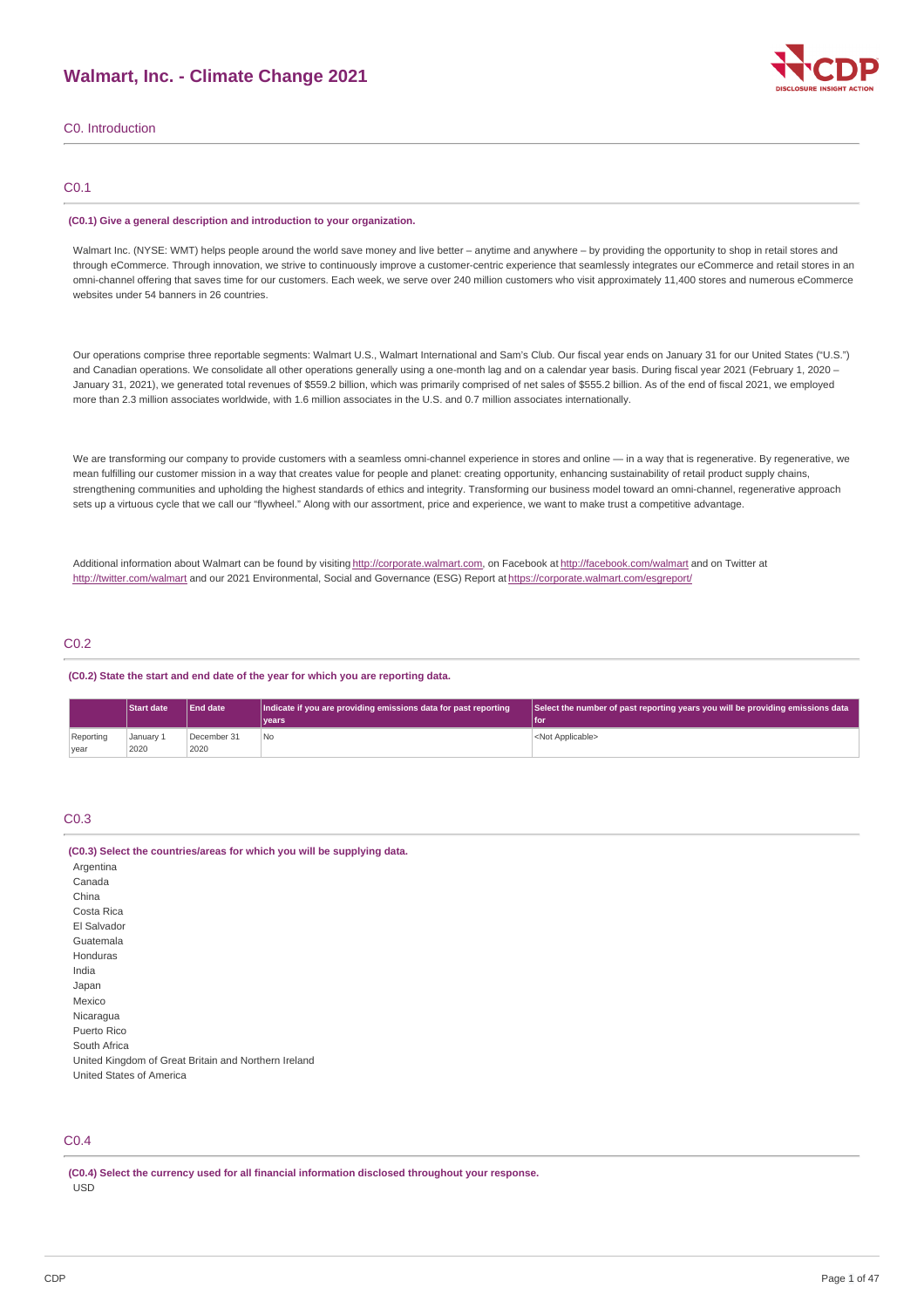

C0. Introduction

### C0.1

#### **(C0.1) Give a general description and introduction to your organization.**

Walmart Inc. (NYSE: WMT) helps people around the world save money and live better – anytime and anywhere – by providing the opportunity to shop in retail stores and through eCommerce. Through innovation, we strive to continuously improve a customer-centric experience that seamlessly integrates our eCommerce and retail stores in an omni-channel offering that saves time for our customers. Each week, we serve over 240 million customers who visit approximately 11,400 stores and numerous eCommerce websites under 54 banners in 26 countries.

Our operations comprise three reportable segments: Walmart U.S., Walmart International and Sam's Club. Our fiscal year ends on January 31 for our United States ("U.S.") and Canadian operations. We consolidate all other operations generally using a one-month lag and on a calendar year basis. During fiscal year 2021 (February 1, 2020 – January 31, 2021), we generated total revenues of \$559.2 billion, which was primarily comprised of net sales of \$555.2 billion. As of the end of fiscal 2021, we employed more than 2.3 million associates worldwide, with 1.6 million associates in the U.S. and 0.7 million associates internationally.

We are transforming our company to provide customers with a seamless omni-channel experience in stores and online — in a way that is regenerative. By regenerative, we mean fulfilling our customer mission in a way that creates value for people and planet: creating opportunity, enhancing sustainability of retail product supply chains, strengthening communities and upholding the highest standards of ethics and integrity. Transforming our business model toward an omni-channel, regenerative approach sets up a virtuous cycle that we call our "flywheel." Along with our assortment, price and experience, we want to make trust a competitive advantage.

Additional information about Walmart can be found by visiting [http://corporate.walmart.com](http://corporate.walmart.com/), on Facebook at <http://facebook.com/walmart> and on Twitter at <http://twitter.com/walmart> and our 2021 Environmental, Social and Governance (ESG) Report at <https://corporate.walmart.com/esgreport/>

### C0.2

### **(C0.2) State the start and end date of the year for which you are reporting data.**

|           | <b>Start date</b> | <b>End date</b> | Indicate if you are providing emissions data for past reporting | Select the number of past reporting years you will be providing emissions data |
|-----------|-------------------|-----------------|-----------------------------------------------------------------|--------------------------------------------------------------------------------|
|           |                   |                 | vears <sup>®</sup>                                              | l for                                                                          |
| Reporting | January 1         | December 31     | No.                                                             | <not applicable=""></not>                                                      |
| year      | 2020              | 2020            |                                                                 |                                                                                |

### C0.3

#### **(C0.3) Select the countries/areas for which you will be supplying data.**

Argentina Canada China Costa Rica El Salvador Guatemala Honduras India Japan Mexico Nicaragua Puerto Rico South Africa United Kingdom of Great Britain and Northern Ireland United States of America

## C0.4

**(C0.4) Select the currency used for all financial information disclosed throughout your response.** USD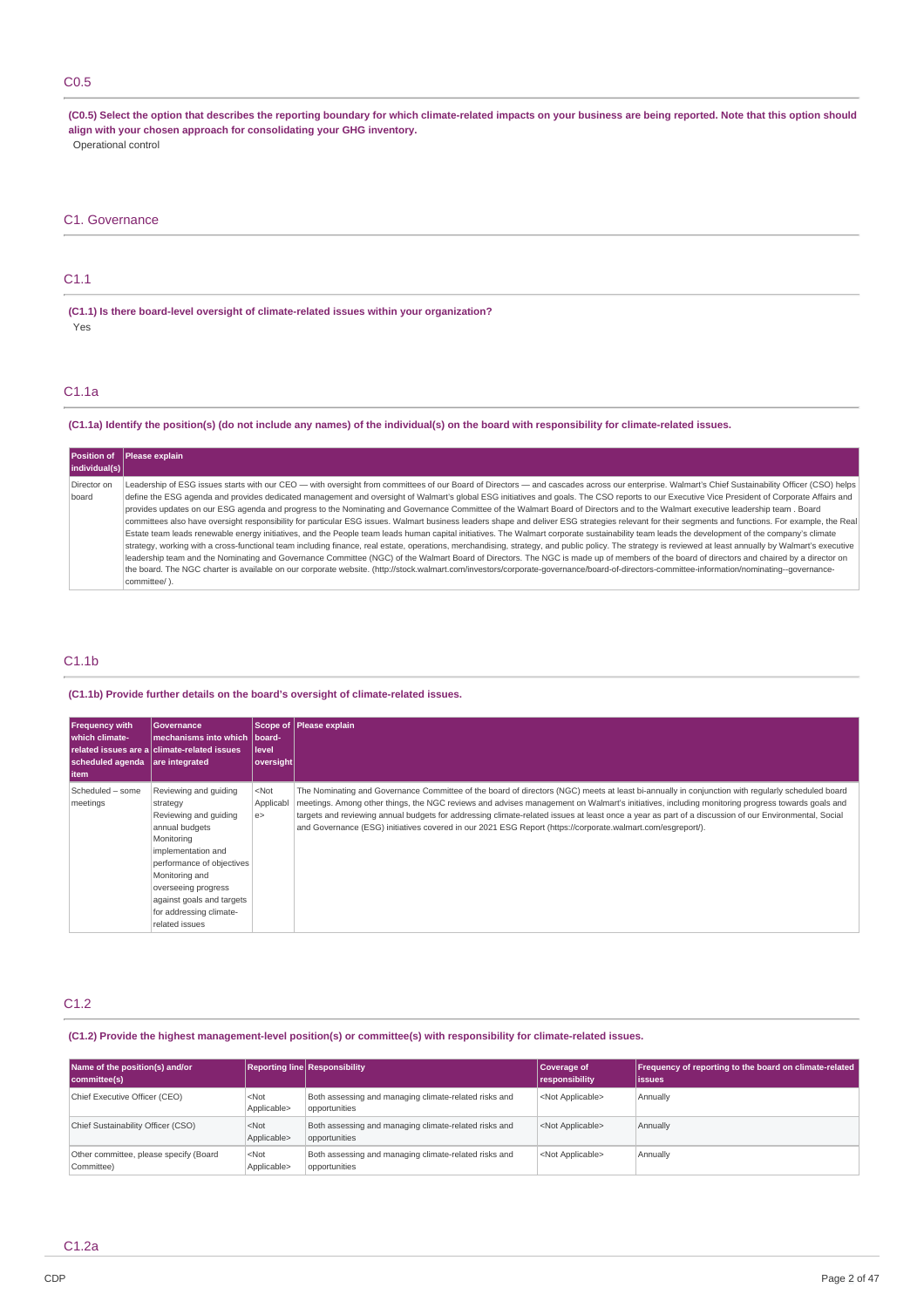### C0.5

(C0.5) Select the option that describes the reporting boundary for which climate-related impacts on your business are being reported. Note that this option should **align with your chosen approach for consolidating your GHG inventory.** Operational control

## C1.1

**(C1.1) Is there board-level oversight of climate-related issues within your organization?** Yes

### C1.1a

### (C1.1a) Identify the position(s) (do not include any names) of the individual(s) on the board with responsibility for climate-related issues.

|               | Position of Please explain                                                                                                                                                                               |
|---------------|----------------------------------------------------------------------------------------------------------------------------------------------------------------------------------------------------------|
| individual(s) |                                                                                                                                                                                                          |
| Director on   | Leadership of ESG issues starts with our CEO — with oversight from committees of our Board of Directors — and cascades across our enterprise. Walmart's Chief Sustainability Officer (CSO) helps         |
| board         | define the ESG agenda and provides dedicated management and oversight of Walmart's global ESG initiatives and goals. The CSO reports to our Executive Vice President of Corporate Affairs and            |
|               | provides updates on our ESG agenda and progress to the Nominating and Governance Committee of the Walmart Board of Directors and to the Walmart executive leadership team. Board                         |
|               | committees also have oversight responsibility for particular ESG issues. Walmart business leaders shape and deliver ESG strategies relevant for their segments and functions. For example, the Real      |
|               | Estate team leads renewable energy initiatives, and the People team leads human capital initiatives. The Walmart corporate sustainability team leads the development of the company's climate            |
|               | strategy, working with a cross-functional team including finance, real estate, operations, merchandising, strategy, and public policy. The strategy is reviewed at least annually by Walmart's executive |
|               | leadership team and the Nominating and Governance Committee (NGC) of the Walmart Board of Directors. The NGC is made up of members of the board of directors and chaired by a director on                |
|               | the board. The NGC charter is available on our corporate website. (http://stock.walmart.com/investors/corporate-governance/board-of-directors-committee-information/nominating--governance-              |
|               | committee/).                                                                                                                                                                                             |

### C1.1b

### **(C1.1b) Provide further details on the board's oversight of climate-related issues.**

| <b>Frequency with</b><br>I which climate-<br>scheduled agenda are integrated<br>litem | Governance<br>mechanisms into which Iboard-<br>related issues are a climate-related issues                                                                                                                                                     | l level<br> oversight       | Scope of Please explain                                                                                                                                                                                                                                                                                                                                                                                                                                                                                                                                                   |
|---------------------------------------------------------------------------------------|------------------------------------------------------------------------------------------------------------------------------------------------------------------------------------------------------------------------------------------------|-----------------------------|---------------------------------------------------------------------------------------------------------------------------------------------------------------------------------------------------------------------------------------------------------------------------------------------------------------------------------------------------------------------------------------------------------------------------------------------------------------------------------------------------------------------------------------------------------------------------|
| Scheduled - some<br>meetings                                                          | Reviewing and quiding<br>strategy<br>Reviewing and quiding<br>annual budgets<br>Monitoring<br>implementation and<br>performance of objectives<br>Monitoring and<br>overseeing progress<br>against goals and targets<br>for addressing climate- | $<$ Not<br>Applicabl<br>e > | The Nominating and Governance Committee of the board of directors (NGC) meets at least bi-annually in conjunction with regularly scheduled board<br>meetings. Among other things, the NGC reviews and advises management on Walmart's initiatives, including monitoring progress towards goals and<br>targets and reviewing annual budgets for addressing climate-related issues at least once a year as part of a discussion of our Environmental, Social<br>and Governance (ESG) initiatives covered in our 2021 ESG Report (https://corporate.walmart.com/esqreport/). |
|                                                                                       | related issues                                                                                                                                                                                                                                 |                             |                                                                                                                                                                                                                                                                                                                                                                                                                                                                                                                                                                           |

### C1.2

### **(C1.2) Provide the highest management-level position(s) or committee(s) with responsibility for climate-related issues.**

| Name of the position(s) and/or<br>committee(s)       |                        | <b>Reporting line Responsibility</b>                                   | Coverage of<br>responsibility | Frequency of reporting to the board on climate-related<br>lissues |
|------------------------------------------------------|------------------------|------------------------------------------------------------------------|-------------------------------|-------------------------------------------------------------------|
| Chief Executive Officer (CEO)                        | $<$ Not<br>Applicable> | Both assessing and managing climate-related risks and<br>opportunities | <not applicable=""></not>     | Annually                                                          |
| Chief Sustainability Officer (CSO)                   | $<$ Not<br>Applicable> | Both assessing and managing climate-related risks and<br>opportunities | <not applicable=""></not>     | Annually                                                          |
| Other committee, please specify (Board<br>Committee) | $<$ Not<br>Applicable> | Both assessing and managing climate-related risks and<br>opportunities | <not applicable=""></not>     | Annually                                                          |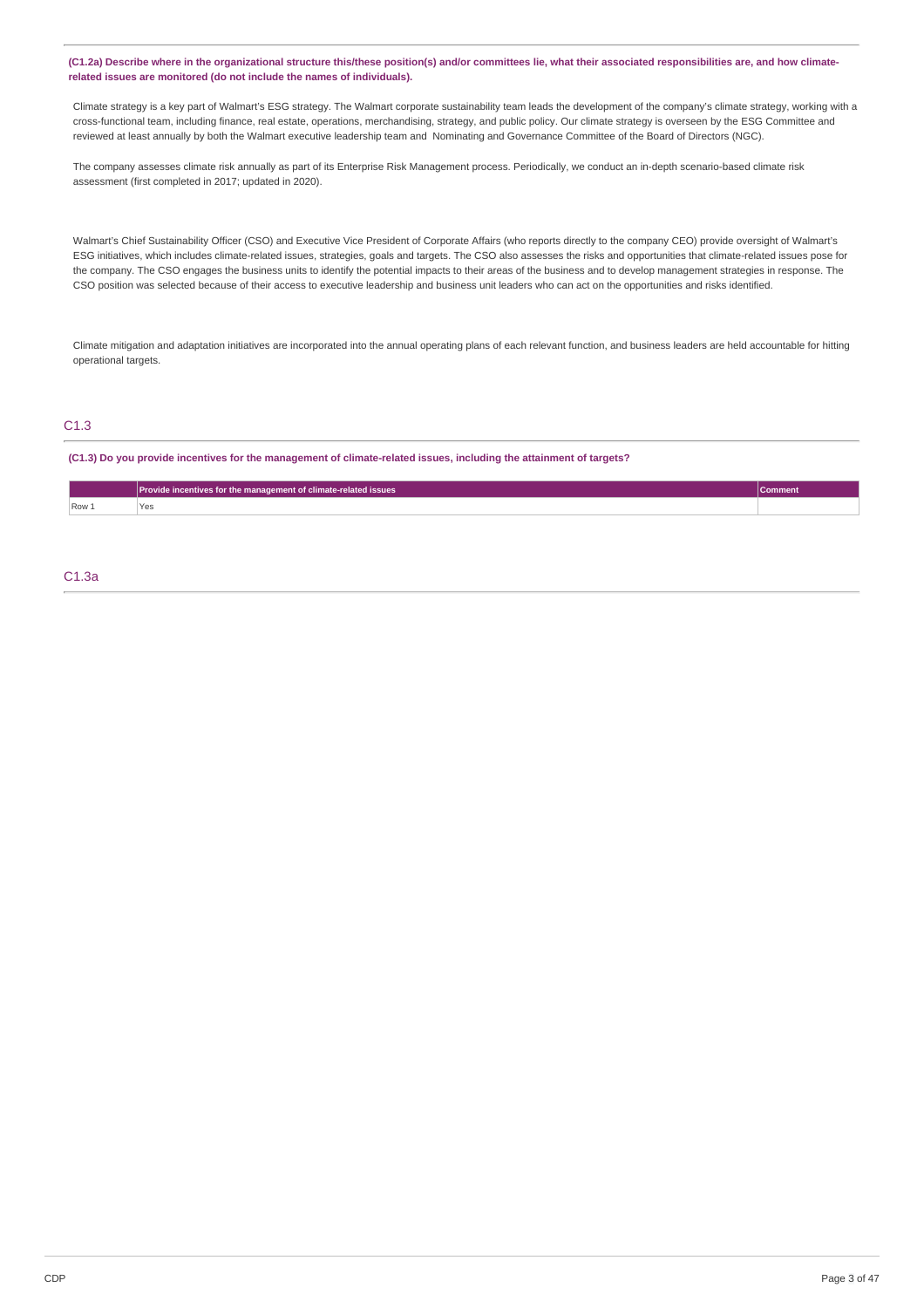### (C1.2a) Describe where in the organizational structure this/these position(s) and/or committees lie, what their associated responsibilities are, and how climate**related issues are monitored (do not include the names of individuals).**

Climate strategy is a key part of Walmart's ESG strategy. The Walmart corporate sustainability team leads the development of the company's climate strategy, working with a cross-functional team, including finance, real estate, operations, merchandising, strategy, and public policy. Our climate strategy is overseen by the ESG Committee and reviewed at least annually by both the Walmart executive leadership team and Nominating and Governance Committee of the Board of Directors (NGC).

The company assesses climate risk annually as part of its Enterprise Risk Management process. Periodically, we conduct an in-depth scenario-based climate risk assessment (first completed in 2017; updated in 2020).

Walmart's Chief Sustainability Officer (CSO) and Executive Vice President of Corporate Affairs (who reports directly to the company CEO) provide oversight of Walmart's ESG initiatives, which includes climate-related issues, strategies, goals and targets. The CSO also assesses the risks and opportunities that climate-related issues pose for the company. The CSO engages the business units to identify the potential impacts to their areas of the business and to develop management strategies in response. The CSO position was selected because of their access to executive leadership and business unit leaders who can act on the opportunities and risks identified.

Climate mitigation and adaptation initiatives are incorporated into the annual operating plans of each relevant function, and business leaders are held accountable for hitting operational targets.

## C1.3

(C1.3) Do you provide incentives for the management of climate-related issues, including the attainment of targets?

|       | Provide incentives for the management of climate-related issues |  |
|-------|-----------------------------------------------------------------|--|
| Row 1 | Yes<br>$\sim$ $\sim$                                            |  |

### C1.3a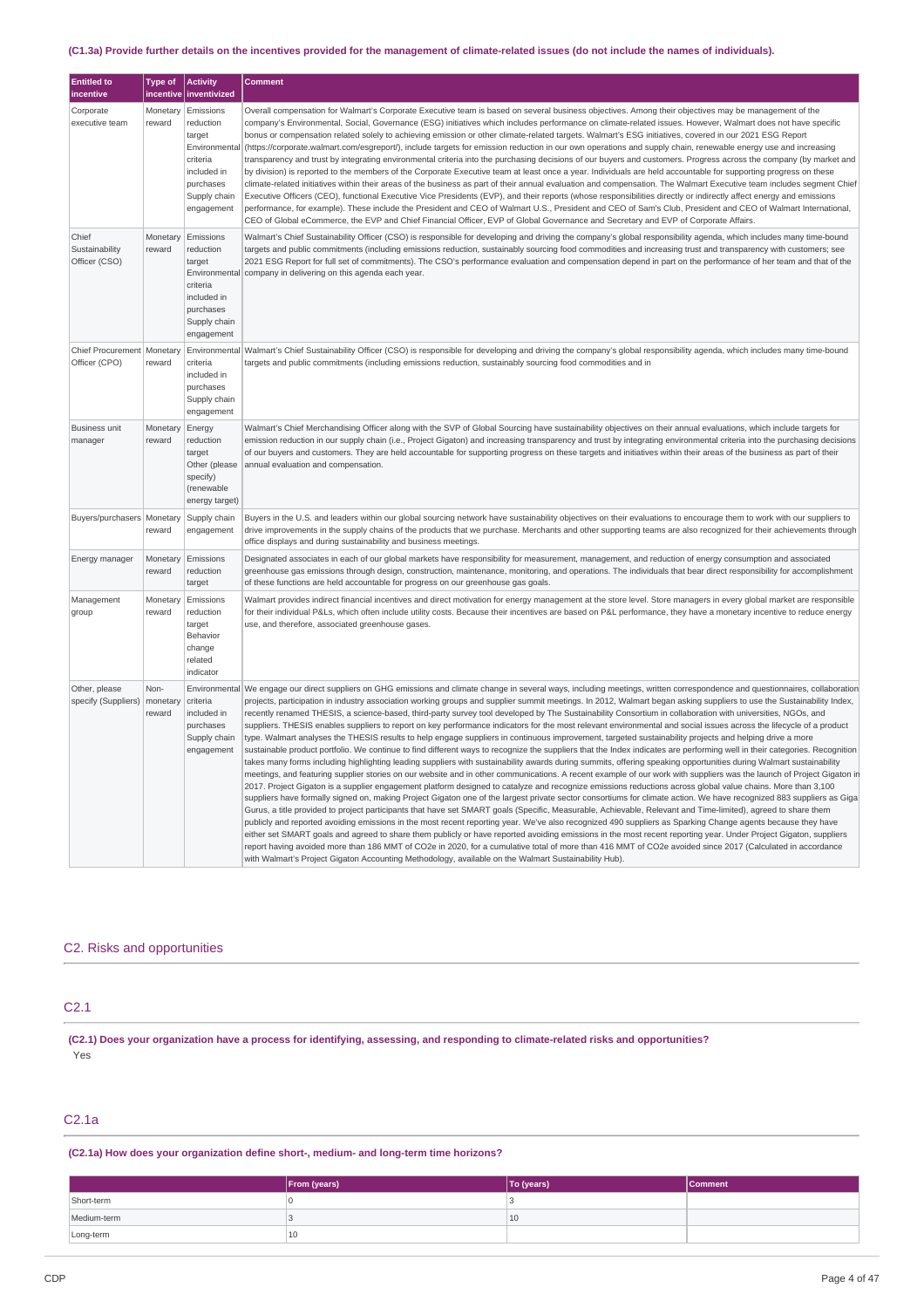### (C1.3a) Provide further details on the incentives provided for the management of climate-related issues (do not include the names of individuals).

| <b>Entitled to</b><br>incentive          | <b>Type of</b><br>incentive | <b>Activity</b><br>inventivized                                                                                         | <b>Comment</b>                                                                                                                                                                                                                                                                                                                                                                                                                                                                                                                                                                                                                                                                                                                                                                                                                                                                                                                                                                                                                                                                                                                                                                                                                                                                                                                                                                                                                                                                                                                                                                                                                                                                                                                                                                                                                                                                                                                                                                                                                                                                                                                                                                                                                                                                                                                                                                                                                                                                         |
|------------------------------------------|-----------------------------|-------------------------------------------------------------------------------------------------------------------------|----------------------------------------------------------------------------------------------------------------------------------------------------------------------------------------------------------------------------------------------------------------------------------------------------------------------------------------------------------------------------------------------------------------------------------------------------------------------------------------------------------------------------------------------------------------------------------------------------------------------------------------------------------------------------------------------------------------------------------------------------------------------------------------------------------------------------------------------------------------------------------------------------------------------------------------------------------------------------------------------------------------------------------------------------------------------------------------------------------------------------------------------------------------------------------------------------------------------------------------------------------------------------------------------------------------------------------------------------------------------------------------------------------------------------------------------------------------------------------------------------------------------------------------------------------------------------------------------------------------------------------------------------------------------------------------------------------------------------------------------------------------------------------------------------------------------------------------------------------------------------------------------------------------------------------------------------------------------------------------------------------------------------------------------------------------------------------------------------------------------------------------------------------------------------------------------------------------------------------------------------------------------------------------------------------------------------------------------------------------------------------------------------------------------------------------------------------------------------------------|
| Corporate<br>executive team              | Monetary<br>reward          | Emissions<br>reduction<br>target<br>Environmenta<br>criteria<br>included in<br>purchases<br>Supply chain<br>engagement  | Overall compensation for Walmart's Corporate Executive team is based on several business objectives. Among their objectives may be management of the<br>company's Environmental, Social, Governance (ESG) initiatives which includes performance on climate-related issues. However, Walmart does not have specific<br>bonus or compensation related solely to achieving emission or other climate-related targets. Walmart's ESG initiatives, covered in our 2021 ESG Report<br>(https://corporate.walmart.com/esqreport/), include targets for emission reduction in our own operations and supply chain, renewable energy use and increasing<br>transparency and trust by integrating environmental criteria into the purchasing decisions of our buyers and customers. Progress across the company (by market and<br>by division) is reported to the members of the Corporate Executive team at least once a year. Individuals are held accountable for supporting progress on these<br>climate-related initiatives within their areas of the business as part of their annual evaluation and compensation. The Walmart Executive team includes segment Chief<br>Executive Officers (CEO), functional Executive Vice Presidents (EVP), and their reports (whose responsibilities directly or indirectly affect energy and emissions<br>performance, for example). These include the President and CEO of Walmart U.S., President and CEO of Sam's Club, President and CEO of Walmart International,<br>CEO of Global eCommerce, the EVP and Chief Financial Officer, EVP of Global Governance and Secretary and EVP of Corporate Affairs.                                                                                                                                                                                                                                                                                                                                                                                                                                                                                                                                                                                                                                                                                                                                                                                                                                          |
| Chief<br>Sustainability<br>Officer (CSO) | Monetary<br>reward          | Emissions<br>reduction<br>target<br>Environmental<br>criteria<br>included in<br>purchases<br>Supply chain<br>engagement | Walmart's Chief Sustainability Officer (CSO) is responsible for developing and driving the company's global responsibility agenda, which includes many time-bound<br>targets and public commitments (including emissions reduction, sustainably sourcing food commodities and increasing trust and transparency with customers; see<br>2021 ESG Report for full set of commitments). The CSO's performance evaluation and compensation depend in part on the performance of her team and that of the<br>company in delivering on this agenda each year.                                                                                                                                                                                                                                                                                                                                                                                                                                                                                                                                                                                                                                                                                                                                                                                                                                                                                                                                                                                                                                                                                                                                                                                                                                                                                                                                                                                                                                                                                                                                                                                                                                                                                                                                                                                                                                                                                                                                |
| Chief Procurement<br>Officer (CPO)       | Monetary<br>reward          | Environmental<br>criteria<br>included in<br>purchases<br>Supply chain<br>engagement                                     | Walmart's Chief Sustainability Officer (CSO) is responsible for developing and driving the company's global responsibility agenda, which includes many time-bound<br>targets and public commitments (including emissions reduction, sustainably sourcing food commodities and in                                                                                                                                                                                                                                                                                                                                                                                                                                                                                                                                                                                                                                                                                                                                                                                                                                                                                                                                                                                                                                                                                                                                                                                                                                                                                                                                                                                                                                                                                                                                                                                                                                                                                                                                                                                                                                                                                                                                                                                                                                                                                                                                                                                                       |
| <b>Business unit</b><br>manager          | Monetary<br>reward          | Energy<br>reduction<br>target<br>Other (please<br>specify)<br>(renewable<br>energy target)                              | Walmart's Chief Merchandising Officer along with the SVP of Global Sourcing have sustainability objectives on their annual evaluations, which include targets for<br>emission reduction in our supply chain (i.e., Project Gigaton) and increasing transparency and trust by integrating environmental criteria into the purchasing decisions<br>of our buyers and customers. They are held accountable for supporting progress on these targets and initiatives within their areas of the business as part of their<br>annual evaluation and compensation.                                                                                                                                                                                                                                                                                                                                                                                                                                                                                                                                                                                                                                                                                                                                                                                                                                                                                                                                                                                                                                                                                                                                                                                                                                                                                                                                                                                                                                                                                                                                                                                                                                                                                                                                                                                                                                                                                                                            |
| Buyers/purchasers   Monetary             | reward                      | Supply chain<br>engagement                                                                                              | Buyers in the U.S. and leaders within our global sourcing network have sustainability objectives on their evaluations to encourage them to work with our suppliers to<br>drive improvements in the supply chains of the products that we purchase. Merchants and other supporting teams are also recognized for their achievements through<br>office displays and during sustainability and business meetings.                                                                                                                                                                                                                                                                                                                                                                                                                                                                                                                                                                                                                                                                                                                                                                                                                                                                                                                                                                                                                                                                                                                                                                                                                                                                                                                                                                                                                                                                                                                                                                                                                                                                                                                                                                                                                                                                                                                                                                                                                                                                         |
| Energy manager                           | Monetary<br>reward          | Emissions<br>reduction<br>target                                                                                        | Designated associates in each of our global markets have responsibility for measurement, management, and reduction of energy consumption and associated<br>greenhouse gas emissions through design, construction, maintenance, monitoring, and operations. The individuals that bear direct responsibility for accomplishment<br>of these functions are held accountable for progress on our greenhouse gas goals.                                                                                                                                                                                                                                                                                                                                                                                                                                                                                                                                                                                                                                                                                                                                                                                                                                                                                                                                                                                                                                                                                                                                                                                                                                                                                                                                                                                                                                                                                                                                                                                                                                                                                                                                                                                                                                                                                                                                                                                                                                                                     |
| Management<br>group                      | Monetary<br>reward          | Emissions<br>reduction<br>target<br>Behavior<br>change<br>related<br>indicator                                          | Walmart provides indirect financial incentives and direct motivation for energy management at the store level. Store managers in every global market are responsible<br>for their individual P&Ls, which often include utility costs. Because their incentives are based on P&L performance, they have a monetary incentive to reduce energy<br>use, and therefore, associated greenhouse gases.                                                                                                                                                                                                                                                                                                                                                                                                                                                                                                                                                                                                                                                                                                                                                                                                                                                                                                                                                                                                                                                                                                                                                                                                                                                                                                                                                                                                                                                                                                                                                                                                                                                                                                                                                                                                                                                                                                                                                                                                                                                                                       |
| Other, please<br>specify (Suppliers)     | Non-<br>monetary<br>reward  | Environmental<br>criteria<br>included in<br>purchases<br>Supply chain<br>engagement                                     | We engage our direct suppliers on GHG emissions and climate change in several ways, including meetings, written correspondence and questionnaires, collaboration<br>projects, participation in industry association working groups and supplier summit meetings. In 2012, Walmart began asking suppliers to use the Sustainability Index,<br>recently renamed THESIS, a science-based, third-party survey tool developed by The Sustainability Consortium in collaboration with universities, NGOs, and<br>suppliers. THESIS enables suppliers to report on key performance indicators for the most relevant environmental and social issues across the lifecycle of a product<br>type. Walmart analyses the THESIS results to help engage suppliers in continuous improvement, targeted sustainability projects and helping drive a more<br>sustainable product portfolio. We continue to find different ways to recognize the suppliers that the Index indicates are performing well in their categories. Recognition<br>takes many forms including highlighting leading suppliers with sustainability awards during summits, offering speaking opportunities during Walmart sustainability<br>meetings, and featuring supplier stories on our website and in other communications. A recent example of our work with suppliers was the launch of Project Gigaton in<br>2017. Project Gigaton is a supplier engagement platform designed to catalyze and recognize emissions reductions across global value chains. More than 3,100<br>suppliers have formally signed on, making Project Gigaton one of the largest private sector consortiums for climate action. We have recognized 883 suppliers as Giga<br>Gurus, a title provided to project participants that have set SMART goals (Specific, Measurable, Achievable, Relevant and Time-limited), agreed to share them<br>publicly and reported avoiding emissions in the most recent reporting year. We've also recognized 490 suppliers as Sparking Change agents because they have<br>either set SMART goals and agreed to share them publicly or have reported avoiding emissions in the most recent reporting year. Under Project Gigaton, suppliers<br>report having avoided more than 186 MMT of CO2e in 2020, for a cumulative total of more than 416 MMT of CO2e avoided since 2017 (Calculated in accordance<br>with Walmart's Project Gigaton Accounting Methodology, available on the Walmart Sustainability Hub). |

## C2. Risks and opportunities

### C2.1

(C2.1) Does your organization have a process for identifying, assessing, and responding to climate-related risks and opportunities? Yes

## C2.1a

**(C2.1a) How does your organization define short-, medium- and long-term time horizons?**

|             | From (years) | To (years) | <b>Comment</b> |
|-------------|--------------|------------|----------------|
| Short-term  |              |            |                |
| Medium-term |              | 10         |                |
| Long-term   | 10           |            |                |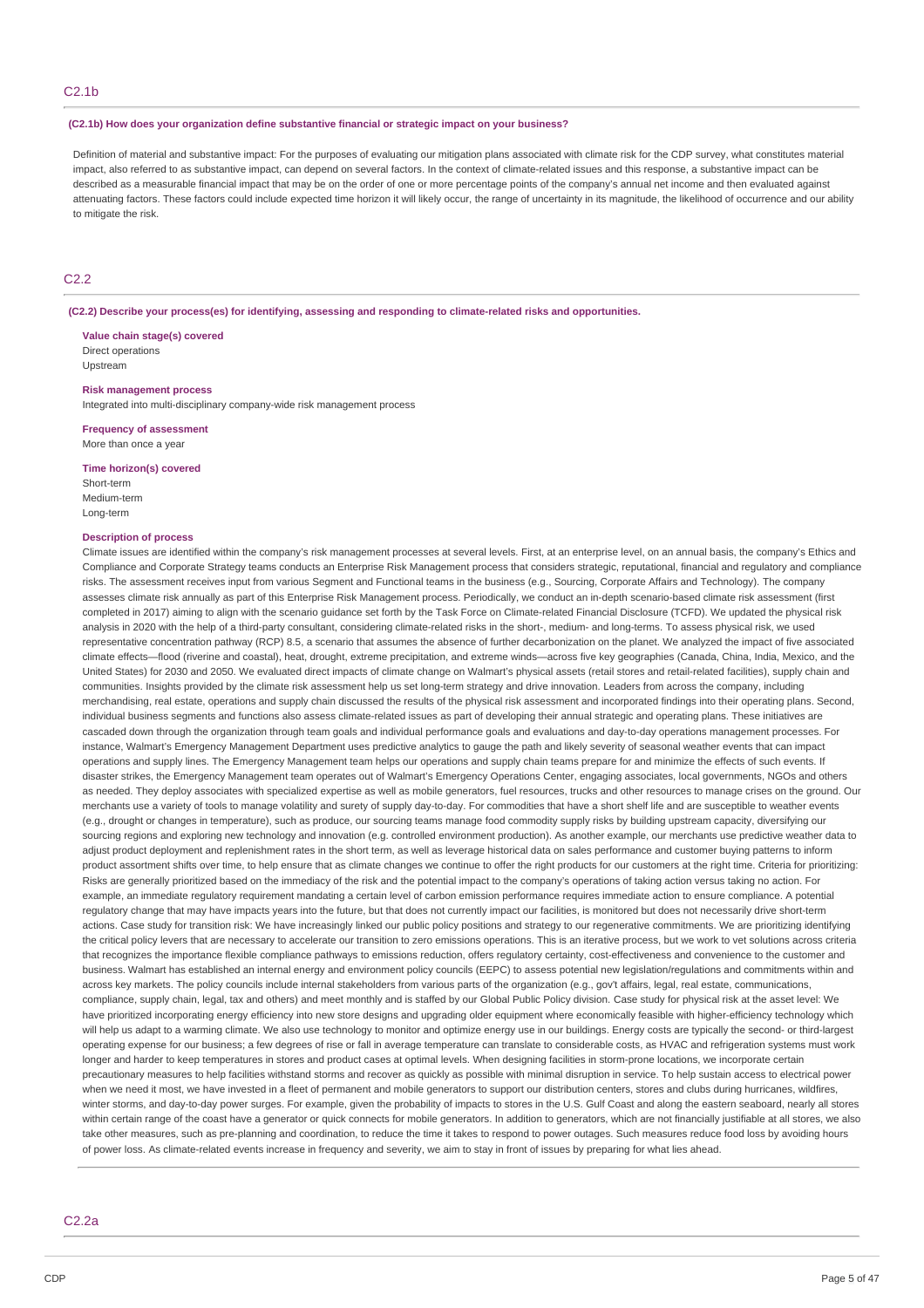#### **(C2.1b) How does your organization define substantive financial or strategic impact on your business?**

Definition of material and substantive impact: For the purposes of evaluating our mitigation plans associated with climate risk for the CDP survey, what constitutes material impact, also referred to as substantive impact, can depend on several factors. In the context of climate-related issues and this response, a substantive impact can be described as a measurable financial impact that may be on the order of one or more percentage points of the company's annual net income and then evaluated against attenuating factors. These factors could include expected time horizon it will likely occur, the range of uncertainty in its magnitude, the likelihood of occurrence and our ability to mitigate the risk.

### C2.2

**(C2.2) Describe your process(es) for identifying, assessing and responding to climate-related risks and opportunities.**

**Value chain stage(s) covered** Direct operations Upstream

### **Risk management process**

Integrated into multi-disciplinary company-wide risk management process

### **Frequency of assessment**

More than once a year

#### **Time horizon(s) covered**

Short-term Medium-term Long-term

### **Description of process**

Climate issues are identified within the company's risk management processes at several levels. First, at an enterprise level, on an annual basis, the company's Ethics and Compliance and Corporate Strategy teams conducts an Enterprise Risk Management process that considers strategic, reputational, financial and regulatory and compliance risks. The assessment receives input from various Segment and Functional teams in the business (e.g., Sourcing, Corporate Affairs and Technology). The company assesses climate risk annually as part of this Enterprise Risk Management process. Periodically, we conduct an in-depth scenario-based climate risk assessment (first completed in 2017) aiming to align with the scenario guidance set forth by the Task Force on Climate-related Financial Disclosure (TCFD). We updated the physical risk analysis in 2020 with the help of a third-party consultant, considering climate-related risks in the short-, medium- and long-terms. To assess physical risk, we used representative concentration pathway (RCP) 8.5, a scenario that assumes the absence of further decarbonization on the planet. We analyzed the impact of five associated climate effects—flood (riverine and coastal), heat, drought, extreme precipitation, and extreme winds—across five key geographies (Canada, China, India, Mexico, and the United States) for 2030 and 2050. We evaluated direct impacts of climate change on Walmart's physical assets (retail stores and retail-related facilities), supply chain and communities. Insights provided by the climate risk assessment help us set long-term strategy and drive innovation. Leaders from across the company, including merchandising, real estate, operations and supply chain discussed the results of the physical risk assessment and incorporated findings into their operating plans. Second, individual business segments and functions also assess climate-related issues as part of developing their annual strategic and operating plans. These initiatives are cascaded down through the organization through team goals and individual performance goals and evaluations and day-to-day operations management processes. For instance, Walmart's Emergency Management Department uses predictive analytics to gauge the path and likely severity of seasonal weather events that can impact operations and supply lines. The Emergency Management team helps our operations and supply chain teams prepare for and minimize the effects of such events. If disaster strikes, the Emergency Management team operates out of Walmart's Emergency Operations Center, engaging associates, local governments, NGOs and others as needed. They deploy associates with specialized expertise as well as mobile generators, fuel resources, trucks and other resources to manage crises on the ground. Our merchants use a variety of tools to manage volatility and surety of supply day-to-day. For commodities that have a short shelf life and are susceptible to weather events (e.g., drought or changes in temperature), such as produce, our sourcing teams manage food commodity supply risks by building upstream capacity, diversifying our sourcing regions and exploring new technology and innovation (e.g. controlled environment production). As another example, our merchants use predictive weather data to adjust product deployment and replenishment rates in the short term, as well as leverage historical data on sales performance and customer buying patterns to inform product assortment shifts over time, to help ensure that as climate changes we continue to offer the right products for our customers at the right time. Criteria for prioritizing: Risks are generally prioritized based on the immediacy of the risk and the potential impact to the company's operations of taking action versus taking no action. For example, an immediate regulatory requirement mandating a certain level of carbon emission performance requires immediate action to ensure compliance. A potential regulatory change that may have impacts years into the future, but that does not currently impact our facilities, is monitored but does not necessarily drive short-term actions. Case study for transition risk: We have increasingly linked our public policy positions and strategy to our regenerative commitments. We are prioritizing identifying the critical policy levers that are necessary to accelerate our transition to zero emissions operations. This is an iterative process, but we work to vet solutions across criteria that recognizes the importance flexible compliance pathways to emissions reduction, offers regulatory certainty, cost-effectiveness and convenience to the customer and business. Walmart has established an internal energy and environment policy councils (EEPC) to assess potential new legislation/regulations and commitments within and across key markets. The policy councils include internal stakeholders from various parts of the organization (e.g., gov't affairs, legal, real estate, communications, compliance, supply chain, legal, tax and others) and meet monthly and is staffed by our Global Public Policy division. Case study for physical risk at the asset level: We have prioritized incorporating energy efficiency into new store designs and upgrading older equipment where economically feasible with higher-efficiency technology which will help us adapt to a warming climate. We also use technology to monitor and optimize energy use in our buildings. Energy costs are typically the second- or third-largest operating expense for our business; a few degrees of rise or fall in average temperature can translate to considerable costs, as HVAC and refrigeration systems must work longer and harder to keep temperatures in stores and product cases at optimal levels. When designing facilities in storm-prone locations, we incorporate certain precautionary measures to help facilities withstand storms and recover as quickly as possible with minimal disruption in service. To help sustain access to electrical power when we need it most, we have invested in a fleet of permanent and mobile generators to support our distribution centers, stores and clubs during hurricanes, wildfires, winter storms, and day-to-day power surges. For example, given the probability of impacts to stores in the U.S. Gulf Coast and along the eastern seaboard, nearly all stores within certain range of the coast have a generator or quick connects for mobile generators. In addition to generators, which are not financially justifiable at all stores, we also take other measures, such as pre-planning and coordination, to reduce the time it takes to respond to power outages. Such measures reduce food loss by avoiding hours of power loss. As climate-related events increase in frequency and severity, we aim to stay in front of issues by preparing for what lies ahead.

### C2.2a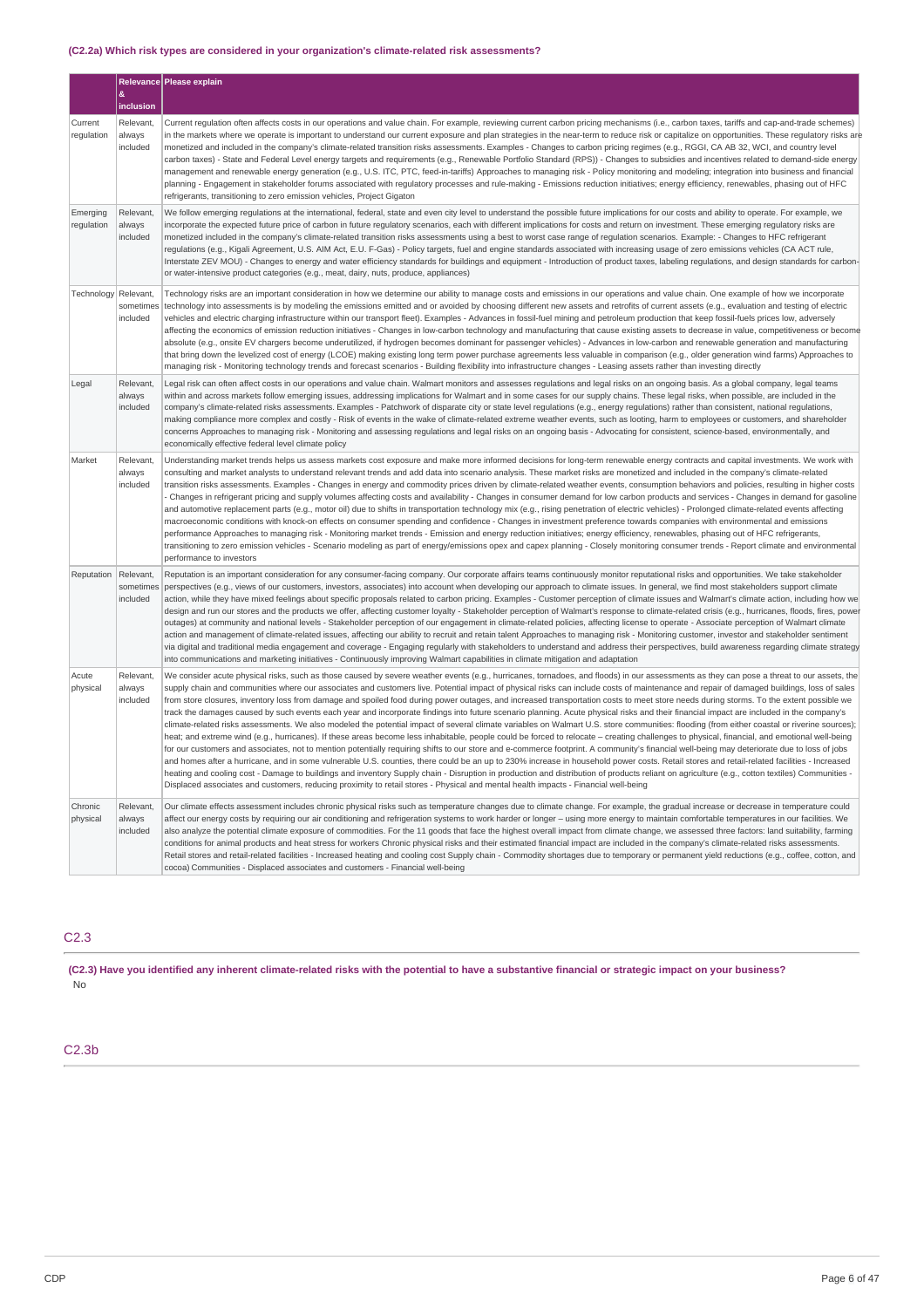### **(C2.2a) Which risk types are considered in your organization's climate-related risk assessments?**

|                        | &                                            | Relevance Please explain                                                                                                                                                                                                                                                                                                                                                                                                                                                                                                                                                                                                                                                                                                                                                                                                                                                                                                                                                                                                                                                                                                                                                                                                                                                                                                                                                                                                                                                                                                                                                                                                                                                                                                                                                                                                                                                                                        |
|------------------------|----------------------------------------------|-----------------------------------------------------------------------------------------------------------------------------------------------------------------------------------------------------------------------------------------------------------------------------------------------------------------------------------------------------------------------------------------------------------------------------------------------------------------------------------------------------------------------------------------------------------------------------------------------------------------------------------------------------------------------------------------------------------------------------------------------------------------------------------------------------------------------------------------------------------------------------------------------------------------------------------------------------------------------------------------------------------------------------------------------------------------------------------------------------------------------------------------------------------------------------------------------------------------------------------------------------------------------------------------------------------------------------------------------------------------------------------------------------------------------------------------------------------------------------------------------------------------------------------------------------------------------------------------------------------------------------------------------------------------------------------------------------------------------------------------------------------------------------------------------------------------------------------------------------------------------------------------------------------------|
| Current<br>regulation  | inclusion<br>Relevant,<br>always<br>included | Current regulation often affects costs in our operations and value chain. For example, reviewing current carbon pricing mechanisms (i.e., carbon taxes, tariffs and cap-and-trade schemes)<br>in the markets where we operate is important to understand our current exposure and plan strategies in the near-term to reduce risk or capitalize on opportunities. These regulatory risks are<br>monetized and included in the company's climate-related transition risks assessments. Examples - Changes to carbon pricing regimes (e.g., RGGI, CA AB 32, WCI, and country level<br>carbon taxes) - State and Federal Level energy targets and requirements (e.g., Renewable Portfolio Standard (RPS)) - Changes to subsidies and incentives related to demand-side energy<br>management and renewable energy generation (e.g., U.S. ITC, PTC, feed-in-tariffs) Approaches to managing risk - Policy monitoring and modeling; integration into business and financial<br>planning - Engagement in stakeholder forums associated with regulatory processes and rule-making - Emissions reduction initiatives; energy efficiency, renewables, phasing out of HFC<br>refrigerants, transitioning to zero emission vehicles, Project Gigaton                                                                                                                                                                                                                                                                                                                                                                                                                                                                                                                                                                                                                                                                        |
| Emerging<br>regulation | Relevant,<br>always<br>included              | We follow emerging regulations at the international, federal, state and even city level to understand the possible future implications for our costs and ability to operate. For example, we<br>incorporate the expected future price of carbon in future regulatory scenarios, each with different implications for costs and return on investment. These emerging regulatory risks are<br>monetized included in the company's climate-related transition risks assessments using a best to worst case range of regulation scenarios. Example: - Changes to HFC refrigerant<br>regulations (e.g., Kigali Agreement, U.S. AIM Act, E.U. F-Gas) - Policy targets, fuel and engine standards associated with increasing usage of zero emissions vehicles (CA ACT rule,<br>Interstate ZEV MOU) - Changes to energy and water efficiency standards for buildings and equipment - Introduction of product taxes, labeling regulations, and design standards for carbon-<br>or water-intensive product categories (e.g., meat, dairy, nuts, produce, appliances)                                                                                                                                                                                                                                                                                                                                                                                                                                                                                                                                                                                                                                                                                                                                                                                                                                                      |
| Technology             | Relevant,<br>sometimes<br>included           | Technology risks are an important consideration in how we determine our ability to manage costs and emissions in our operations and value chain. One example of how we incorporate<br>technology into assessments is by modeling the emissions emitted and or avoided by choosing different new assets and retrofits of current assets (e.g., evaluation and testing of electric<br>vehicles and electric charging infrastructure within our transport fleet). Examples - Advances in fossil-fuel mining and petroleum production that keep fossil-fuels prices low, adversely<br>affecting the economics of emission reduction initiatives - Changes in low-carbon technology and manufacturing that cause existing assets to decrease in value, competitiveness or become<br>absolute (e.g., onsite EV chargers become underutilized, if hydrogen becomes dominant for passenger vehicles) - Advances in low-carbon and renewable generation and manufacturing<br>that bring down the levelized cost of energy (LCOE) making existing long term power purchase agreements less valuable in comparison (e.g., older generation wind farms) Approaches to<br>managing risk - Monitoring technology trends and forecast scenarios - Building flexibility into infrastructure changes - Leasing assets rather than investing directly                                                                                                                                                                                                                                                                                                                                                                                                                                                                                                                                                                             |
| Legal                  | Relevant<br>always<br>included               | Legal risk can often affect costs in our operations and value chain. Walmart monitors and assesses regulations and legal risks on an ongoing basis. As a global company, legal teams<br>within and across markets follow emerging issues, addressing implications for Walmart and in some cases for our supply chains. These legal risks, when possible, are included in the<br>company's climate-related risks assessments. Examples - Patchwork of disparate city or state level regulations (e.g., energy regulations) rather than consistent, national regulations,<br>making compliance more complex and costly - Risk of events in the wake of climate-related extreme weather events, such as looting, harm to employees or customers, and shareholder<br>concerns Approaches to managing risk - Monitoring and assessing regulations and legal risks on an ongoing basis - Advocating for consistent, science-based, environmentally, and<br>economically effective federal level climate policy                                                                                                                                                                                                                                                                                                                                                                                                                                                                                                                                                                                                                                                                                                                                                                                                                                                                                                        |
| Market                 | Relevant,<br>always<br>included              | Understanding market trends helps us assess markets cost exposure and make more informed decisions for long-term renewable energy contracts and capital investments. We work with<br>consulting and market analysts to understand relevant trends and add data into scenario analysis. These market risks are monetized and included in the company's climate-related<br>transition risks assessments. Examples - Changes in energy and commodity prices driven by climate-related weather events, consumption behaviors and policies, resulting in higher costs<br>Changes in refrigerant pricing and supply volumes affecting costs and availability - Changes in consumer demand for low carbon products and services - Changes in demand for gasoline<br>and automotive replacement parts (e.g., motor oil) due to shifts in transportation technology mix (e.g., rising penetration of electric vehicles) - Prolonged climate-related events affecting<br>macroeconomic conditions with knock-on effects on consumer spending and confidence - Changes in investment preference towards companies with environmental and emissions<br>performance Approaches to managing risk - Monitoring market trends - Emission and energy reduction initiatives; energy efficiency, renewables, phasing out of HFC refrigerants,<br>transitioning to zero emission vehicles - Scenario modeling as part of energy/emissions opex and capex planning - Closely monitoring consumer trends - Report climate and environmental<br>performance to investors                                                                                                                                                                                                                                                                                                                                                               |
| Reputation             | Relevant.<br>sometimes<br>included           | Reputation is an important consideration for any consumer-facing company. Our corporate affairs teams continuously monitor reputational risks and opportunities. We take stakeholder<br>perspectives (e.g., views of our customers, investors, associates) into account when developing our approach to climate issues. In general, we find most stakeholders support climate<br>action, while they have mixed feelings about specific proposals related to carbon pricing. Examples - Customer perception of climate issues and Walmart's climate action, including how we<br>design and run our stores and the products we offer, affecting customer loyalty - Stakeholder perception of Walmart's response to climate-related crisis (e.g., hurricanes, floods, fires, power<br>outages) at community and national levels - Stakeholder perception of our engagement in climate-related policies, affecting license to operate - Associate perception of Walmart climate<br>action and management of climate-related issues, affecting our ability to recruit and retain talent Approaches to managing risk - Monitoring customer, investor and stakeholder sentiment<br>via digital and traditional media engagement and coverage - Engaging regularly with stakeholders to understand and address their perspectives, build awareness regarding climate strategy<br>into communications and marketing initiatives - Continuously improving Walmart capabilities in climate mitigation and adaptation                                                                                                                                                                                                                                                                                                                                                                                                       |
| Acute<br>physical      | Relevant,<br>always<br>included              | We consider acute physical risks, such as those caused by severe weather events (e.g., hurricanes, tornadoes, and floods) in our assessments as they can pose a threat to our assets, the<br>supply chain and communities where our associates and customers live. Potential impact of physical risks can include costs of maintenance and repair of damaged buildings, loss of sales<br>from store closures, inventory loss from damage and spoiled food during power outages, and increased transportation costs to meet store needs during storms. To the extent possible we<br>track the damages caused by such events each year and incorporate findings into future scenario planning. Acute physical risks and their financial impact are included in the company's<br>climate-related risks assessments. We also modeled the potential impact of several climate variables on Walmart U.S. store communities: flooding (from either coastal or riverine sources);<br>heat; and extreme wind (e.g., hurricanes). If these areas become less inhabitable, people could be forced to relocate - creating challenges to physical, financial, and emotional well-being<br>for our customers and associates, not to mention potentially requiring shifts to our store and e-commerce footprint. A community's financial well-being may deteriorate due to loss of jobs<br>and homes after a hurricane, and in some vulnerable U.S. counties, there could be an up to 230% increase in household power costs. Retail stores and retail-related facilities - Increased<br>heating and cooling cost - Damage to buildings and inventory Supply chain - Disruption in production and distribution of products reliant on agriculture (e.g., cotton textiles) Communities -<br>Displaced associates and customers, reducing proximity to retail stores - Physical and mental health impacts - Financial well-being |
| Chronic<br>physical    | Relevant,<br>always<br>included              | Our climate effects assessment includes chronic physical risks such as temperature changes due to climate change. For example, the gradual increase or decrease in temperature could<br>affect our energy costs by requiring our air conditioning and refrigeration systems to work harder or longer – using more energy to maintain comfortable temperatures in our facilities. We<br>also analyze the potential climate exposure of commodities. For the 11 goods that face the highest overall impact from climate change, we assessed three factors: land suitability, farming<br>conditions for animal products and heat stress for workers Chronic physical risks and their estimated financial impact are included in the company's climate-related risks assessments.<br>Retail stores and retail-related facilities - Increased heating and cooling cost Supply chain - Commodity shortages due to temporary or permanent yield reductions (e.g., coffee, cotton, and<br>cocoa) Communities - Displaced associates and customers - Financial well-being                                                                                                                                                                                                                                                                                                                                                                                                                                                                                                                                                                                                                                                                                                                                                                                                                                                |

### C2.3

(C2.3) Have you identified any inherent climate-related risks with the potential to have a substantive financial or strategic impact on your business? No

### C2.3b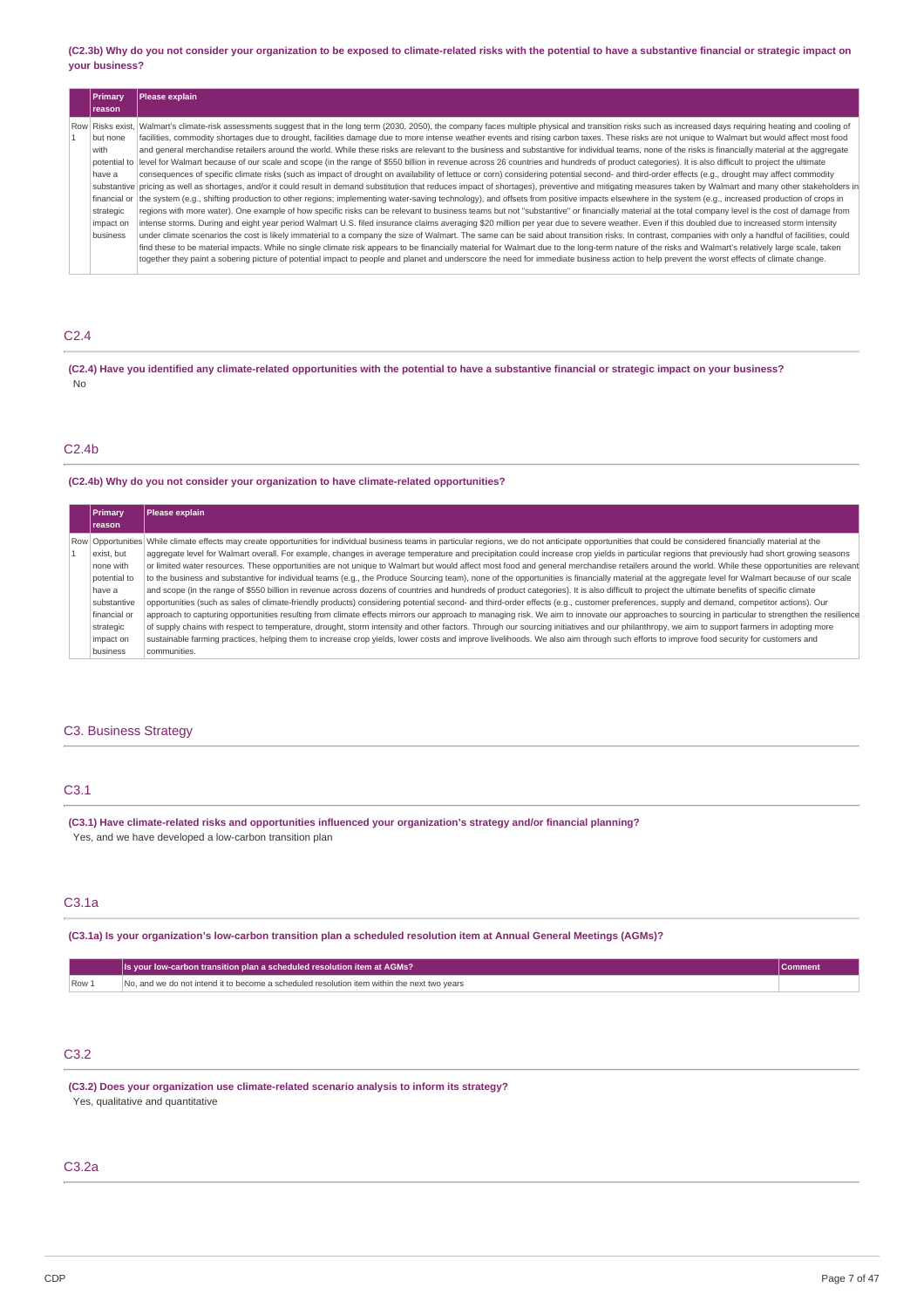(C2.3b) Why do you not consider your organization to be exposed to climate-related risks with the potential to have a substantive financial or strategic impact on **your business?**

| Primary<br>reason                                                                                    | Please explain                                                                                                                                                                                                                                                                                                                                                                                                                                                                                                                                                                                                                                                                                                                                                                                                                                                                                                                                                                                                                                                                                                                                                                                                                                                                                                                                                                                                                                                                                                                                                                                                                                                                                                                                                                                                                                                                                                                                                                                                                                                   |
|------------------------------------------------------------------------------------------------------|------------------------------------------------------------------------------------------------------------------------------------------------------------------------------------------------------------------------------------------------------------------------------------------------------------------------------------------------------------------------------------------------------------------------------------------------------------------------------------------------------------------------------------------------------------------------------------------------------------------------------------------------------------------------------------------------------------------------------------------------------------------------------------------------------------------------------------------------------------------------------------------------------------------------------------------------------------------------------------------------------------------------------------------------------------------------------------------------------------------------------------------------------------------------------------------------------------------------------------------------------------------------------------------------------------------------------------------------------------------------------------------------------------------------------------------------------------------------------------------------------------------------------------------------------------------------------------------------------------------------------------------------------------------------------------------------------------------------------------------------------------------------------------------------------------------------------------------------------------------------------------------------------------------------------------------------------------------------------------------------------------------------------------------------------------------|
| Row Risks exist.<br>but none<br>with<br>have a<br>financial or<br>strategic<br>impact on<br>business | Walmart's climate-risk assessments suggest that in the long term (2030, 2050), the company faces multiple physical and transition risks such as increased days requiring heating and cooling of<br>facilities, commodity shortages due to drought, facilities damage due to more intense weather events and rising carbon taxes. These risks are not unique to Walmart but would affect most food<br>and general merchandise retailers around the world. While these risks are relevant to the business and substantive for individual teams, none of the risks is financially material at the aggregate<br>potential to  level for Walmart because of our scale and scope (in the range of \$550 billion in revenue across 26 countries and hundreds of product categories). It is also difficult to project the ultimate<br>consequences of specific climate risks (such as impact of drought on availability of lettuce or corn) considering potential second- and third-order effects (e.g., drought may affect commodity<br>substantive pricing as well as shortages, and/or it could result in demand substitution that reduces impact of shortages), preventive and mitigating measures taken by Walmart and many other stakeholders in<br>the system (e.g., shifting production to other regions; implementing water-saving technology), and offsets from positive impacts elsewhere in the system (e.g., increased production of crops in<br>regions with more water). One example of how specific risks can be relevant to business teams but not "substantive" or financially material at the total company level is the cost of damage from<br>intense storms. During and eight year period Walmart U.S. filed insurance claims averaging \$20 million per year due to severe weather. Even if this doubled due to increased storm intensity<br>under climate scenarios the cost is likely immaterial to a company the size of Walmart. The same can be said about transition risks. In contrast, companies with only a handful of facilities, could |
|                                                                                                      | find these to be material impacts. While no single climate risk appears to be financially material for Walmart due to the long-term nature of the risks and Walmart's relatively large scale, taken<br>together they paint a sobering picture of potential impact to people and planet and underscore the need for immediate business action to help prevent the worst effects of climate change.                                                                                                                                                                                                                                                                                                                                                                                                                                                                                                                                                                                                                                                                                                                                                                                                                                                                                                                                                                                                                                                                                                                                                                                                                                                                                                                                                                                                                                                                                                                                                                                                                                                                |

## C2.4

(C2.4) Have you identified any climate-related opportunities with the potential to have a substantive financial or strategic impact on your business? No

### C2.4b

### **(C2.4b) Why do you not consider your organization to have climate-related opportunities?**

| <b>Primary</b> | Please explain                                                                                                                                                                                                |
|----------------|---------------------------------------------------------------------------------------------------------------------------------------------------------------------------------------------------------------|
| reason         |                                                                                                                                                                                                               |
|                | Row Opportunities While climate effects may create opportunities for individual business teams in particular regions, we do not anticipate opportunities that could be considered financially material at the |
| exist, but     | aggregate level for Walmart overall. For example, changes in average temperature and precipitation could increase crop yields in particular regions that previously had short growing seasons                 |
| none with      | or limited water resources. These opportunities are not unique to Walmart but would affect most food and general merchandise retailers around the world. While these opportunities are relevant               |
| potential to   | to the business and substantive for individual teams (e.g., the Produce Sourcing team), none of the opportunities is financially material at the aggregate level for Walmart because of our scale             |
| have a         | and scope (in the range of \$550 billion in revenue across dozens of countries and hundreds of product categories). It is also difficult to project the ultimate benefits of specific climate                 |
| substantive    | opportunities (such as sales of climate-friendly products) considering potential second- and third-order effects (e.g., customer preferences, supply and demand, competitor actions). Our                     |
| financial or   | approach to capturing opportunities resulting from climate effects mirrors our approach to managing risk. We aim to innovate our approaches to sourcing in particular to strengthen the resilience            |
| strategic      | of supply chains with respect to temperature, drought, storm intensity and other factors. Through our sourcing initiatives and our philanthropy, we aim to support farmers in adopting more                   |
| impact on      | sustainable farming practices, helping them to increase crop yields, lower costs and improve livelihoods. We also aim through such efforts to improve food security for customers and                         |
| business       | communities.                                                                                                                                                                                                  |

## C3. Business Strategy

### C3.1

**(C3.1) Have climate-related risks and opportunities influenced your organization's strategy and/or financial planning?** Yes, and we have developed a low-carbon transition plan

### C3.1a

(C3.1a) Is your organization's low-carbon transition plan a scheduled resolution item at Annual General Meetings (AGMs)?

|       | Is your low-carbon transition plan a scheduled resolution item at AGMs?                     | ∪omment |
|-------|---------------------------------------------------------------------------------------------|---------|
| Row 1 | No, and we do not intend it to become a scheduled resolution item within the next two years |         |

## C3.2

**(C3.2) Does your organization use climate-related scenario analysis to inform its strategy?** Yes, qualitative and quantitative

### C3.2a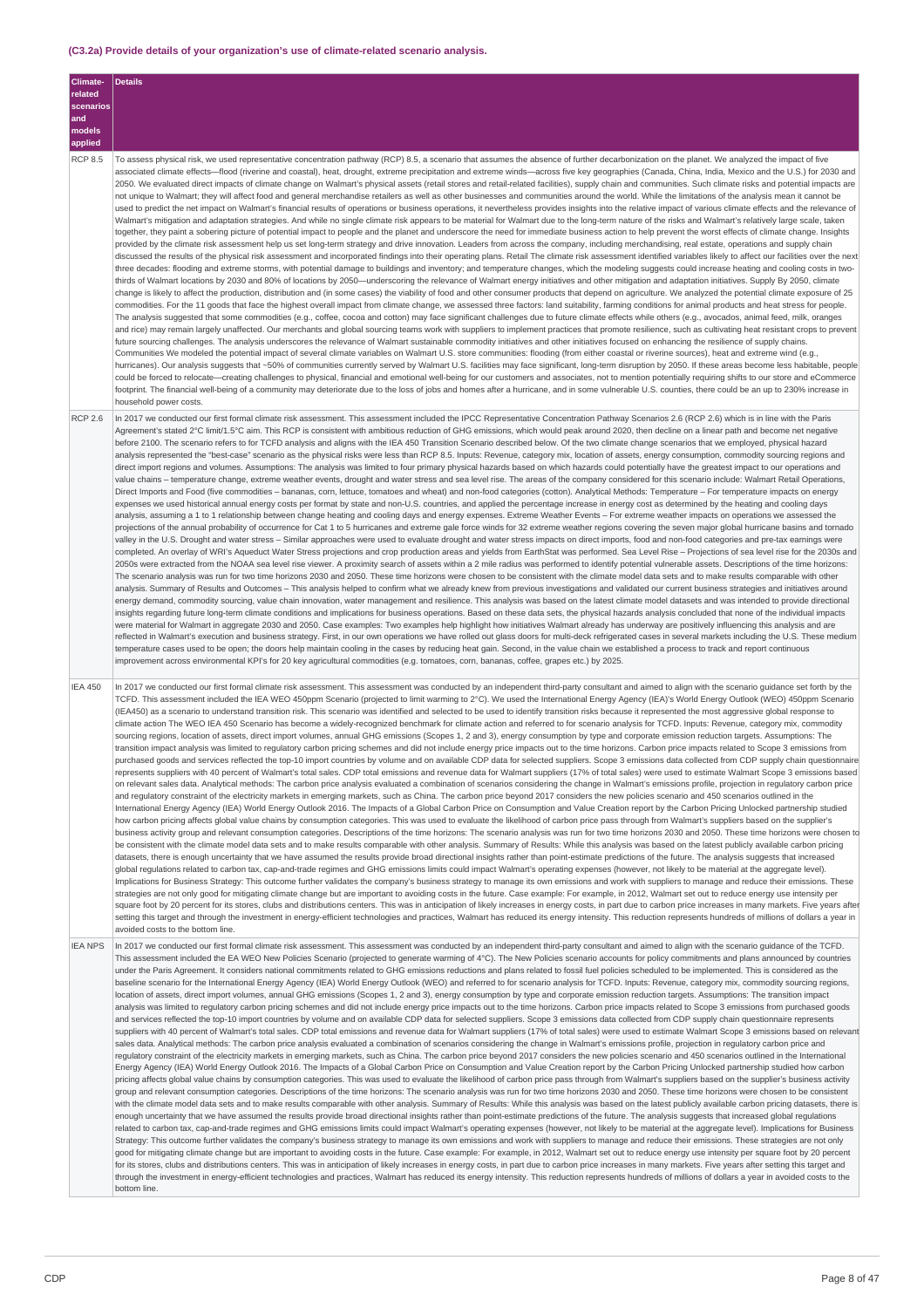## **(C3.2a) Provide details of your organization's use of climate-related scenario analysis.**

| Climate-<br>related              | <b>Details</b>                                                                                                                                                                                                                                                                                                                                                                                                                                                                                                                                                                                                                                                                                                                                                                                                                                                                                                                                                                                                                                                                                                                                                                                                                                                                                                                                                                                                                                                                                                                                                                                                                                                                                                                                                                                                                                                                                                                                                                                                                                                                                                                                                                                                                                                                                                                                                                                                                                                                                                                                                                                                                                                                                                                                                                                                                                                                                                                                                                                                                                                                                                                                                                                                                                                                                                                                                                                                                                                                                                                                                                                                                                                                                                                                                                                                                                                                                                                                                                                                                                                                                                                                                                                                                                                                                                                                                                                                      |
|----------------------------------|---------------------------------------------------------------------------------------------------------------------------------------------------------------------------------------------------------------------------------------------------------------------------------------------------------------------------------------------------------------------------------------------------------------------------------------------------------------------------------------------------------------------------------------------------------------------------------------------------------------------------------------------------------------------------------------------------------------------------------------------------------------------------------------------------------------------------------------------------------------------------------------------------------------------------------------------------------------------------------------------------------------------------------------------------------------------------------------------------------------------------------------------------------------------------------------------------------------------------------------------------------------------------------------------------------------------------------------------------------------------------------------------------------------------------------------------------------------------------------------------------------------------------------------------------------------------------------------------------------------------------------------------------------------------------------------------------------------------------------------------------------------------------------------------------------------------------------------------------------------------------------------------------------------------------------------------------------------------------------------------------------------------------------------------------------------------------------------------------------------------------------------------------------------------------------------------------------------------------------------------------------------------------------------------------------------------------------------------------------------------------------------------------------------------------------------------------------------------------------------------------------------------------------------------------------------------------------------------------------------------------------------------------------------------------------------------------------------------------------------------------------------------------------------------------------------------------------------------------------------------------------------------------------------------------------------------------------------------------------------------------------------------------------------------------------------------------------------------------------------------------------------------------------------------------------------------------------------------------------------------------------------------------------------------------------------------------------------------------------------------------------------------------------------------------------------------------------------------------------------------------------------------------------------------------------------------------------------------------------------------------------------------------------------------------------------------------------------------------------------------------------------------------------------------------------------------------------------------------------------------------------------------------------------------------------------------------------------------------------------------------------------------------------------------------------------------------------------------------------------------------------------------------------------------------------------------------------------------------------------------------------------------------------------------------------------------------------------------------------------------------------------------------------------------|
| scenarios                        |                                                                                                                                                                                                                                                                                                                                                                                                                                                                                                                                                                                                                                                                                                                                                                                                                                                                                                                                                                                                                                                                                                                                                                                                                                                                                                                                                                                                                                                                                                                                                                                                                                                                                                                                                                                                                                                                                                                                                                                                                                                                                                                                                                                                                                                                                                                                                                                                                                                                                                                                                                                                                                                                                                                                                                                                                                                                                                                                                                                                                                                                                                                                                                                                                                                                                                                                                                                                                                                                                                                                                                                                                                                                                                                                                                                                                                                                                                                                                                                                                                                                                                                                                                                                                                                                                                                                                                                                                     |
| and<br>models                    |                                                                                                                                                                                                                                                                                                                                                                                                                                                                                                                                                                                                                                                                                                                                                                                                                                                                                                                                                                                                                                                                                                                                                                                                                                                                                                                                                                                                                                                                                                                                                                                                                                                                                                                                                                                                                                                                                                                                                                                                                                                                                                                                                                                                                                                                                                                                                                                                                                                                                                                                                                                                                                                                                                                                                                                                                                                                                                                                                                                                                                                                                                                                                                                                                                                                                                                                                                                                                                                                                                                                                                                                                                                                                                                                                                                                                                                                                                                                                                                                                                                                                                                                                                                                                                                                                                                                                                                                                     |
| applied                          |                                                                                                                                                                                                                                                                                                                                                                                                                                                                                                                                                                                                                                                                                                                                                                                                                                                                                                                                                                                                                                                                                                                                                                                                                                                                                                                                                                                                                                                                                                                                                                                                                                                                                                                                                                                                                                                                                                                                                                                                                                                                                                                                                                                                                                                                                                                                                                                                                                                                                                                                                                                                                                                                                                                                                                                                                                                                                                                                                                                                                                                                                                                                                                                                                                                                                                                                                                                                                                                                                                                                                                                                                                                                                                                                                                                                                                                                                                                                                                                                                                                                                                                                                                                                                                                                                                                                                                                                                     |
| <b>RCP 8.5</b><br><b>RCP 2.6</b> | To assess physical risk, we used representative concentration pathway (RCP) 8.5, a scenario that assumes the absence of further decarbonization on the planet. We analyzed the impact of five<br>associated climate effects-flood (riverine and coastal), heat, drought, extreme precipitation and extreme winds-across five key geographies (Canada, China, India, Mexico and the U.S.) for 2030 and<br>2050. We evaluated direct impacts of climate change on Walmart's physical assets (retail stores and retail-related facilities), supply chain and communities. Such climate risks and potential impacts are<br>not unique to Walmart; they will affect food and general merchandise retailers as well as other businesses and communities around the world. While the limitations of the analysis mean it cannot be<br>used to predict the net impact on Walmart's financial results of operations or business operations, it nevertheless provides insights into the relative impact of various climate effects and the relevance of<br>Walmart's mitigation and adaptation strategies. And while no single climate risk appears to be material for Walmart due to the long-term nature of the risks and Walmart's relatively large scale, taken<br>together, they paint a sobering picture of potential impact to people and the planet and underscore the need for immediate business action to help prevent the worst effects of climate change. Insights<br>provided by the climate risk assessment help us set long-term strategy and drive innovation. Leaders from across the company, including merchandising, real estate, operations and supply chain<br>discussed the results of the physical risk assessment and incorporated findings into their operating plans. Retail The climate risk assessment identified variables likely to affect our facilities over the next<br>three decades: flooding and extreme storms, with potential damage to buildings and inventory; and temperature changes, which the modeling suggests could increase heating and cooling costs in two-<br>thirds of Walmart locations by 2030 and 80% of locations by 2050—underscoring the relevance of Walmart energy initiatives and other mitigation and adaptation initiatives. Supply By 2050, climate<br>change is likely to affect the production, distribution and (in some cases) the viability of food and other consumer products that depend on agriculture. We analyzed the potential climate exposure of 25<br>commodities. For the 11 goods that face the highest overall impact from climate change, we assessed three factors: land suitability, farming conditions for animal products and heat stress for people.<br>The analysis suggested that some commodities (e.g., coffee, cocoa and cotton) may face significant challenges due to future climate effects while others (e.g., avocados, animal feed, milk, oranges<br>and rice) may remain largely unaffected. Our merchants and global sourcing teams work with suppliers to implement practices that promote resilience, such as cultivating heat resistant crops to prevent<br>future sourcing challenges. The analysis underscores the relevance of Walmart sustainable commodity initiatives and other initiatives focused on enhancing the resilience of supply chains.<br>Communities We modeled the potential impact of several climate variables on Walmart U.S. store communities: flooding (from either coastal or riverine sources), heat and extreme wind (e.g.,<br>hurricanes). Our analysis suggests that ~50% of communities currently served by Walmart U.S. facilities may face significant, long-term disruption by 2050. If these areas become less habitable, people<br>could be forced to relocate—creating challenges to physical, financial and emotional well-being for our customers and associates, not to mention potentially requiring shifts to our store and eCommerce<br>footprint. The financial well-being of a community may deteriorate due to the loss of jobs and homes after a hurricane, and in some vulnerable U.S. counties, there could be an up to 230% increase in<br>household power costs.<br>In 2017 we conducted our first formal climate risk assessment. This assessment included the IPCC Representative Concentration Pathway Scenarios 2.6 (RCP 2.6) which is in line with the Paris |
|                                  | Agreement's stated 2°C limit/1.5°C aim. This RCP is consistent with ambitious reduction of GHG emissions, which would peak around 2020, then decline on a linear path and become net negative<br>before 2100. The scenario refers to for TCFD analysis and aligns with the IEA 450 Transition Scenario described below. Of the two climate change scenarios that we employed, physical hazard<br>analysis represented the "best-case" scenario as the physical risks were less than RCP 8.5. Inputs: Revenue, category mix, location of assets, energy consumption, commodity sourcing regions and<br>direct import regions and volumes. Assumptions: The analysis was limited to four primary physical hazards based on which hazards could potentially have the greatest impact to our operations and<br>value chains - temperature change, extreme weather events, drought and water stress and sea level rise. The areas of the company considered for this scenario include: Walmart Retail Operations,<br>Direct Imports and Food (five commodities - bananas, corn, lettuce, tomatoes and wheat) and non-food categories (cotton). Analytical Methods: Temperature - For temperature impacts on energy<br>expenses we used historical annual energy costs per format by state and non-U.S. countries, and applied the percentage increase in energy cost as determined by the heating and cooling days<br>analysis, assuming a 1 to 1 relationship between change heating and cooling days and energy expenses. Extreme Weather Events - For extreme weather impacts on operations we assessed the<br>projections of the annual probability of occurrence for Cat 1 to 5 hurricanes and extreme gale force winds for 32 extreme weather regions covering the seven major global hurricane basins and tornado<br>valley in the U.S. Drought and water stress - Similar approaches were used to evaluate drought and water stress impacts on direct imports, food and non-food categories and pre-tax earnings were<br>completed. An overlay of WRI's Aqueduct Water Stress projections and crop production areas and yields from EarthStat was performed. Sea Level Rise - Projections of sea level rise for the 2030s and<br>2050s were extracted from the NOAA sea level rise viewer. A proximity search of assets within a 2 mile radius was performed to identify potential vulnerable assets. Descriptions of the time horizons:<br>The scenario analysis was run for two time horizons 2030 and 2050. These time horizons were chosen to be consistent with the climate model data sets and to make results comparable with other<br>analysis. Summary of Results and Outcomes - This analysis helped to confirm what we already knew from previous investigations and validated our current business strategies and initiatives around<br>energy demand, commodity sourcing, value chain innovation, water management and resilience. This analysis was based on the latest climate model datasets and was intended to provide directional<br>insights regarding future long-term climate conditions and implications for business operations. Based on these data sets, the physical hazards analysis concluded that none of the individual impacts<br>were material for Walmart in aggregate 2030 and 2050. Case examples: Two examples help highlight how initiatives Walmart already has underway are positively influencing this analysis and are<br>reflected in Walmart's execution and business strategy. First, in our own operations we have rolled out glass doors for multi-deck refrigerated cases in several markets including the U.S. These medium<br>temperature cases used to be open; the doors help maintain cooling in the cases by reducing heat gain. Second, in the value chain we established a process to track and report continuous<br>improvement across environmental KPI's for 20 key agricultural commodities (e.g. tomatoes, corn, bananas, coffee, grapes etc.) by 2025.                                                                                                                                                                                                                                                                                                                                                                                             |
| <b>IEA 450</b>                   | In 2017 we conducted our first formal climate risk assessment. This assessment was conducted by an independent third-party consultant and aimed to align with the scenario guidance set forth by the<br>TCFD. This assessment included the IEA WEO 450ppm Scenario (projected to limit warming to 2°C). We used the International Energy Agency (IEA)'s World Energy Outlook (WEO) 450ppm Scenario<br>(IEA450) as a scenario to understand transition risk. This scenario was identified and selected to be used to identify transition risks because it represented the most aggressive global response to<br>climate action The WEO IEA 450 Scenario has become a widely-recognized benchmark for climate action and referred to for scenario analysis for TCFD. Inputs: Revenue, category mix, commodity<br>sourcing regions, location of assets, direct import volumes, annual GHG emissions (Scopes 1, 2 and 3), energy consumption by type and corporate emission reduction targets. Assumptions: The<br>transition impact analysis was limited to regulatory carbon pricing schemes and did not include energy price impacts out to the time horizons. Carbon price impacts related to Scope 3 emissions from<br>purchased goods and services reflected the top-10 import countries by volume and on available CDP data for selected suppliers. Scope 3 emissions data collected from CDP supply chain questionnaire<br>represents suppliers with 40 percent of Walmart's total sales. CDP total emissions and revenue data for Walmart suppliers (17% of total sales) were used to estimate Walmart Scope 3 emissions based<br>on relevant sales data. Analytical methods: The carbon price analysis evaluated a combination of scenarios considering the change in Walmart's emissions profile, projection in regulatory carbon price<br>and regulatory constraint of the electricity markets in emerging markets, such as China. The carbon price beyond 2017 considers the new policies scenario and 450 scenarios outlined in the<br>International Energy Agency (IEA) World Energy Outlook 2016. The Impacts of a Global Carbon Price on Consumption and Value Creation report by the Carbon Pricing Unlocked partnership studied<br>how carbon pricing affects global value chains by consumption categories. This was used to evaluate the likelihood of carbon price pass through from Walmart's suppliers based on the supplier's<br>business activity group and relevant consumption categories. Descriptions of the time horizons: The scenario analysis was run for two time horizons 2030 and 2050. These time horizons were chosen to<br>be consistent with the climate model data sets and to make results comparable with other analysis. Summary of Results: While this analysis was based on the latest publicly available carbon pricing<br>datasets, there is enough uncertainty that we have assumed the results provide broad directional insights rather than point-estimate predictions of the future. The analysis suggests that increased<br>global regulations related to carbon tax, cap-and-trade regimes and GHG emissions limits could impact Walmart's operating expenses (however, not likely to be material at the aggregate level).<br>Implications for Business Strategy: This outcome further validates the company's business strategy to manage its own emissions and work with suppliers to manage and reduce their emissions. These<br>strategies are not only good for mitigating climate change but are important to avoiding costs in the future. Case example: For example, in 2012, Walmart set out to reduce energy use intensity per<br>square foot by 20 percent for its stores, clubs and distributions centers. This was in anticipation of likely increases in energy costs, in part due to carbon price increases in many markets. Five years after<br>setting this target and through the investment in energy-efficient technologies and practices, Walmart has reduced its energy intensity. This reduction represents hundreds of millions of dollars a year in<br>avoided costs to the bottom line.                                                                                                                                                                                                                                               |
| <b>IEA NPS</b>                   | In 2017 we conducted our first formal climate risk assessment. This assessment was conducted by an independent third-party consultant and aimed to align with the scenario guidance of the TCFD.<br>This assessment included the EA WEO New Policies Scenario (projected to generate warming of 4°C). The New Policies scenario accounts for policy commitments and plans announced by countries<br>under the Paris Agreement. It considers national commitments related to GHG emissions reductions and plans related to fossil fuel policies scheduled to be implemented. This is considered as the<br>baseline scenario for the International Energy Agency (IEA) World Energy Outlook (WEO) and referred to for scenario analysis for TCFD. Inputs: Revenue, category mix, commodity sourcing regions,<br>location of assets, direct import volumes, annual GHG emissions (Scopes 1, 2 and 3), energy consumption by type and corporate emission reduction targets. Assumptions: The transition impact<br>analysis was limited to regulatory carbon pricing schemes and did not include energy price impacts out to the time horizons. Carbon price impacts related to Scope 3 emissions from purchased goods<br>and services reflected the top-10 import countries by volume and on available CDP data for selected suppliers. Scope 3 emissions data collected from CDP supply chain questionnaire represents<br>suppliers with 40 percent of Walmart's total sales. CDP total emissions and revenue data for Walmart suppliers (17% of total sales) were used to estimate Walmart Scope 3 emissions based on relevant<br>sales data. Analytical methods: The carbon price analysis evaluated a combination of scenarios considering the change in Walmart's emissions profile, projection in regulatory carbon price and<br>regulatory constraint of the electricity markets in emerging markets, such as China. The carbon price beyond 2017 considers the new policies scenario and 450 scenarios outlined in the International<br>Energy Agency (IEA) World Energy Outlook 2016. The Impacts of a Global Carbon Price on Consumption and Value Creation report by the Carbon Pricing Unlocked partnership studied how carbon<br>pricing affects global value chains by consumption categories. This was used to evaluate the likelihood of carbon price pass through from Walmart's suppliers based on the supplier's business activity<br>group and relevant consumption categories. Descriptions of the time horizons: The scenario analysis was run for two time horizons 2030 and 2050. These time horizons were chosen to be consistent<br>with the climate model data sets and to make results comparable with other analysis. Summary of Results: While this analysis was based on the latest publicly available carbon pricing datasets, there is<br>enough uncertainty that we have assumed the results provide broad directional insights rather than point-estimate predictions of the future. The analysis suggests that increased global regulations<br>related to carbon tax, cap-and-trade regimes and GHG emissions limits could impact Walmart's operating expenses (however, not likely to be material at the aggregate level). Implications for Business<br>Strategy: This outcome further validates the company's business strategy to manage its own emissions and work with suppliers to manage and reduce their emissions. These strategies are not only<br>good for mitigating climate change but are important to avoiding costs in the future. Case example: For example, in 2012, Walmart set out to reduce energy use intensity per square foot by 20 percent<br>for its stores, clubs and distributions centers. This was in anticipation of likely increases in energy costs, in part due to carbon price increases in many markets. Five years after setting this target and<br>through the investment in energy-efficient technologies and practices, Walmart has reduced its energy intensity. This reduction represents hundreds of millions of dollars a year in avoided costs to the<br>bottom line.                                                                                                                                                                                                                                                                  |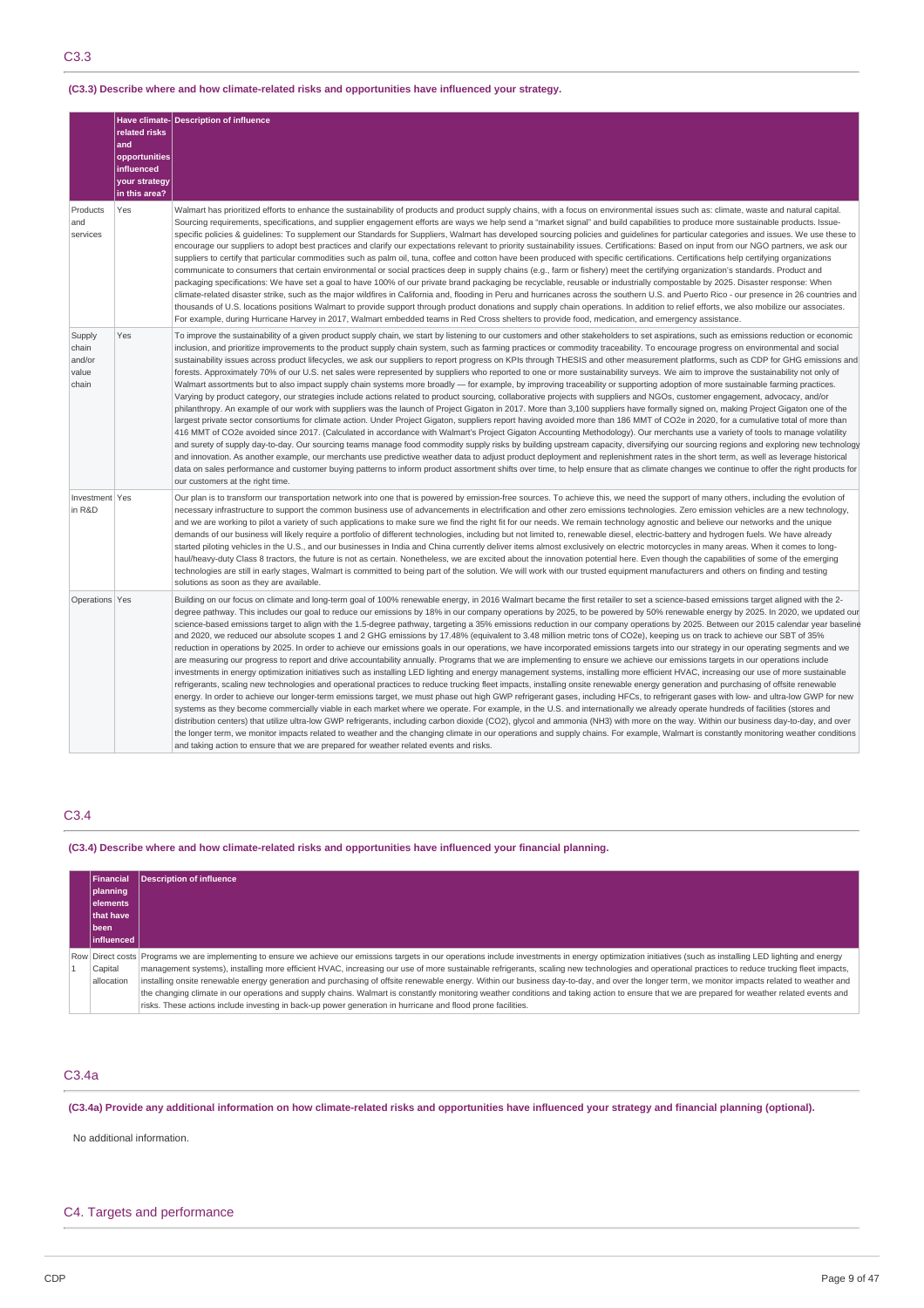## **(C3.3) Describe where and how climate-related risks and opportunities have influenced your strategy.**

|                                             | related risks<br>and<br>opportunities<br>influenced<br>your strategy<br>in this area? | Have climate-Description of influence                                                                                                                                                                                                                                                                                                                                                                                                                                                                                                                                                                                                                                                                                                                                                                                                                                                                                                                                                                                                                                                                                                                                                                                                                                                                                                                                                                                                                                                                                                                                                                                                                                                                                                                                                                                                                                                                                                                                                                                                                                                                                                                                                                                                                                                                                                                       |
|---------------------------------------------|---------------------------------------------------------------------------------------|-------------------------------------------------------------------------------------------------------------------------------------------------------------------------------------------------------------------------------------------------------------------------------------------------------------------------------------------------------------------------------------------------------------------------------------------------------------------------------------------------------------------------------------------------------------------------------------------------------------------------------------------------------------------------------------------------------------------------------------------------------------------------------------------------------------------------------------------------------------------------------------------------------------------------------------------------------------------------------------------------------------------------------------------------------------------------------------------------------------------------------------------------------------------------------------------------------------------------------------------------------------------------------------------------------------------------------------------------------------------------------------------------------------------------------------------------------------------------------------------------------------------------------------------------------------------------------------------------------------------------------------------------------------------------------------------------------------------------------------------------------------------------------------------------------------------------------------------------------------------------------------------------------------------------------------------------------------------------------------------------------------------------------------------------------------------------------------------------------------------------------------------------------------------------------------------------------------------------------------------------------------------------------------------------------------------------------------------------------------|
| Products<br>and<br>services                 | Yes                                                                                   | Walmart has prioritized efforts to enhance the sustainability of products and product supply chains, with a focus on environmental issues such as: climate, waste and natural capital.<br>Sourcing requirements, specifications, and supplier engagement efforts are ways we help send a "market signal" and build capabilities to produce more sustainable products. Issue-<br>specific policies & guidelines: To supplement our Standards for Suppliers, Walmart has developed sourcing policies and guidelines for particular categories and issues. We use these to<br>encourage our suppliers to adopt best practices and clarify our expectations relevant to priority sustainability issues. Certifications: Based on input from our NGO partners, we ask our<br>suppliers to certify that particular commodities such as palm oil, tuna, coffee and cotton have been produced with specific certifications. Certifications help certifying organizations<br>communicate to consumers that certain environmental or social practices deep in supply chains (e.g., farm or fishery) meet the certifying organization's standards. Product and<br>packaging specifications: We have set a goal to have 100% of our private brand packaging be recyclable, reusable or industrially compostable by 2025. Disaster response: When<br>climate-related disaster strike, such as the major wildfires in California and, flooding in Peru and hurricanes across the southern U.S. and Puerto Rico - our presence in 26 countries and<br>thousands of U.S. locations positions Walmart to provide support through product donations and supply chain operations. In addition to relief efforts, we also mobilize our associates.<br>For example, during Hurricane Harvey in 2017, Walmart embedded teams in Red Cross shelters to provide food, medication, and emergency assistance.                                                                                                                                                                                                                                                                                                                                                                                                                                                                         |
| Supply<br>chain<br>and/or<br>value<br>chain | Yes                                                                                   | To improve the sustainability of a given product supply chain, we start by listening to our customers and other stakeholders to set aspirations, such as emissions reduction or economic<br>inclusion, and prioritize improvements to the product supply chain system, such as farming practices or commodity traceability. To encourage progress on environmental and social<br>sustainability issues across product lifecycles, we ask our suppliers to report progress on KPIs through THESIS and other measurement platforms, such as CDP for GHG emissions and<br>forests. Approximately 70% of our U.S. net sales were represented by suppliers who reported to one or more sustainability surveys. We aim to improve the sustainability not only of<br>Walmart assortments but to also impact supply chain systems more broadly — for example, by improving traceability or supporting adoption of more sustainable farming practices.<br>Varying by product category, our strategies include actions related to product sourcing, collaborative projects with suppliers and NGOs, customer engagement, advocacy, and/or<br>philanthropy. An example of our work with suppliers was the launch of Project Gigaton in 2017. More than 3,100 suppliers have formally signed on, making Project Gigaton one of the<br>largest private sector consortiums for climate action. Under Project Gigaton, suppliers report having avoided more than 186 MMT of CO2e in 2020, for a cumulative total of more than<br>416 MMT of CO2e avoided since 2017. (Calculated in accordance with Walmart's Project Gigaton Accounting Methodology). Our merchants use a variety of tools to manage volatility<br>and surety of supply day-to-day. Our sourcing teams manage food commodity supply risks by building upstream capacity, diversifying our sourcing regions and exploring new technology<br>and innovation. As another example, our merchants use predictive weather data to adjust product deployment and replenishment rates in the short term, as well as leverage historical<br>data on sales performance and customer buying patterns to inform product assortment shifts over time, to help ensure that as climate changes we continue to offer the right products for<br>our customers at the right time.                                           |
| Investment Yes<br>in R&D                    |                                                                                       | Our plan is to transform our transportation network into one that is powered by emission-free sources. To achieve this, we need the support of many others, including the evolution of<br>necessary infrastructure to support the common business use of advancements in electrification and other zero emissions technologies. Zero emission vehicles are a new technology,<br>and we are working to pilot a variety of such applications to make sure we find the right fit for our needs. We remain technology agnostic and believe our networks and the unique<br>demands of our business will likely require a portfolio of different technologies, including but not limited to, renewable diesel, electric-battery and hydrogen fuels. We have already<br>started piloting vehicles in the U.S., and our businesses in India and China currently deliver items almost exclusively on electric motorcycles in many areas. When it comes to long-<br>haul/heavy-duty Class 8 tractors, the future is not as certain. Nonetheless, we are excited about the innovation potential here. Even though the capabilities of some of the emerging<br>technologies are still in early stages, Walmart is committed to being part of the solution. We will work with our trusted equipment manufacturers and others on finding and testing<br>solutions as soon as they are available.                                                                                                                                                                                                                                                                                                                                                                                                                                                                                                                                                                                                                                                                                                                                                                                                                                                                                                                                                                          |
| Operations Yes                              |                                                                                       | Building on our focus on climate and long-term goal of 100% renewable energy, in 2016 Walmart became the first retailer to set a science-based emissions target aligned with the 2-<br>degree pathway. This includes our goal to reduce our emissions by 18% in our company operations by 2025, to be powered by 50% renewable energy by 2025. In 2020, we updated our<br>science-based emissions target to align with the 1.5-degree pathway, targeting a 35% emissions reduction in our company operations by 2025. Between our 2015 calendar year baseline<br>and 2020, we reduced our absolute scopes 1 and 2 GHG emissions by 17.48% (equivalent to 3.48 million metric tons of CO2e), keeping us on track to achieve our SBT of 35%<br>reduction in operations by 2025. In order to achieve our emissions goals in our operations, we have incorporated emissions targets into our strategy in our operating segments and we<br>are measuring our progress to report and drive accountability annually. Programs that we are implementing to ensure we achieve our emissions targets in our operations include<br>investments in energy optimization initiatives such as installing LED lighting and energy management systems, installing more efficient HVAC, increasing our use of more sustainable<br>refrigerants, scaling new technologies and operational practices to reduce trucking fleet impacts, installing onsite renewable energy generation and purchasing of offsite renewable<br>energy. In order to achieve our longer-term emissions target, we must phase out high GWP refrigerant gases, including HFCs, to refrigerant gases with low- and ultra-low GWP for new<br>systems as they become commercially viable in each market where we operate. For example, in the U.S. and internationally we already operate hundreds of facilities (stores and<br>distribution centers) that utilize ultra-low GWP refrigerants, including carbon dioxide (CO2), glycol and ammonia (NH3) with more on the way. Within our business day-to-day, and over<br>the longer term, we monitor impacts related to weather and the changing climate in our operations and supply chains. For example, Walmart is constantly monitoring weather conditions<br>and taking action to ensure that we are prepared for weather related events and risks. |

### C3.4

**(C3.4) Describe where and how climate-related risks and opportunities have influenced your financial planning.**

| <b>Financial</b><br>planning<br>lelements<br><b>Ithat have</b><br>l been | <b>Description of influence</b>                                                                                                                                                                                                                                                                                                                                                                                                                                                                                                                                                                                                                                                                                                                                                                                                                                                                                                  |
|--------------------------------------------------------------------------|----------------------------------------------------------------------------------------------------------------------------------------------------------------------------------------------------------------------------------------------------------------------------------------------------------------------------------------------------------------------------------------------------------------------------------------------------------------------------------------------------------------------------------------------------------------------------------------------------------------------------------------------------------------------------------------------------------------------------------------------------------------------------------------------------------------------------------------------------------------------------------------------------------------------------------|
| l influenced<br>Capital<br>allocation                                    | Row Direct costs Programs we are implementing to ensure we achieve our emissions targets in our operations include investments in energy optimization initiatives (such as installing LED lighting and energy<br>management systems), installing more efficient HVAC, increasing our use of more sustainable refrigerants, scaling new technologies and operational practices to reduce trucking fleet impacts,<br>installing onsite renewable energy generation and purchasing of offsite renewable energy. Within our business day-to-day, and over the longer term, we monitor impacts related to weather and<br>the changing climate in our operations and supply chains. Walmart is constantly monitoring weather conditions and taking action to ensure that we are prepared for weather related events and<br>risks. These actions include investing in back-up power generation in hurricane and flood prone facilities. |

## C3.4a

(C3.4a) Provide any additional information on how climate-related risks and opportunities have influenced your strategy and financial planning (optional).

No additional information.

### C4. Targets and performance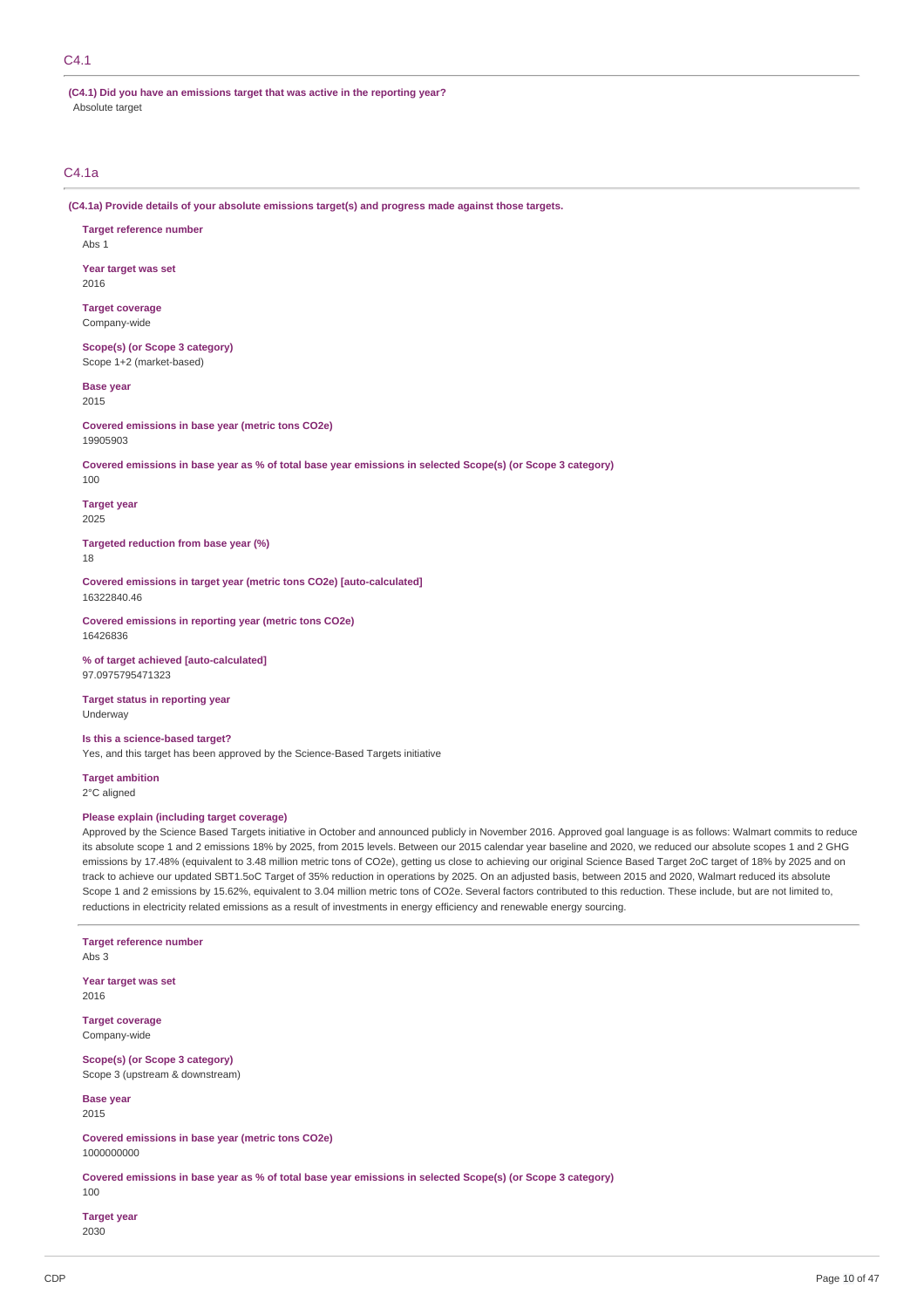### C4.1

**(C4.1) Did you have an emissions target that was active in the reporting year?** Absolute target

### C4.1a

**(C4.1a) Provide details of your absolute emissions target(s) and progress made against those targets.**

**Target reference number** Abs 1

**Year target was set** 2016

**Target coverage** Company-wide

**Scope(s) (or Scope 3 category)** Scope 1+2 (market-based)

**Base year** 2015

**Covered emissions in base year (metric tons CO2e)** 19905903

Covered emissions in base year as % of total base year emissions in selected Scope(s) (or Scope 3 category)

100

**Target year**

2025

**Targeted reduction from base year (%)** 18

**Covered emissions in target year (metric tons CO2e) [auto-calculated]** 16322840.46

**Covered emissions in reporting year (metric tons CO2e)** 16426836

**% of target achieved [auto-calculated]** 97.0975795471323

**Target status in reporting year** Underway

**Is this a science-based target?** Yes, and this target has been approved by the Science-Based Targets initiative

**Target ambition** 2°C aligned

#### **Please explain (including target coverage)**

Approved by the Science Based Targets initiative in October and announced publicly in November 2016. Approved goal language is as follows: Walmart commits to reduce its absolute scope 1 and 2 emissions 18% by 2025, from 2015 levels. Between our 2015 calendar year baseline and 2020, we reduced our absolute scopes 1 and 2 GHG emissions by 17.48% (equivalent to 3.48 million metric tons of CO2e), getting us close to achieving our original Science Based Target 2oC target of 18% by 2025 and on track to achieve our updated SBT1.5oC Target of 35% reduction in operations by 2025. On an adjusted basis, between 2015 and 2020, Walmart reduced its absolute Scope 1 and 2 emissions by 15.62%, equivalent to 3.04 million metric tons of CO2e. Several factors contributed to this reduction. These include, but are not limited to, reductions in electricity related emissions as a result of investments in energy efficiency and renewable energy sourcing.

**Target reference number**

Abs 3

**Year target was set** 2016

**Target coverage** Company-wide

**Scope(s) (or Scope 3 category)** Scope 3 (upstream & downstream)

**Base year** 2015

**Covered emissions in base year (metric tons CO2e)** 1000000000

Covered emissions in base year as % of total base year emissions in selected Scope(s) (or Scope 3 category)

100

**Target year**

2030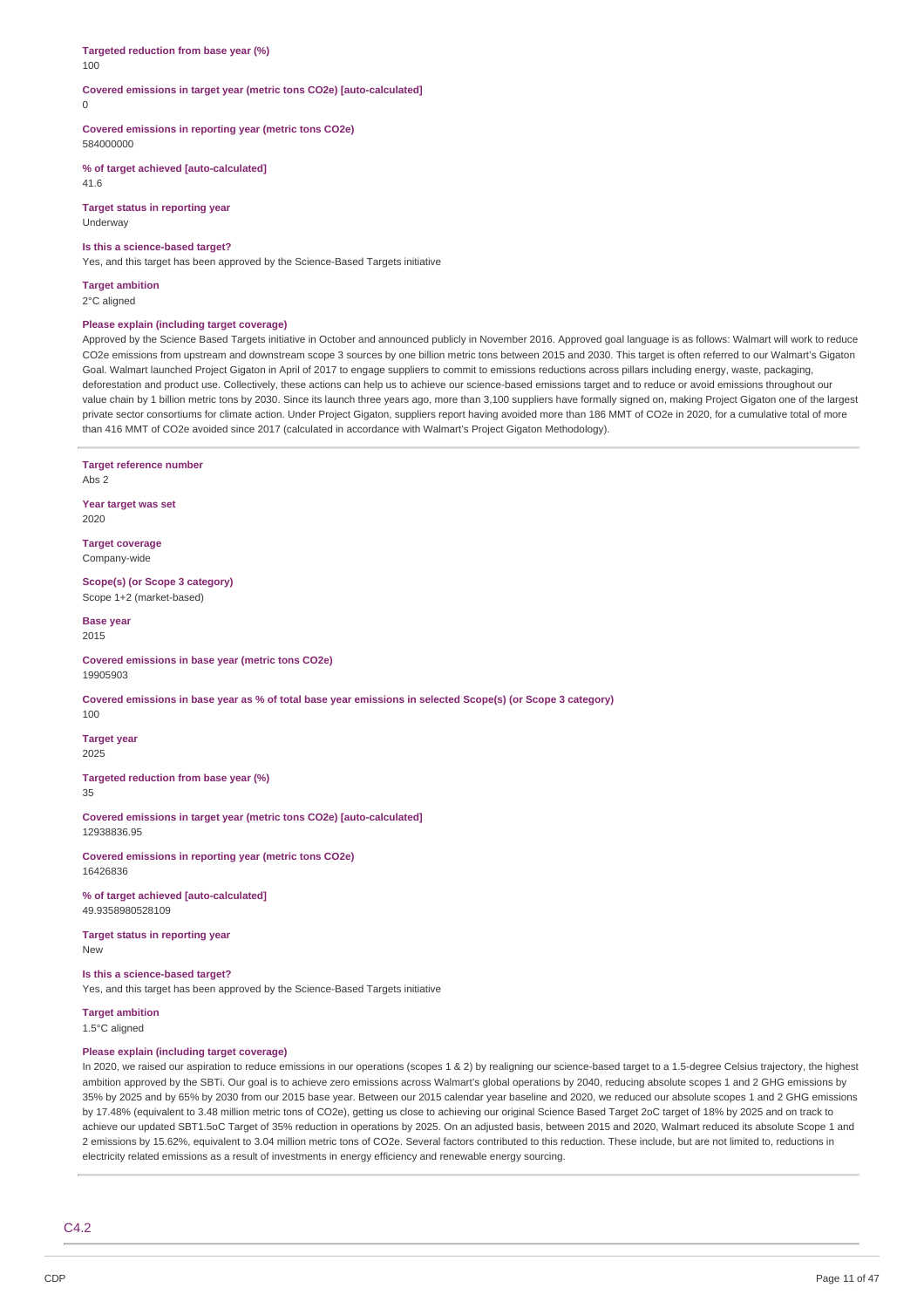#### **Targeted reduction from base year (%)** 100

**Covered emissions in target year (metric tons CO2e) [auto-calculated]**  $\theta$ 

**Covered emissions in reporting year (metric tons CO2e)** 584000000

**% of target achieved [auto-calculated]** 41.6

**Target status in reporting year** Underway

#### **Is this a science-based target?**

Yes, and this target has been approved by the Science-Based Targets initiative

**Target ambition** 2°C aligned

### **Please explain (including target coverage)**

Approved by the Science Based Targets initiative in October and announced publicly in November 2016. Approved goal language is as follows: Walmart will work to reduce CO2e emissions from upstream and downstream scope 3 sources by one billion metric tons between 2015 and 2030. This target is often referred to our Walmart's Gigaton Goal. Walmart launched Project Gigaton in April of 2017 to engage suppliers to commit to emissions reductions across pillars including energy, waste, packaging, deforestation and product use. Collectively, these actions can help us to achieve our science-based emissions target and to reduce or avoid emissions throughout our value chain by 1 billion metric tons by 2030. Since its launch three years ago, more than 3,100 suppliers have formally signed on, making Project Gigaton one of the largest private sector consortiums for climate action. Under Project Gigaton, suppliers report having avoided more than 186 MMT of CO2e in 2020, for a cumulative total of more than 416 MMT of CO2e avoided since 2017 (calculated in accordance with Walmart's Project Gigaton Methodology).

**Target reference number** Abs 2 **Year target was set** 2020 **Target coverage** Company-wide **Scope(s) (or Scope 3 category)** Scope 1+2 (market-based) **Base year** 2015 **Covered emissions in base year (metric tons CO2e)** 19905903

Covered emissions in base year as % of total base year emissions in selected Scope(s) (or Scope 3 category) 100

**Target year** 2025

**Targeted reduction from base year (%)** 35

**Covered emissions in target year (metric tons CO2e) [auto-calculated]** 12938836.95

**Covered emissions in reporting year (metric tons CO2e)** 16426836

**% of target achieved [auto-calculated]** 49.9358980528109

**Target status in reporting year New** 

**Is this a science-based target?**

Yes, and this target has been approved by the Science-Based Targets initiative

**Target ambition** 1.5°C aligned

### **Please explain (including target coverage)**

In 2020, we raised our aspiration to reduce emissions in our operations (scopes 1 & 2) by realigning our science-based target to a 1.5-degree Celsius trajectory, the highest ambition approved by the SBTi. Our goal is to achieve zero emissions across Walmart's global operations by 2040, reducing absolute scopes 1 and 2 GHG emissions by 35% by 2025 and by 65% by 2030 from our 2015 base year. Between our 2015 calendar year baseline and 2020, we reduced our absolute scopes 1 and 2 GHG emissions by 17.48% (equivalent to 3.48 million metric tons of CO2e), getting us close to achieving our original Science Based Target 2oC target of 18% by 2025 and on track to achieve our updated SBT1.5oC Target of 35% reduction in operations by 2025. On an adjusted basis, between 2015 and 2020, Walmart reduced its absolute Scope 1 and 2 emissions by 15.62%, equivalent to 3.04 million metric tons of CO2e. Several factors contributed to this reduction. These include, but are not limited to, reductions in electricity related emissions as a result of investments in energy efficiency and renewable energy sourcing.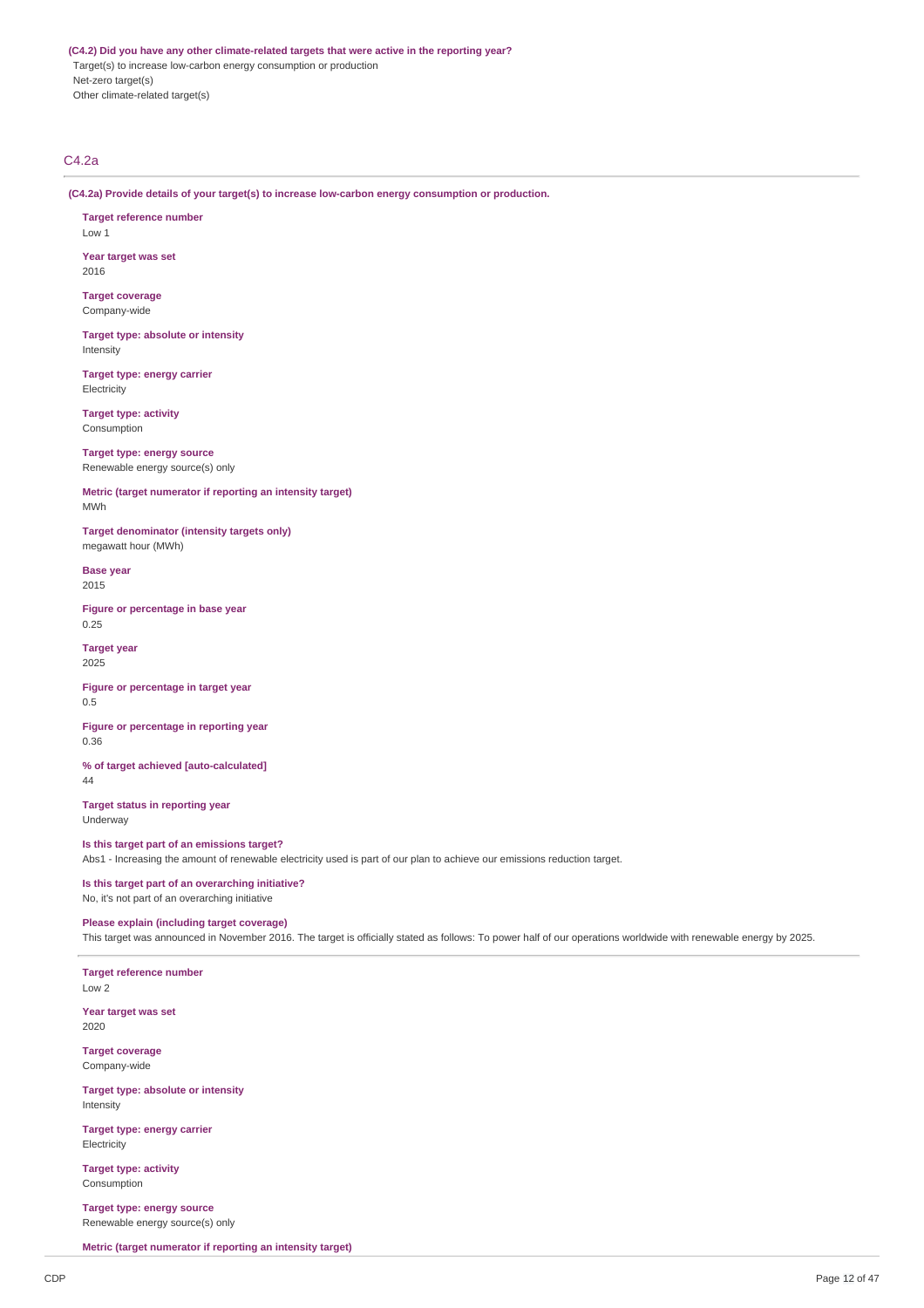**(C4.2) Did you have any other climate-related targets that were active in the reporting year?** Target(s) to increase low-carbon energy consumption or production

Net-zero target(s) Other climate-related target(s)

### C4.2a

**(C4.2a) Provide details of your target(s) to increase low-carbon energy consumption or production.**

**Target reference number** Low 1

**Year target was set** 2016

**Target coverage** Company-wide

**Target type: absolute or intensity** Intensity

**Target type: energy carrier** Electricity

**Target type: activity** Consumption

**Target type: energy source** Renewable energy source(s) only

**Metric (target numerator if reporting an intensity target)** MWh

**Target denominator (intensity targets only)** megawatt hour (MWh)

**Base year** 2015

**Figure or percentage in base year** 0.25

**Target year** 2025

**Figure or percentage in target year** 0.5

**Figure or percentage in reporting year** 0.36

**% of target achieved [auto-calculated]** 44

**Target status in reporting year** Underway

**Is this target part of an emissions target?**

Abs1 - Increasing the amount of renewable electricity used is part of our plan to achieve our emissions reduction target.

**Is this target part of an overarching initiative?** No, it's not part of an overarching initiative

#### **Please explain (including target coverage)**

This target was announced in November 2016. The target is officially stated as follows: To power half of our operations worldwide with renewable energy by 2025.

**Target reference number** Low 2

**Year target was set** 2020

**Target coverage** Company-wide

**Target type: absolute or intensity** Intensity

**Target type: energy carrier Electricity** 

**Target type: activity** Consumption

**Target type: energy source** Renewable energy source(s) only

**Metric (target numerator if reporting an intensity target)**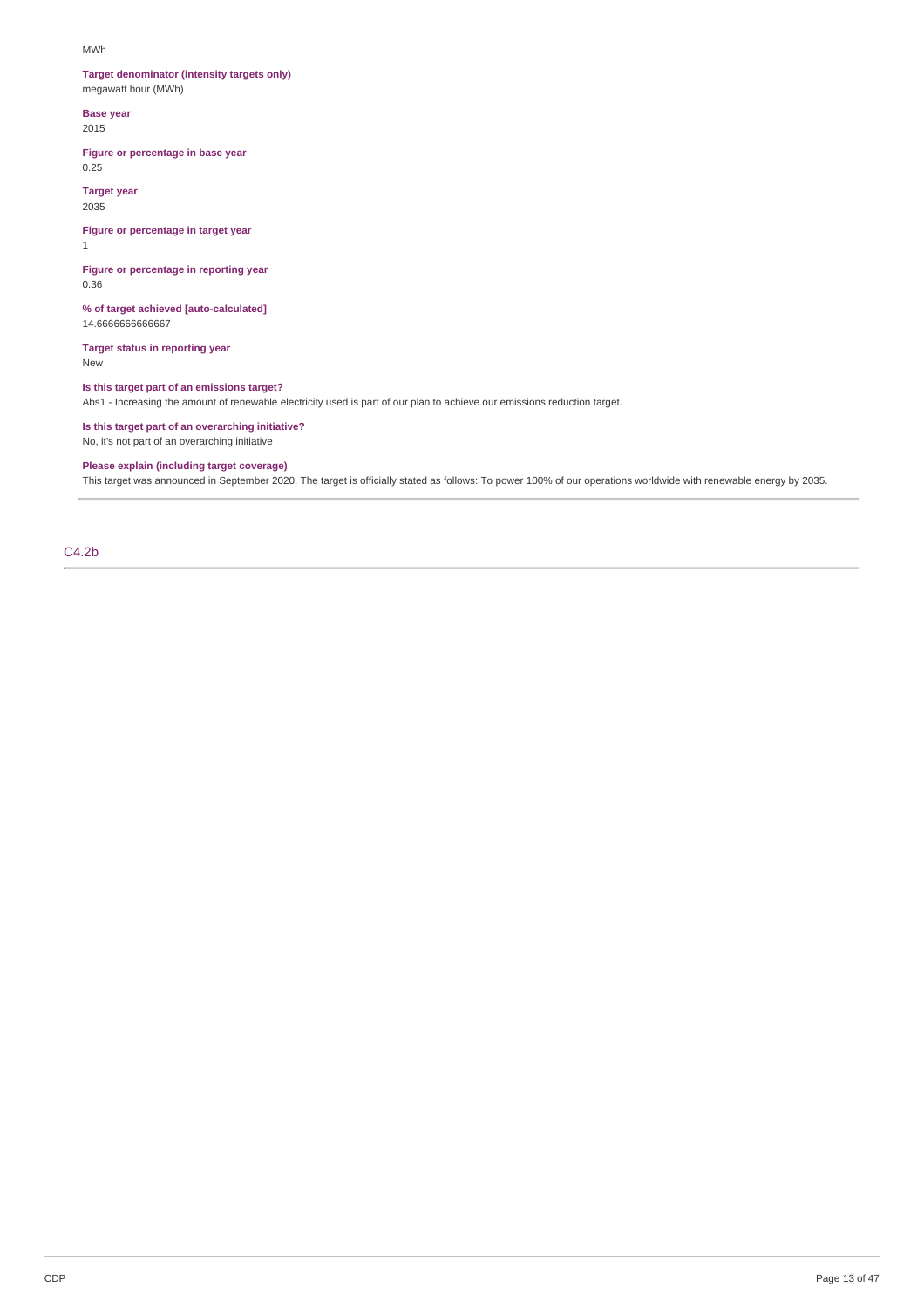#### MWh

### **Target denominator (intensity targets only)** megawatt hour (MWh)

**Base year** 2015

### **Figure or percentage in base year** 0.25

**Target year**

2035

#### **Figure or percentage in target year** 1

**Figure or percentage in reporting year** 0.36

**% of target achieved [auto-calculated]** 14.6666666666667

**Target status in reporting year** New

## **Is this target part of an emissions target?**

Abs1 - Increasing the amount of renewable electricity used is part of our plan to achieve our emissions reduction target.

### **Is this target part of an overarching initiative?**

No, it's not part of an overarching initiative

### **Please explain (including target coverage)**

This target was announced in September 2020. The target is officially stated as follows: To power 100% of our operations worldwide with renewable energy by 2035.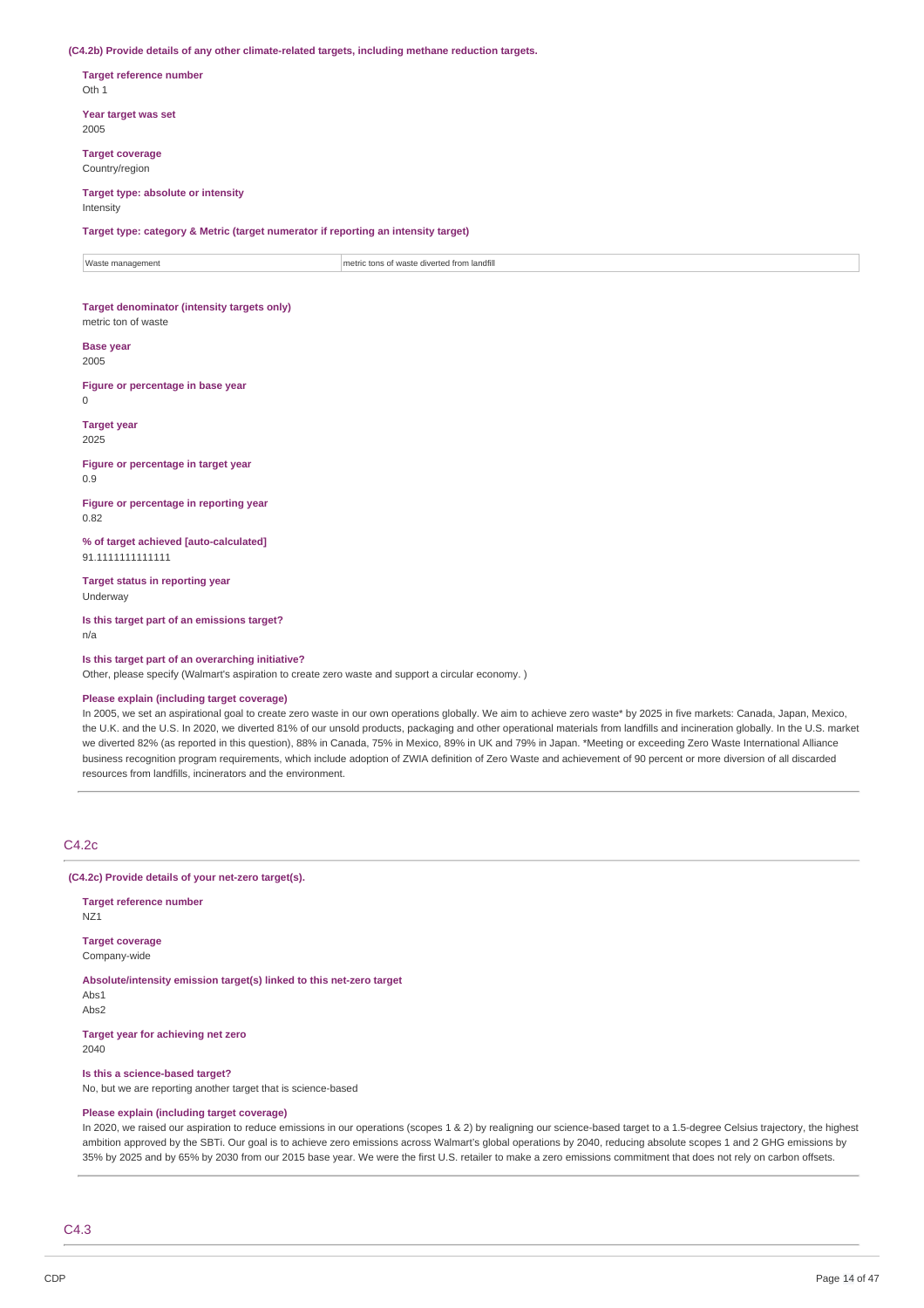**(C4.2b) Provide details of any other climate-related targets, including methane reduction targets.**

**Target reference number** Oth 1

**Year target was set** 2005

**Target coverage** Country/region

#### **Target type: absolute or intensity** Intensity

**Target type: category & Metric (target numerator if reporting an intensity target)**

Waste management metric tons of waste diverted from landfill

### **Target denominator (intensity targets only)** metric ton of waste

**Base year**

### 2005

**Figure or percentage in base year**  $\theta$ 

**Target year** 2025

**Figure or percentage in target year** 0.9

**Figure or percentage in reporting year** 0.82

**% of target achieved [auto-calculated]** 91.1111111111111

**Target status in reporting year** Underway

**Is this target part of an emissions target?** n/a

**Is this target part of an overarching initiative?**

Other, please specify (Walmart's aspiration to create zero waste and support a circular economy. )

### **Please explain (including target coverage)**

In 2005, we set an aspirational goal to create zero waste in our own operations globally. We aim to achieve zero waste\* by 2025 in five markets: Canada, Japan, Mexico, the U.K. and the U.S. In 2020, we diverted 81% of our unsold products, packaging and other operational materials from landfills and incineration globally. In the U.S. market we diverted 82% (as reported in this question), 88% in Canada, 75% in Mexico, 89% in UK and 79% in Japan. \*Meeting or exceeding Zero Waste International Alliance business recognition program requirements, which include adoption of ZWIA definition of Zero Waste and achievement of 90 percent or more diversion of all discarded resources from landfills, incinerators and the environment.

### C4.2c

**(C4.2c) Provide details of your net-zero target(s).**

**Target reference number** NZ1 **Target coverage**

Company-wide

**Absolute/intensity emission target(s) linked to this net-zero target** Abs1

Ahe<sup>2</sup>

**Target year for achieving net zero** 2040

**Is this a science-based target?** No, but we are reporting another target that is science-based

#### **Please explain (including target coverage)**

In 2020, we raised our aspiration to reduce emissions in our operations (scopes 1 & 2) by realigning our science-based target to a 1.5-degree Celsius trajectory, the highest ambition approved by the SBTi. Our goal is to achieve zero emissions across Walmart's global operations by 2040, reducing absolute scopes 1 and 2 GHG emissions by 35% by 2025 and by 65% by 2030 from our 2015 base year. We were the first U.S. retailer to make a zero emissions commitment that does not rely on carbon offsets.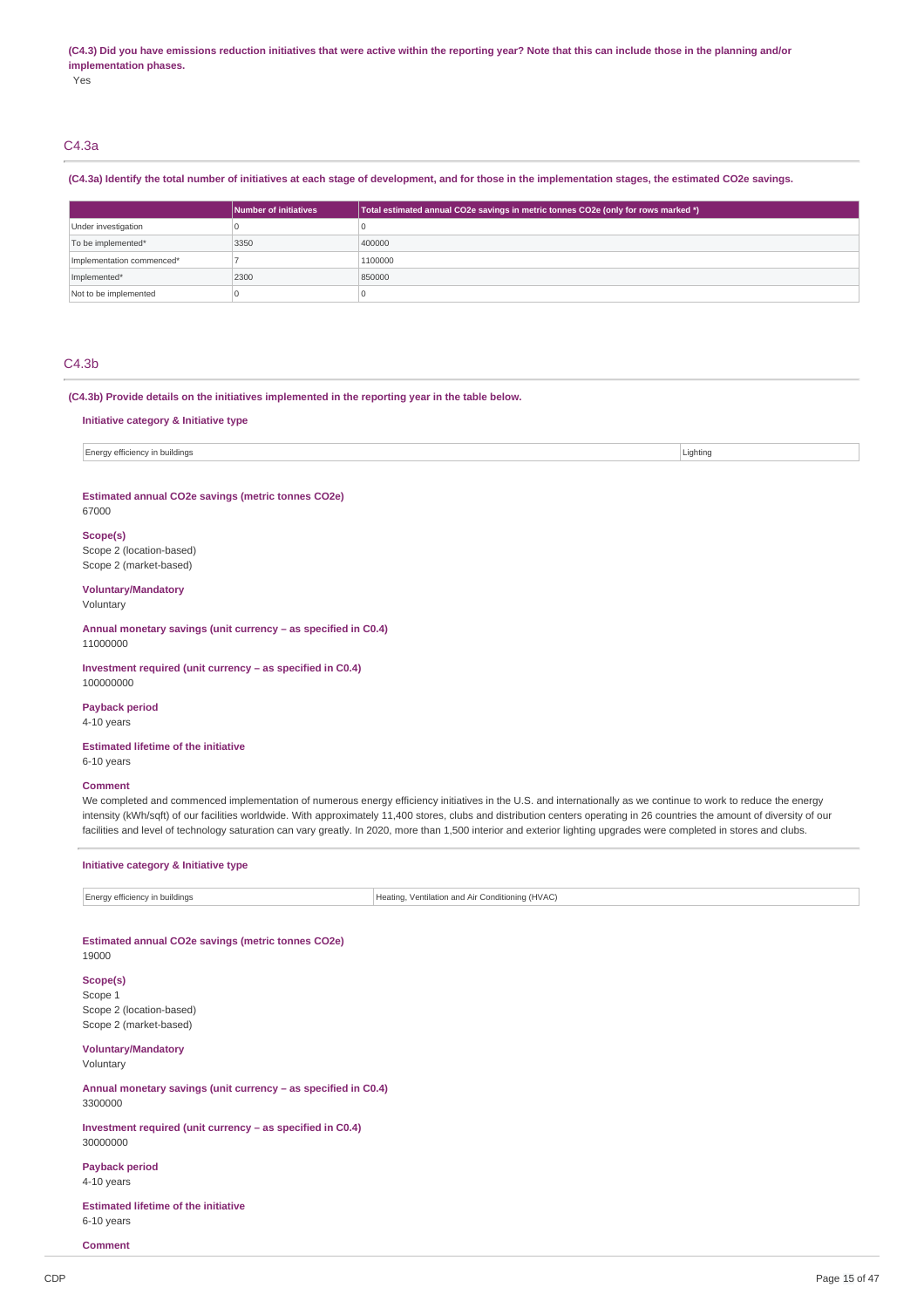#### (C4.3) Did you have emissions reduction initiatives that were active within the reporting year? Note that this can include those in the planning and/or **implementation phases.**

Yes

## C4.3a

### (C4.3a) Identify the total number of initiatives at each stage of development, and for those in the implementation stages, the estimated CO2e savings.

|                           | Number of initiatives | Total estimated annual CO2e savings in metric tonnes CO2e (only for rows marked *) |
|---------------------------|-----------------------|------------------------------------------------------------------------------------|
| Under investigation       |                       |                                                                                    |
| To be implemented*        | 3350                  | 400000                                                                             |
| Implementation commenced* |                       | 1100000                                                                            |
| Implemented*              | 2300                  | 850000                                                                             |
| Not to be implemented     |                       |                                                                                    |

### C4.3b

#### **(C4.3b) Provide details on the initiatives implemented in the reporting year in the table below.**

#### **Initiative category & Initiative type**

Energy efficiency in buildings and the contract of the contract of the contract of the contract of the contract of the contract of the contract of the contract of the contract of the contract of the contract of the contrac

#### **Estimated annual CO2e savings (metric tonnes CO2e)** 67000

### **Scope(s)**

Scope 2 (location-based) Scope 2 (market-based)

### **Voluntary/Mandatory**

Voluntary

#### **Annual monetary savings (unit currency – as specified in C0.4)** 11000000

**Investment required (unit currency – as specified in C0.4)** 100000000

**Payback period** 4-10 years

**Estimated lifetime of the initiative** 6-10 years

#### **Comment**

We completed and commenced implementation of numerous energy efficiency initiatives in the U.S. and internationally as we continue to work to reduce the energy intensity (kWh/sqft) of our facilities worldwide. With approximately 11,400 stores, clubs and distribution centers operating in 26 countries the amount of diversity of our facilities and level of technology saturation can vary greatly. In 2020, more than 1,500 interior and exterior lighting upgrades were completed in stores and clubs.

#### **Initiative category & Initiative type**

Energy efficiency in buildings Heating, Ventilation and Air Conditioning (HVAC)

## **Estimated annual CO2e savings (metric tonnes CO2e)**

19000

**Scope(s)** Scope 1 Scope 2 (location-based) Scope 2 (market-based)

### **Voluntary/Mandatory**

Voluntary

**Annual monetary savings (unit currency – as specified in C0.4)** 3300000

**Investment required (unit currency – as specified in C0.4)** 30000000

**Payback period** 4-10 years

**Estimated lifetime of the initiative** 6-10 years

**Comment**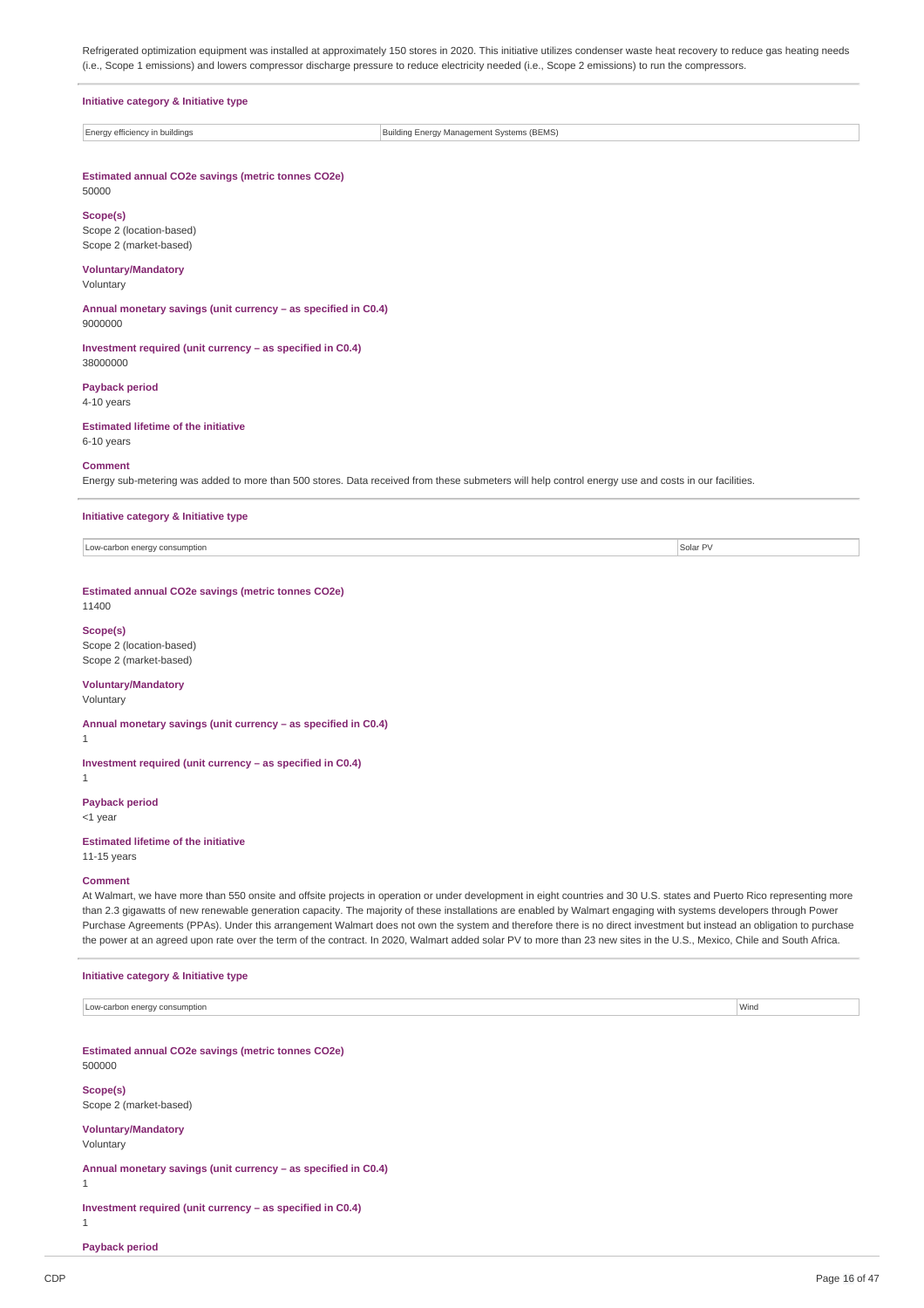Refrigerated optimization equipment was installed at approximately 150 stores in 2020. This initiative utilizes condenser waste heat recovery to reduce gas heating needs (i.e., Scope 1 emissions) and lowers compressor discharge pressure to reduce electricity needed (i.e., Scope 2 emissions) to run the compressors.

| Initiative category & Initiative type                          |                                           |  |  |  |  |
|----------------------------------------------------------------|-------------------------------------------|--|--|--|--|
| Energy efficiency in buildings                                 | Building Energy Management Systems (BEMS) |  |  |  |  |
| Estimated annual CO2e savings (metric tonnes CO2e)             |                                           |  |  |  |  |
| 50000                                                          |                                           |  |  |  |  |
| Scope(s)<br>Scope 2 (location-based)                           |                                           |  |  |  |  |
| Scope 2 (market-based)<br><b>Voluntary/Mandatory</b>           |                                           |  |  |  |  |
| Voluntary                                                      |                                           |  |  |  |  |
| Annual monetary savings (unit currency - as specified in C0.4) |                                           |  |  |  |  |

9000000 **Investment required (unit currency – as specified in C0.4)**

**Payback period** 4-10 years

**Estimated lifetime of the initiative** 6-10 years

### **Comment**

38000000

Energy sub-metering was added to more than 500 stores. Data received from these submeters will help control energy use and costs in our facilities.

**Initiative category & Initiative type**

Low-carbon energy consumption Solar PV and the constant of the constant of the constant of the consumption Solar PV solar PV and the consumption Solar PV solar PV solar PV and the consumption

### **Estimated annual CO2e savings (metric tonnes CO2e)**

11400

#### **Scope(s)**

Scope 2 (location-based) Scope 2 (market-based)

### **Voluntary/Mandatory**

Voluntary

**Annual monetary savings (unit currency – as specified in C0.4)** 1

**Investment required (unit currency – as specified in C0.4)**

1

### **Payback period**

<1 year

## **Estimated lifetime of the initiative**

**Initiative category & Initiative type**

11-15 years

### **Comment**

At Walmart, we have more than 550 onsite and offsite projects in operation or under development in eight countries and 30 U.S. states and Puerto Rico representing more than 2.3 gigawatts of new renewable generation capacity. The majority of these installations are enabled by Walmart engaging with systems developers through Power Purchase Agreements (PPAs). Under this arrangement Walmart does not own the system and therefore there is no direct investment but instead an obligation to purchase the power at an agreed upon rate over the term of the contract. In 2020, Walmart added solar PV to more than 23 new sites in the U.S., Mexico, Chile and South Africa.

| Low-carbon energy consumption                      | Wind |
|----------------------------------------------------|------|
|                                                    |      |
|                                                    |      |
| Estimated annual CO2e savings (metric tonnes CO2e) |      |
| 500000                                             |      |
| Scope(s)                                           |      |
|                                                    |      |
| Scope 2 (market-based)                             |      |

### **Voluntary/Mandatory**

Voluntary

**Annual monetary savings (unit currency – as specified in C0.4)**

1

1

**Investment required (unit currency – as specified in C0.4)**

**Payback period**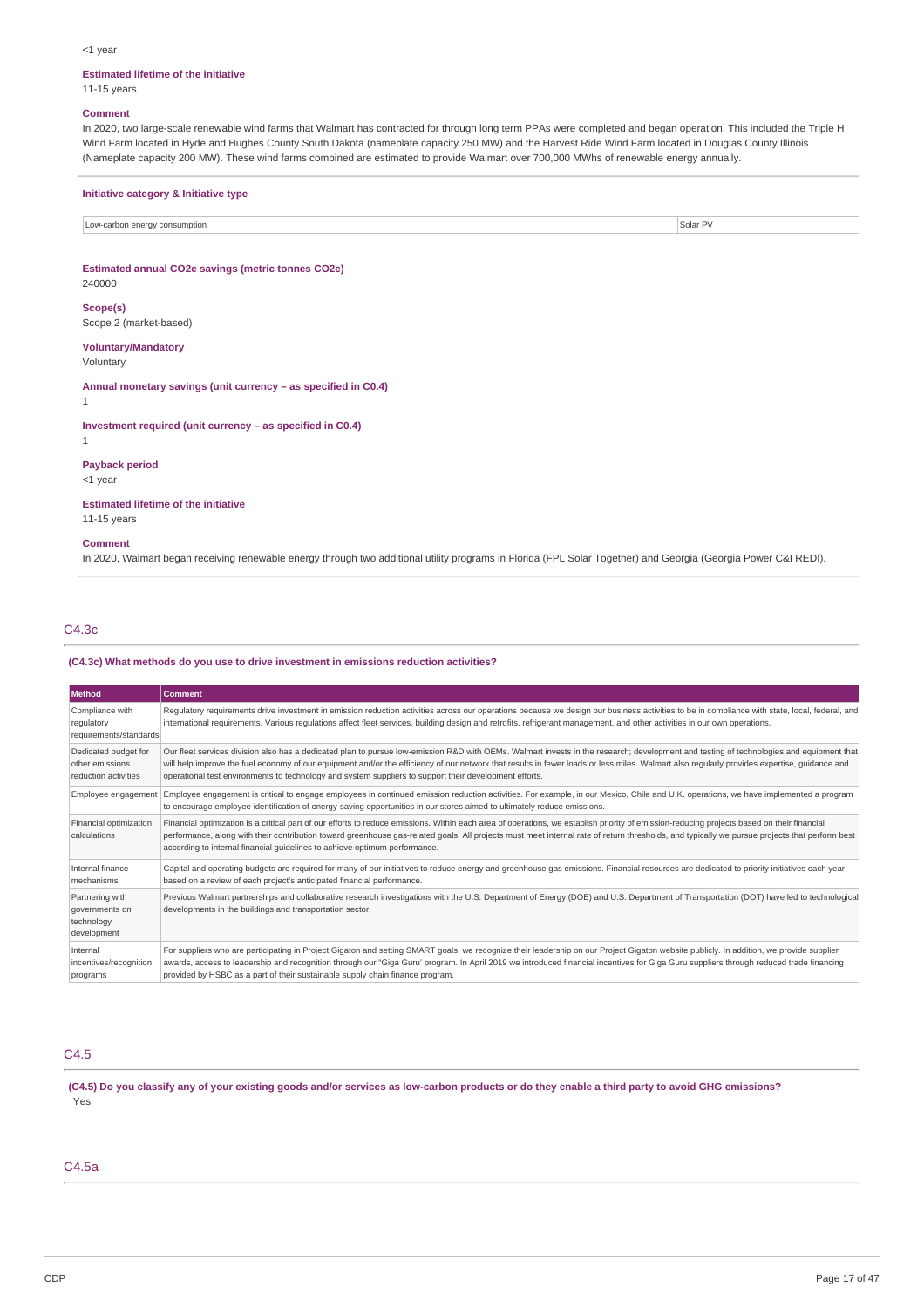#### <1 year

#### **Estimated lifetime of the initiative**

11-15 years

#### **Comment**

In 2020, two large-scale renewable wind farms that Walmart has contracted for through long term PPAs were completed and began operation. This included the Triple H Wind Farm located in Hyde and Hughes County South Dakota (nameplate capacity 250 MW) and the Harvest Ride Wind Farm located in Douglas County Illinois (Nameplate capacity 200 MW). These wind farms combined are estimated to provide Walmart over 700,000 MWhs of renewable energy annually.

#### **Initiative category & Initiative type**

Low-carbon energy consumption Solar PV and the United States of the United States of Solar PV and the United States of Solar PV and the United States of Solar PV and the United States of the United States of Solar PV and t

### **Estimated annual CO2e savings (metric tonnes CO2e)**

240000

#### **Scope(s)**

Scope 2 (market-based)

## **Voluntary/Mandatory**

Voluntary

**Annual monetary savings (unit currency – as specified in C0.4)**

1

#### **Investment required (unit currency – as specified in C0.4)**

1

### **Payback period**

<1 year

### **Estimated lifetime of the initiative**

11-15 years

#### **Comment**

In 2020, Walmart began receiving renewable energy through two additional utility programs in Florida (FPL Solar Together) and Georgia (Georgia Power C&I REDI).

### C4.3c

#### **(C4.3c) What methods do you use to drive investment in emissions reduction activities?**

| Method                                                          | <b>Comment</b>                                                                                                                                                                                                                                                                                                                                                                                                                                                                                   |
|-----------------------------------------------------------------|--------------------------------------------------------------------------------------------------------------------------------------------------------------------------------------------------------------------------------------------------------------------------------------------------------------------------------------------------------------------------------------------------------------------------------------------------------------------------------------------------|
| Compliance with<br>regulatory<br>requirements/standards         | Regulatory requirements drive investment in emission reduction activities across our operations because we design our business activities to be in compliance with state, local, federal, and<br>international requirements. Various requlations affect fleet services, building design and retrofits, refrigerant management, and other activities in our own operations.                                                                                                                       |
| Dedicated budget for<br>other emissions<br>reduction activities | Our fleet services division also has a dedicated plan to pursue low-emission R&D with OEMs. Walmart invests in the research; development and testing of technologies and equipment that<br>will help improve the fuel economy of our equipment and/or the efficiency of our network that results in fewer loads or less miles. Walmart also regularly provides expertise, guidance and<br>operational test environments to technology and system suppliers to support their development efforts. |
| Employee engagement                                             | Employee engagement is critical to engage employees in continued emission reduction activities. For example, in our Mexico, Chile and U.K. operations, we have implemented a program<br>to encourage employee identification of energy-saving opportunities in our stores aimed to ultimately reduce emissions.                                                                                                                                                                                  |
| Financial optimization<br>calculations                          | Financial optimization is a critical part of our efforts to reduce emissions. Within each area of operations, we establish priority of emission-reducing projects based on their financial<br>performance, along with their contribution toward greenhouse gas-related goals. All projects must meet internal rate of return thresholds, and typically we pursue projects that perform best<br>according to internal financial guidelines to achieve optimum performance.                        |
| Internal finance<br>mechanisms                                  | Capital and operating budgets are required for many of our initiatives to reduce energy and greenhouse gas emissions. Financial resources are dedicated to priority initiatives each year<br>based on a review of each project's anticipated financial performance.                                                                                                                                                                                                                              |
| Partnering with<br>governments on<br>technology<br>development  | Previous Walmart partnerships and collaborative research investigations with the U.S. Department of Energy (DOE) and U.S. Department of Transportation (DOT) have led to technological<br>developments in the buildings and transportation sector.                                                                                                                                                                                                                                               |
| Internal<br>incentives/recognition<br>programs                  | For suppliers who are participating in Project Gigaton and setting SMART goals, we recognize their leadership on our Project Gigaton website publicly. In addition, we provide supplier<br>awards, access to leadership and recognition through our "Giga Guru' program. In April 2019 we introduced financial incentives for Giga Guru suppliers through reduced trade financing<br>provided by HSBC as a part of their sustainable supply chain finance program.                               |

## C4.5

(C4.5) Do you classify any of your existing goods and/or services as low-carbon products or do they enable a third party to avoid GHG emissions? Yes

### C4.5a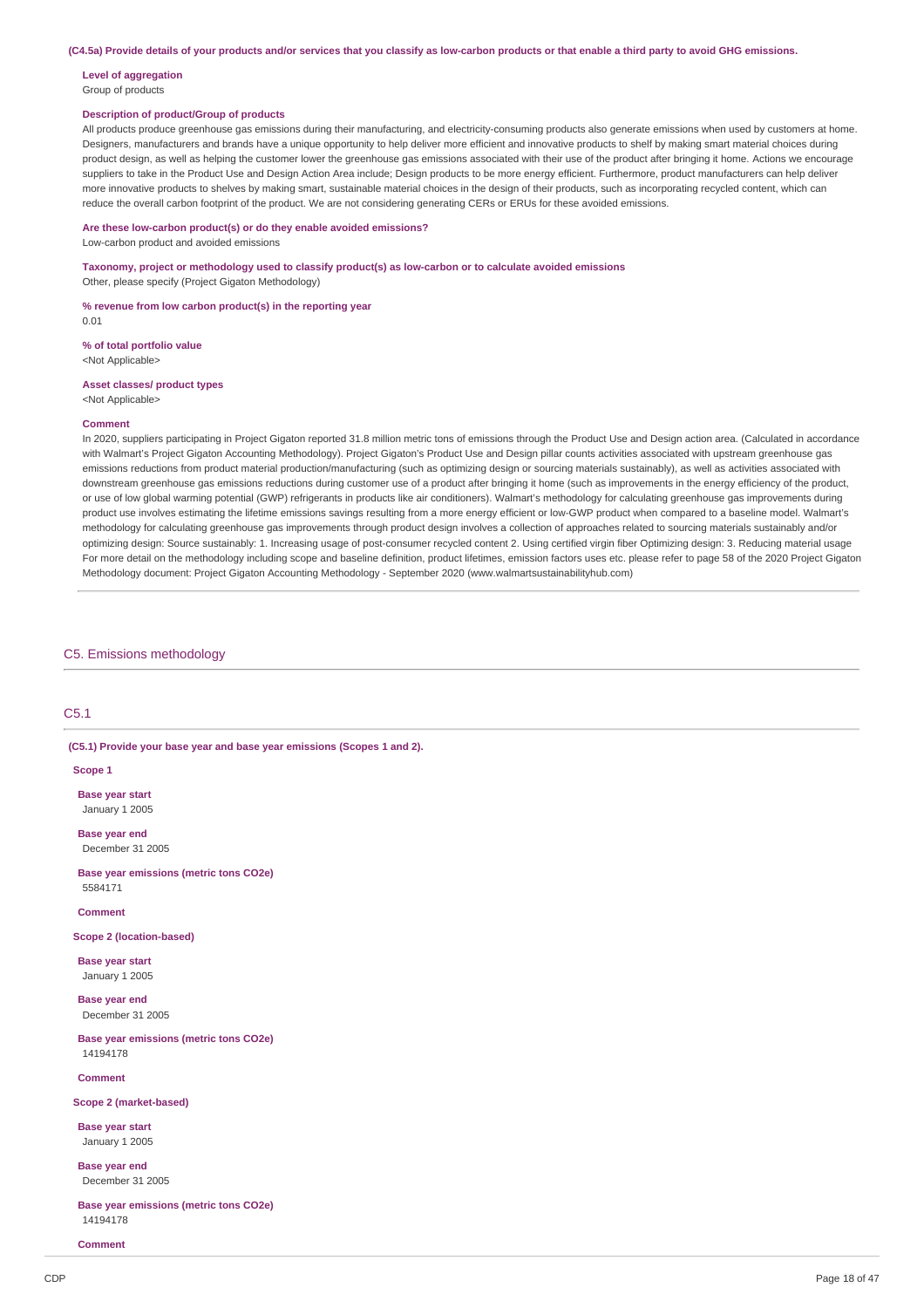(C4.5a) Provide details of your products and/or services that you classify as low-carbon products or that enable a third party to avoid GHG emissions.

## **Level of aggregation**

### Group of products

### **Description of product/Group of products**

All products produce greenhouse gas emissions during their manufacturing, and electricity-consuming products also generate emissions when used by customers at home. Designers, manufacturers and brands have a unique opportunity to help deliver more efficient and innovative products to shelf by making smart material choices during product design, as well as helping the customer lower the greenhouse gas emissions associated with their use of the product after bringing it home. Actions we encourage suppliers to take in the Product Use and Design Action Area include; Design products to be more energy efficient. Furthermore, product manufacturers can help deliver more innovative products to shelves by making smart, sustainable material choices in the design of their products, such as incorporating recycled content, which can reduce the overall carbon footprint of the product. We are not considering generating CERs or ERUs for these avoided emissions.

### **Are these low-carbon product(s) or do they enable avoided emissions?**

Low-carbon product and avoided emissions

**Taxonomy, project or methodology used to classify product(s) as low-carbon or to calculate avoided emissions** Other, please specify (Project Gigaton Methodology)

### **% revenue from low carbon product(s) in the reporting year**

0.01

#### **% of total portfolio value**

<Not Applicable>

#### **Asset classes/ product types** <Not Applicable>

## **Comment**

In 2020, suppliers participating in Project Gigaton reported 31.8 million metric tons of emissions through the Product Use and Design action area. (Calculated in accordance with Walmart's Project Gigaton Accounting Methodology). Project Gigaton's Product Use and Design pillar counts activities associated with upstream greenhouse gas emissions reductions from product material production/manufacturing (such as optimizing design or sourcing materials sustainably), as well as activities associated with downstream greenhouse gas emissions reductions during customer use of a product after bringing it home (such as improvements in the energy efficiency of the product, or use of low global warming potential (GWP) refrigerants in products like air conditioners). Walmart's methodology for calculating greenhouse gas improvements during product use involves estimating the lifetime emissions savings resulting from a more energy efficient or low-GWP product when compared to a baseline model. Walmart's methodology for calculating greenhouse gas improvements through product design involves a collection of approaches related to sourcing materials sustainably and/or optimizing design: Source sustainably: 1. Increasing usage of post-consumer recycled content 2. Using certified virgin fiber Optimizing design: 3. Reducing material usage For more detail on the methodology including scope and baseline definition, product lifetimes, emission factors uses etc. please refer to page 58 of the 2020 Project Gigaton Methodology document: Project Gigaton Accounting Methodology - September 2020 (www.walmartsustainabilityhub.com)

### C5. Emissions methodology

### C5.1

#### **(C5.1) Provide your base year and base year emissions (Scopes 1 and 2).**

**Scope 1**

**Base year start** January 1 2005

**Base year end** December 31 2005

**Base year emissions (metric tons CO2e)** 5584171

### **Comment**

**Scope 2 (location-based)**

**Base year start** January 1 2005

**Base year end** December 31 2005

**Base year emissions (metric tons CO2e)** 14194178

### **Comment**

#### **Scope 2 (market-based)**

**Base year start** January 1 2005

**Base year end** December 31 2005

**Base year emissions (metric tons CO2e)** 14194178

#### **Comment**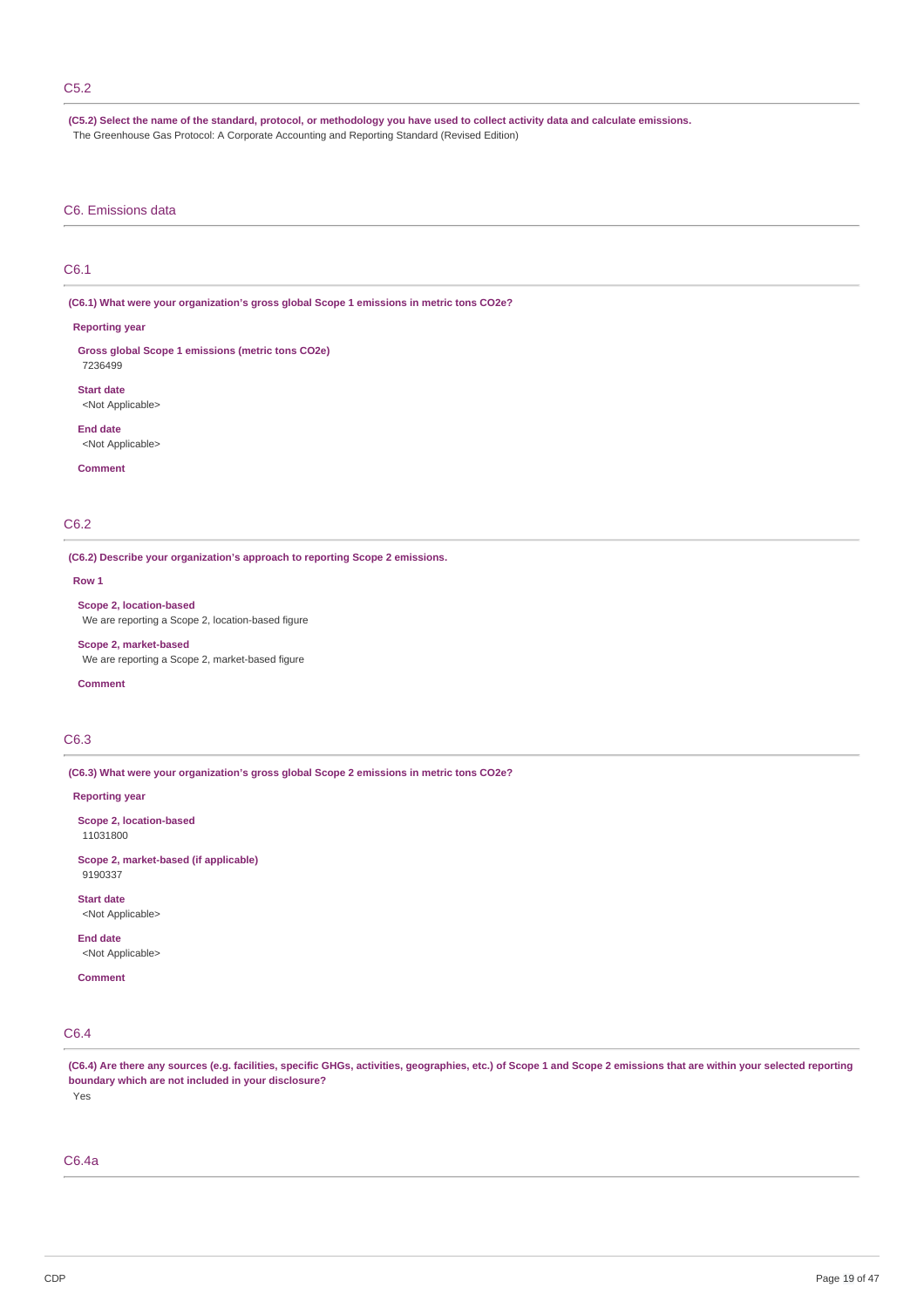### C5.2

(C5.2) Select the name of the standard, protocol, or methodology you have used to collect activity data and calculate emissions.

The Greenhouse Gas Protocol: A Corporate Accounting and Reporting Standard (Revised Edition)

### C6. Emissions data

### C6.1

**(C6.1) What were your organization's gross global Scope 1 emissions in metric tons CO2e?**

#### **Reporting year**

**Gross global Scope 1 emissions (metric tons CO2e)** 7236499

**Start date** <Not Applicable>

**End date** <Not Applicable>

**Comment**

### C6.2

**(C6.2) Describe your organization's approach to reporting Scope 2 emissions.**

#### **Row 1**

**Scope 2, location-based** We are reporting a Scope 2, location-based figure

**Scope 2, market-based** We are reporting a Scope 2, market-based figure

#### **Comment**

## C6.3

**(C6.3) What were your organization's gross global Scope 2 emissions in metric tons CO2e?**

#### **Reporting year**

**Scope 2, location-based** 11031800

**Scope 2, market-based (if applicable)** 9190337

**Start date** <Not Applicable>

**End date** <Not Applicable>

**Comment**

## C6.4

(C6.4) Are there any sources (e.g. facilities, specific GHGs, activities, geographies, etc.) of Scope 1 and Scope 2 emissions that are within your selected reporting **boundary which are not included in your disclosure?** Yes

### C6.4a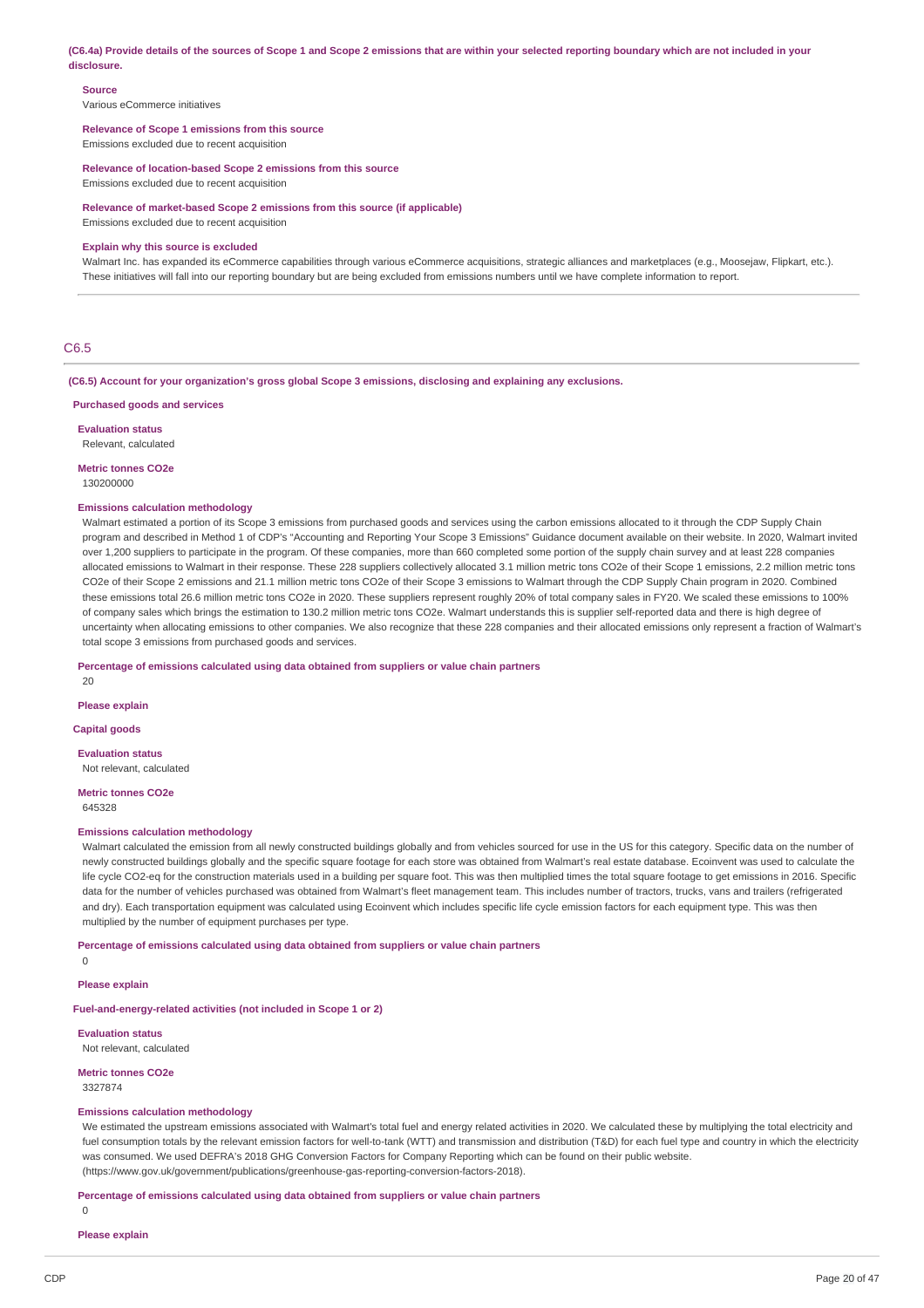(C6.4a) Provide details of the sources of Scope 1 and Scope 2 emissions that are within your selected reporting boundary which are not included in your **disclosure.**

#### **Source**

Various eCommerce initiatives

#### **Relevance of Scope 1 emissions from this source**

Emissions excluded due to recent acquisition

**Relevance of location-based Scope 2 emissions from this source** Emissions excluded due to recent acquisition

**Relevance of market-based Scope 2 emissions from this source (if applicable)**

Emissions excluded due to recent acquisition

#### **Explain why this source is excluded**

Walmart Inc. has expanded its eCommerce capabilities through various eCommerce acquisitions, strategic alliances and marketplaces (e.g., Moosejaw, Flipkart, etc.). These initiatives will fall into our reporting boundary but are being excluded from emissions numbers until we have complete information to report.

### C6.5

**(C6.5) Account for your organization's gross global Scope 3 emissions, disclosing and explaining any exclusions.**

#### **Purchased goods and services**

**Evaluation status**

Relevant, calculated

### **Metric tonnes CO2e**

130200000

#### **Emissions calculation methodology**

Walmart estimated a portion of its Scope 3 emissions from purchased goods and services using the carbon emissions allocated to it through the CDP Supply Chain program and described in Method 1 of CDP's "Accounting and Reporting Your Scope 3 Emissions" Guidance document available on their website. In 2020, Walmart invited over 1,200 suppliers to participate in the program. Of these companies, more than 660 completed some portion of the supply chain survey and at least 228 companies allocated emissions to Walmart in their response. These 228 suppliers collectively allocated 3.1 million metric tons CO2e of their Scope 1 emissions, 2.2 million metric tons CO2e of their Scope 2 emissions and 21.1 million metric tons CO2e of their Scope 3 emissions to Walmart through the CDP Supply Chain program in 2020. Combined these emissions total 26.6 million metric tons CO2e in 2020. These suppliers represent roughly 20% of total company sales in FY20. We scaled these emissions to 100% of company sales which brings the estimation to 130.2 million metric tons CO2e. Walmart understands this is supplier self-reported data and there is high degree of uncertainty when allocating emissions to other companies. We also recognize that these 228 companies and their allocated emissions only represent a fraction of Walmart's total scope 3 emissions from purchased goods and services.

#### **Percentage of emissions calculated using data obtained from suppliers or value chain partners**

 $20$ 

#### **Please explain**

**Capital goods**

### **Evaluation status**

Not relevant, calculated

#### **Metric tonnes CO2e** 645328

### **Emissions calculation methodology**

Walmart calculated the emission from all newly constructed buildings globally and from vehicles sourced for use in the US for this category. Specific data on the number of newly constructed buildings globally and the specific square footage for each store was obtained from Walmart's real estate database. Ecoinvent was used to calculate the life cycle CO2-eq for the construction materials used in a building per square foot. This was then multiplied times the total square footage to get emissions in 2016. Specific data for the number of vehicles purchased was obtained from Walmart's fleet management team. This includes number of tractors, trucks, vans and trailers (refrigerated and dry). Each transportation equipment was calculated using Ecoinvent which includes specific life cycle emission factors for each equipment type. This was then multiplied by the number of equipment purchases per type.

#### **Percentage of emissions calculated using data obtained from suppliers or value chain partners**

 $\Omega$ 

**Please explain**

### **Fuel-and-energy-related activities (not included in Scope 1 or 2)**

**Evaluation status**

Not relevant, calculated

**Metric tonnes CO2e**

#### 3327874

#### **Emissions calculation methodology**

We estimated the upstream emissions associated with Walmart's total fuel and energy related activities in 2020. We calculated these by multiplying the total electricity and fuel consumption totals by the relevant emission factors for well-to-tank (WTT) and transmission and distribution (T&D) for each fuel type and country in which the electricity was consumed. We used DEFRA's 2018 GHG Conversion Factors for Company Reporting which can be found on their public website. (https://www.gov.uk/government/publications/greenhouse-gas-reporting-conversion-factors-2018).

**Percentage of emissions calculated using data obtained from suppliers or value chain partners**

0

### **Please explain**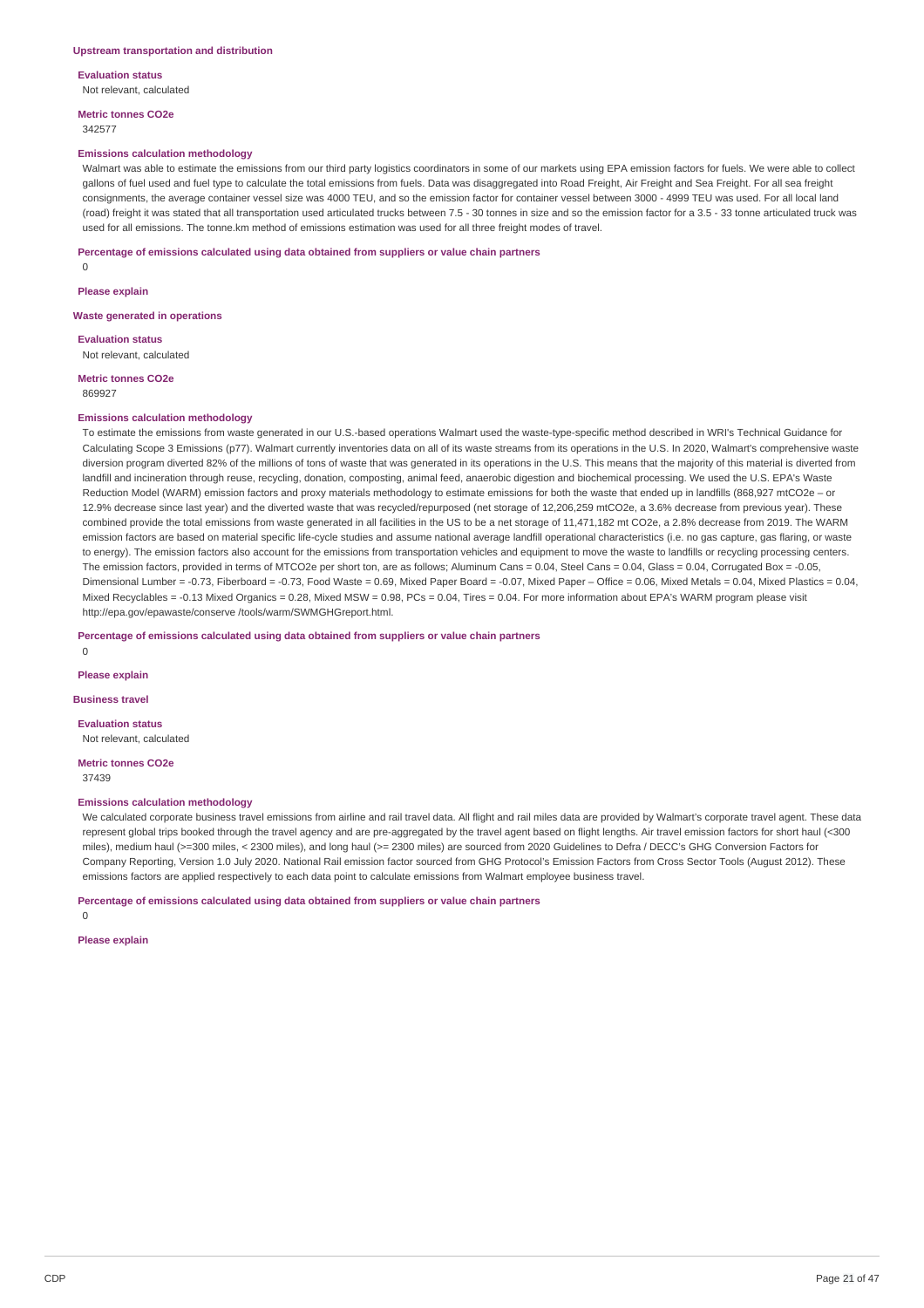**Evaluation status** Not relevant, calculated

**Metric tonnes CO2e** 342577

#### **Emissions calculation methodology**

Walmart was able to estimate the emissions from our third party logistics coordinators in some of our markets using EPA emission factors for fuels. We were able to collect gallons of fuel used and fuel type to calculate the total emissions from fuels. Data was disaggregated into Road Freight, Air Freight and Sea Freight. For all sea freight consignments, the average container vessel size was 4000 TEU, and so the emission factor for container vessel between 3000 - 4999 TEU was used. For all local land (road) freight it was stated that all transportation used articulated trucks between 7.5 - 30 tonnes in size and so the emission factor for a 3.5 - 33 tonne articulated truck was used for all emissions. The tonne.km method of emissions estimation was used for all three freight modes of travel.

**Percentage of emissions calculated using data obtained from suppliers or value chain partners**

0

**Please explain**

**Waste generated in operations**

**Evaluation status** Not relevant, calculated

**Metric tonnes CO2e** 869927

#### **Emissions calculation methodology**

To estimate the emissions from waste generated in our U.S.-based operations Walmart used the waste-type-specific method described in WRI's Technical Guidance for Calculating Scope 3 Emissions (p77). Walmart currently inventories data on all of its waste streams from its operations in the U.S. In 2020, Walmart's comprehensive waste diversion program diverted 82% of the millions of tons of waste that was generated in its operations in the U.S. This means that the majority of this material is diverted from landfill and incineration through reuse, recycling, donation, composting, animal feed, anaerobic digestion and biochemical processing. We used the U.S. EPA's Waste Reduction Model (WARM) emission factors and proxy materials methodology to estimate emissions for both the waste that ended up in landfills (868,927 mtCO2e – or 12.9% decrease since last year) and the diverted waste that was recycled/repurposed (net storage of 12,206,259 mtCO2e, a 3.6% decrease from previous year). These combined provide the total emissions from waste generated in all facilities in the US to be a net storage of 11,471,182 mt CO2e, a 2.8% decrease from 2019. The WARM emission factors are based on material specific life-cycle studies and assume national average landfill operational characteristics (i.e. no gas capture, gas flaring, or waste to energy). The emission factors also account for the emissions from transportation vehicles and equipment to move the waste to landfills or recycling processing centers. The emission factors, provided in terms of MTCO2e per short ton, are as follows; Aluminum Cans = 0.04, Steel Cans = 0.04, Glass = 0.04, Corrugated Box = -0.05, Dimensional Lumber = -0.73, Fiberboard = -0.73, Food Waste = 0.69, Mixed Paper Board = -0.07, Mixed Paper - Office = 0.06, Mixed Metals = 0.04, Mixed Plastics = 0.04, Mixed Recyclables = -0.13 Mixed Organics = 0.28, Mixed MSW = 0.98, PCs = 0.04, Tires = 0.04. For more information about EPA's WARM program please visit http://epa.gov/epawaste/conserve /tools/warm/SWMGHGreport.html.

**Percentage of emissions calculated using data obtained from suppliers or value chain partners**

**Please explain**

 $\Omega$ 

**Business travel**

**Evaluation status** Not relevant, calculated

**Metric tonnes CO2e** 37439

#### **Emissions calculation methodology**

We calculated corporate business travel emissions from airline and rail travel data. All flight and rail miles data are provided by Walmart's corporate travel agent. These data represent global trips booked through the travel agency and are pre-aggregated by the travel agent based on flight lengths. Air travel emission factors for short haul (<300 miles), medium haul (>=300 miles, < 2300 miles), and long haul (>= 2300 miles) are sourced from 2020 Guidelines to Defra / DECC's GHG Conversion Factors for Company Reporting, Version 1.0 July 2020. National Rail emission factor sourced from GHG Protocol's Emission Factors from Cross Sector Tools (August 2012). These emissions factors are applied respectively to each data point to calculate emissions from Walmart employee business travel.

**Percentage of emissions calculated using data obtained from suppliers or value chain partners**

 $\Omega$ 

**Please explain**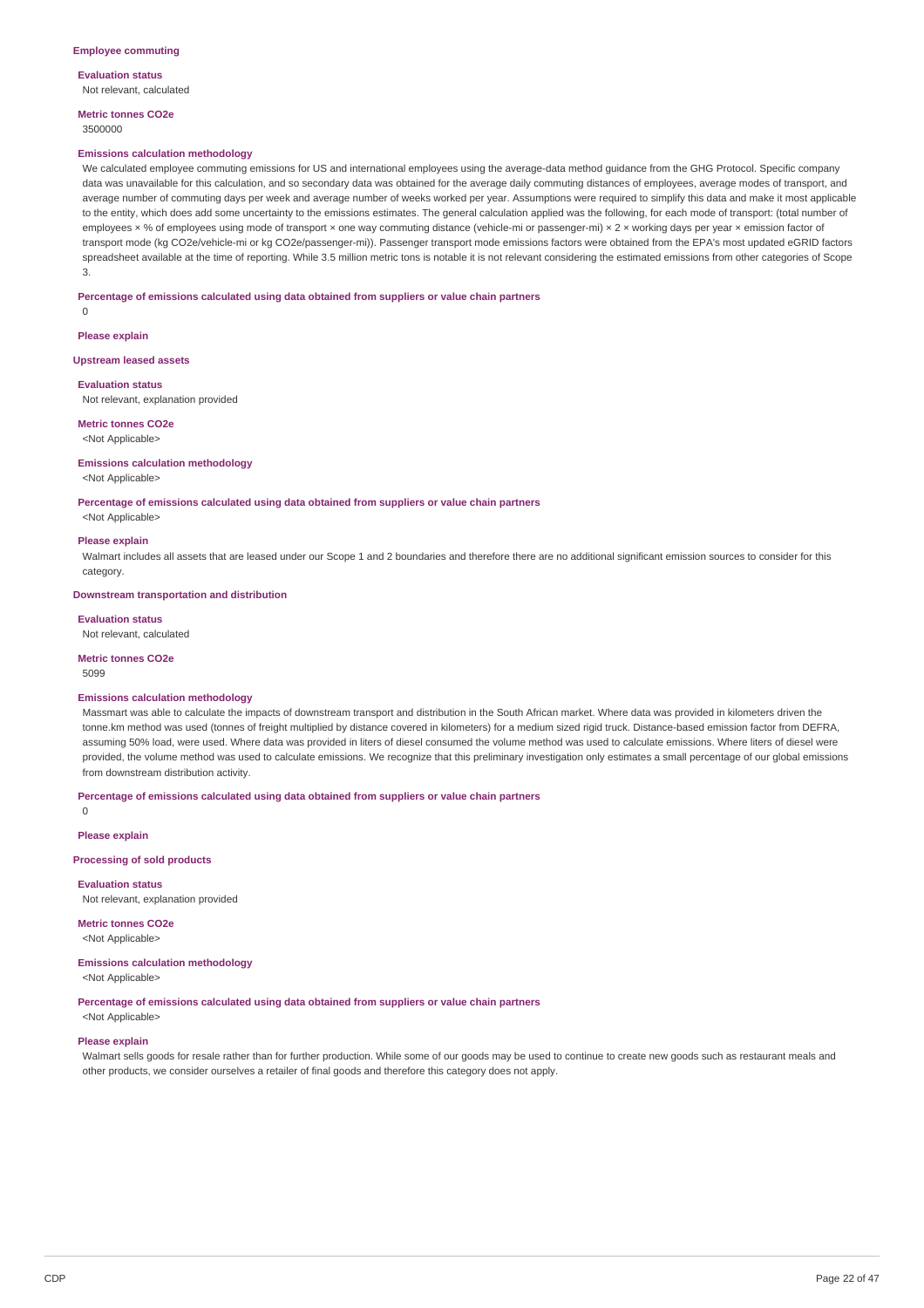#### **Evaluation status** Not relevant, calculated

**Metric tonnes CO2e**

3500000

#### **Emissions calculation methodology**

We calculated employee commuting emissions for US and international employees using the average-data method guidance from the GHG Protocol. Specific company data was unavailable for this calculation, and so secondary data was obtained for the average daily commuting distances of employees, average modes of transport, and average number of commuting days per week and average number of weeks worked per year. Assumptions were required to simplify this data and make it most applicable to the entity, which does add some uncertainty to the emissions estimates. The general calculation applied was the following, for each mode of transport: (total number of employees × % of employees using mode of transport × one way commuting distance (vehicle-mi or passenger-mi) × 2 × working days per year × emission factor of transport mode (kg CO2e/vehicle-mi or kg CO2e/passenger-mi)). Passenger transport mode emissions factors were obtained from the EPA's most updated eGRID factors spreadsheet available at the time of reporting. While 3.5 million metric tons is notable it is not relevant considering the estimated emissions from other categories of Scope 3.

### **Percentage of emissions calculated using data obtained from suppliers or value chain partners**

 $\Omega$ 

**Please explain**

#### **Upstream leased assets**

**Evaluation status**

Not relevant, explanation provided

### **Metric tonnes CO2e**

<Not Applicable>

#### **Emissions calculation methodology**

<Not Applicable>

**Percentage of emissions calculated using data obtained from suppliers or value chain partners**

## <Not Applicable> **Please explain**

Walmart includes all assets that are leased under our Scope 1 and 2 boundaries and therefore there are no additional significant emission sources to consider for this category.

#### **Downstream transportation and distribution**

#### **Evaluation status**

Not relevant, calculated

#### **Metric tonnes CO2e**

5099

#### **Emissions calculation methodology**

Massmart was able to calculate the impacts of downstream transport and distribution in the South African market. Where data was provided in kilometers driven the tonne.km method was used (tonnes of freight multiplied by distance covered in kilometers) for a medium sized rigid truck. Distance-based emission factor from DEFRA, assuming 50% load, were used. Where data was provided in liters of diesel consumed the volume method was used to calculate emissions. Where liters of diesel were provided, the volume method was used to calculate emissions. We recognize that this preliminary investigation only estimates a small percentage of our global emissions from downstream distribution activity.

**Percentage of emissions calculated using data obtained from suppliers or value chain partners**

 $\overline{0}$ 

**Please explain**

#### **Processing of sold products**

**Evaluation status** Not relevant, explanation provided

**Metric tonnes CO2e**

<Not Applicable>

#### **Emissions calculation methodology** <Not Applicable>

#### **Percentage of emissions calculated using data obtained from suppliers or value chain partners**

<Not Applicable>

#### **Please explain**

Walmart sells goods for resale rather than for further production. While some of our goods may be used to continue to create new goods such as restaurant meals and other products, we consider ourselves a retailer of final goods and therefore this category does not apply.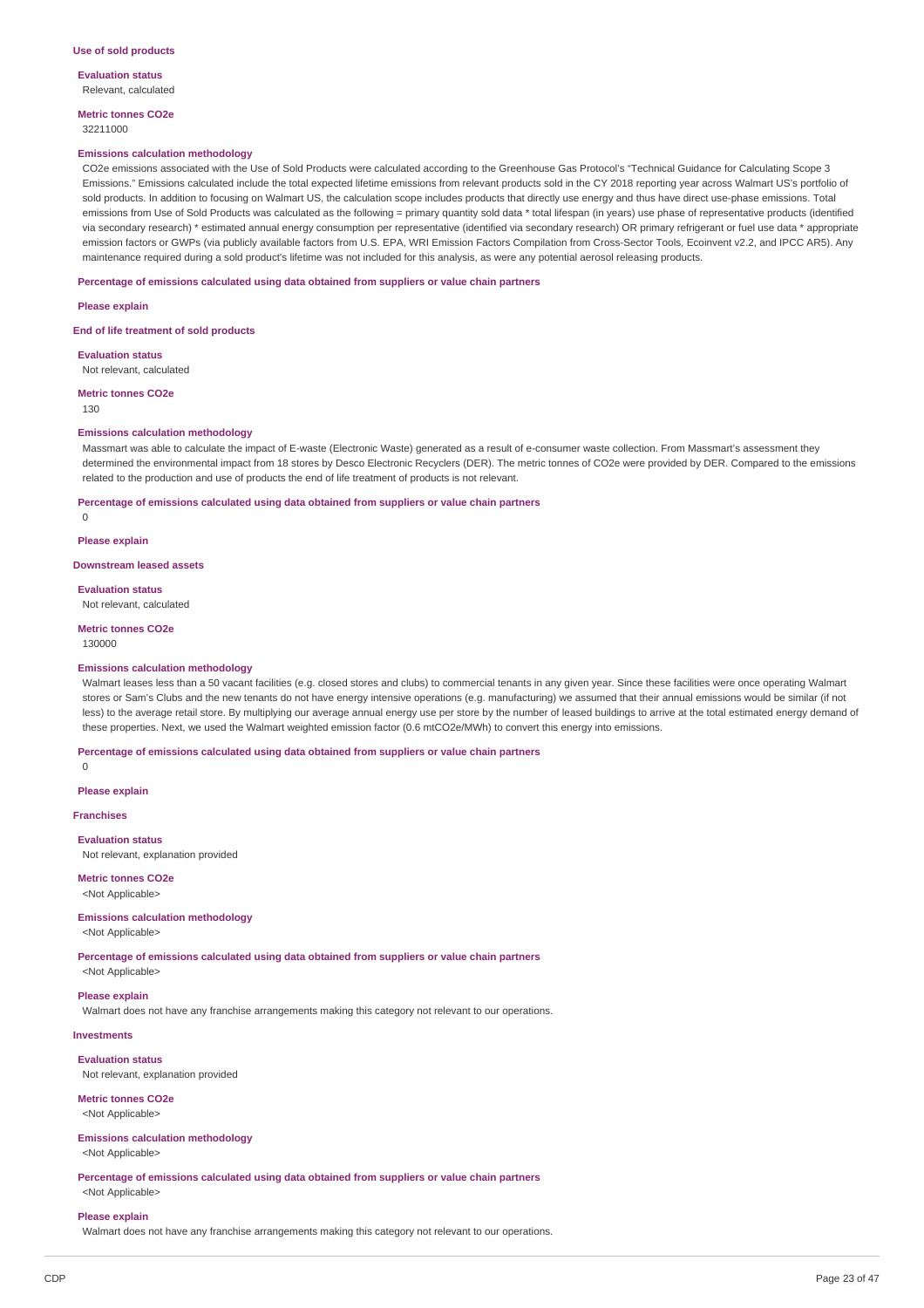**Evaluation status** Relevant, calculated

**Metric tonnes CO2e** 32211000

#### **Emissions calculation methodology**

CO2e emissions associated with the Use of Sold Products were calculated according to the Greenhouse Gas Protocol's "Technical Guidance for Calculating Scope 3 Emissions." Emissions calculated include the total expected lifetime emissions from relevant products sold in the CY 2018 reporting year across Walmart US's portfolio of sold products. In addition to focusing on Walmart US, the calculation scope includes products that directly use energy and thus have direct use-phase emissions. Total emissions from Use of Sold Products was calculated as the following = primary quantity sold data \* total lifespan (in years) use phase of representative products (identified via secondary research) \* estimated annual energy consumption per representative (identified via secondary research) OR primary refrigerant or fuel use data \* appropriate emission factors or GWPs (via publicly available factors from U.S. EPA, WRI Emission Factors Compilation from Cross-Sector Tools, Ecoinvent v2.2, and IPCC AR5). Any maintenance required during a sold product's lifetime was not included for this analysis, as were any potential aerosol releasing products.

**Percentage of emissions calculated using data obtained from suppliers or value chain partners**

**Please explain**

**End of life treatment of sold products**

**Evaluation status** Not relevant, calculated

**Metric tonnes CO2e**

130

#### **Emissions calculation methodology**

Massmart was able to calculate the impact of E-waste (Electronic Waste) generated as a result of e-consumer waste collection. From Massmart's assessment they determined the environmental impact from 18 stores by Desco Electronic Recyclers (DER). The metric tonnes of CO2e were provided by DER. Compared to the emissions related to the production and use of products the end of life treatment of products is not relevant.

**Percentage of emissions calculated using data obtained from suppliers or value chain partners**

 $\Omega$ 

**Please explain**

**Downstream leased assets**

**Evaluation status** Not relevant, calculated

**Metric tonnes CO2e** 130000

## **Emissions calculation methodology**

Walmart leases less than a 50 vacant facilities (e.g. closed stores and clubs) to commercial tenants in any given year. Since these facilities were once operating Walmart stores or Sam's Clubs and the new tenants do not have energy intensive operations (e.g. manufacturing) we assumed that their annual emissions would be similar (if not less) to the average retail store. By multiplying our average annual energy use per store by the number of leased buildings to arrive at the total estimated energy demand of these properties. Next, we used the Walmart weighted emission factor (0.6 mtCO2e/MWh) to convert this energy into emissions.

#### **Percentage of emissions calculated using data obtained from suppliers or value chain partners**

0

**Please explain**

### **Franchises**

**Evaluation status** Not relevant, explanation provided

### **Metric tonnes CO2e**

<Not Applicable>

### **Emissions calculation methodology**

<Not Applicable>

**Percentage of emissions calculated using data obtained from suppliers or value chain partners** <Not Applicable>

**Please explain**

Walmart does not have any franchise arrangements making this category not relevant to our operations.

#### **Investments**

**Evaluation status** Not relevant, explanation provided

#### **Metric tonnes CO2e** <Not Applicable>

**Emissions calculation methodology**

<Not Applicable>

**Percentage of emissions calculated using data obtained from suppliers or value chain partners** <Not Applicable>

#### **Please explain**

Walmart does not have any franchise arrangements making this category not relevant to our operations.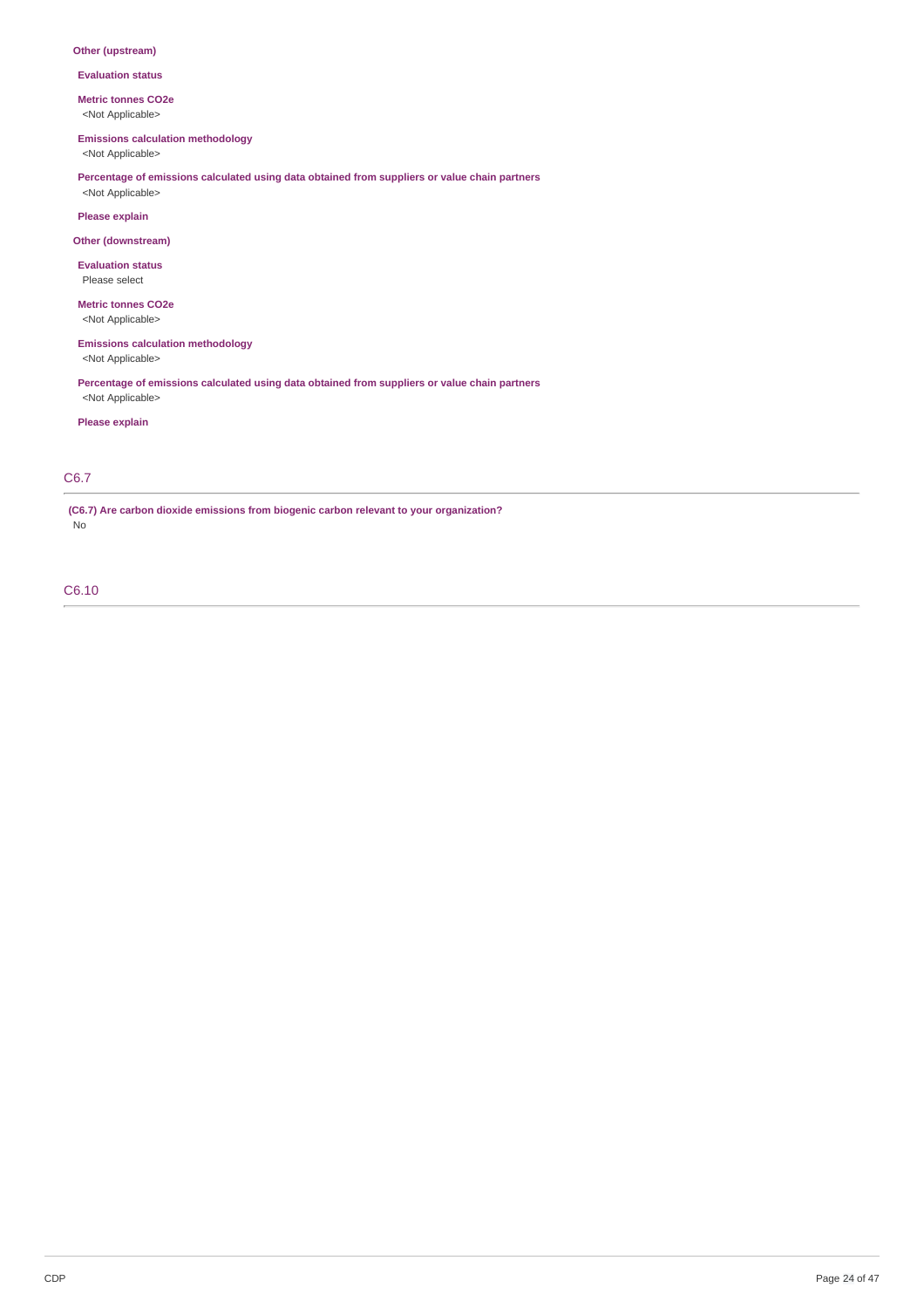### **Other (upstream)**

**Evaluation status**

**Metric tonnes CO2e**

<Not Applicable>

### **Emissions calculation methodology**

<Not Applicable>

**Percentage of emissions calculated using data obtained from suppliers or value chain partners** <Not Applicable>

### **Please explain**

### **Other (downstream)**

**Evaluation status**

Please select

#### **Metric tonnes CO2e** <Not Applicable>

**Emissions calculation methodology** <Not Applicable>

**Percentage of emissions calculated using data obtained from suppliers or value chain partners** <Not Applicable>

### **Please explain**

## C6.7

**(C6.7) Are carbon dioxide emissions from biogenic carbon relevant to your organization?** No

## C6.10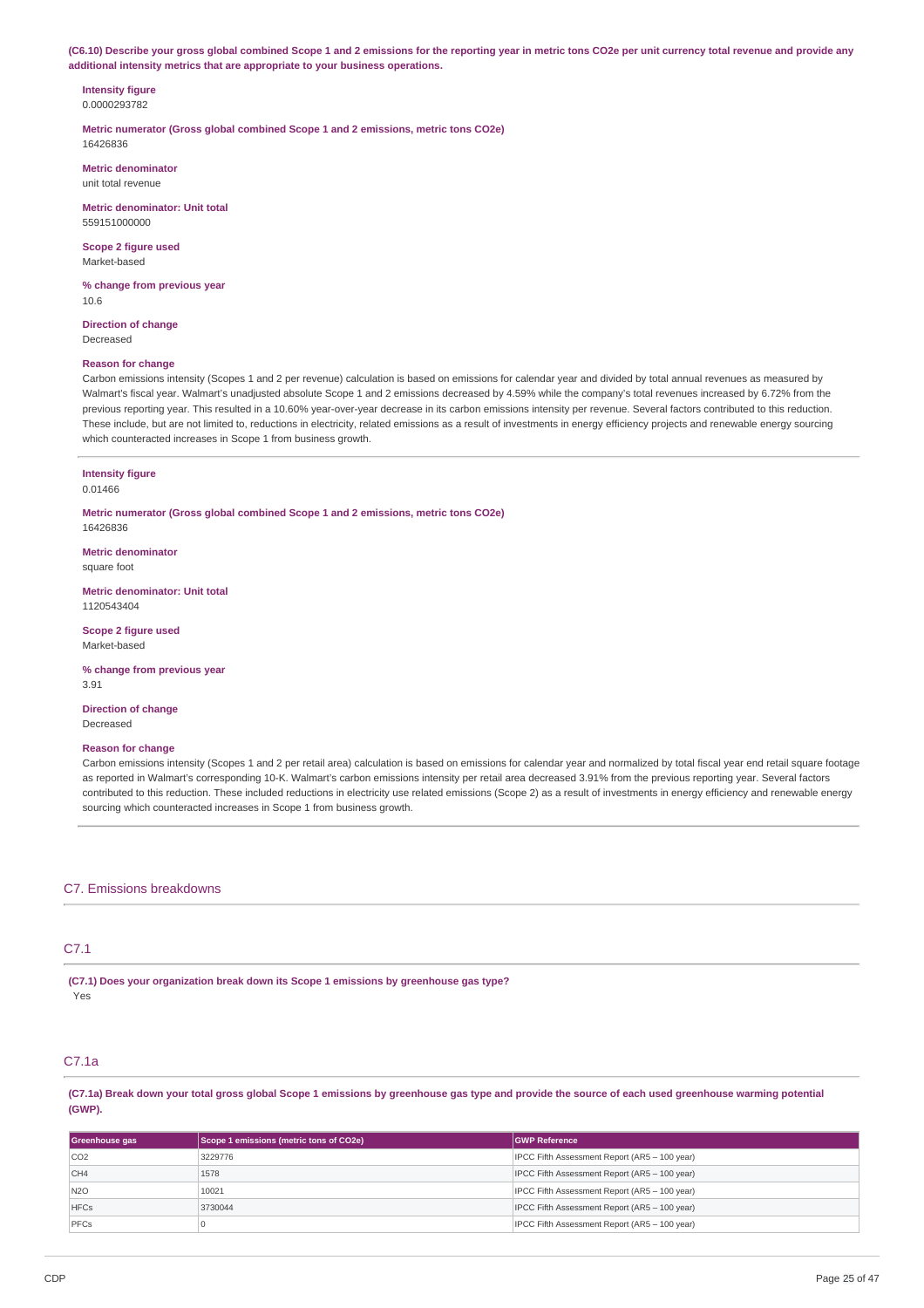(C6.10) Describe your gross global combined Scope 1 and 2 emissions for the reporting year in metric tons CO2e per unit currency total revenue and provide any **additional intensity metrics that are appropriate to your business operations.**

#### **Intensity figure** 0.0000293782

**Metric numerator (Gross global combined Scope 1 and 2 emissions, metric tons CO2e)** 16426836

**Metric denominator** unit total revenue

**Metric denominator: Unit total** 559151000000

**Scope 2 figure used** Market-based

**% change from previous year** 10.6

**Direction of change** Decreased

### **Reason for change**

Carbon emissions intensity (Scopes 1 and 2 per revenue) calculation is based on emissions for calendar year and divided by total annual revenues as measured by Walmart's fiscal year. Walmart's unadjusted absolute Scope 1 and 2 emissions decreased by 4.59% while the company's total revenues increased by 6.72% from the previous reporting year. This resulted in a 10.60% year-over-year decrease in its carbon emissions intensity per revenue. Several factors contributed to this reduction. These include, but are not limited to, reductions in electricity, related emissions as a result of investments in energy efficiency projects and renewable energy sourcing which counteracted increases in Scope 1 from business growth.

#### **Intensity figure** 0.01466

**Metric numerator (Gross global combined Scope 1 and 2 emissions, metric tons CO2e)** 16426836

**Metric denominator** square foot

**Metric denominator: Unit total** 1120543404

**Scope 2 figure used** Market-based

**% change from previous year** 3.91

**Direction of change** Decreased

#### **Reason for change**

Carbon emissions intensity (Scopes 1 and 2 per retail area) calculation is based on emissions for calendar year and normalized by total fiscal year end retail square footage as reported in Walmart's corresponding 10-K. Walmart's carbon emissions intensity per retail area decreased 3.91% from the previous reporting year. Several factors contributed to this reduction. These included reductions in electricity use related emissions (Scope 2) as a result of investments in energy efficiency and renewable energy sourcing which counteracted increases in Scope 1 from business growth.

### C7. Emissions breakdowns

### C7.1

**(C7.1) Does your organization break down its Scope 1 emissions by greenhouse gas type?** Yes

## C7.1a

(C7.1a) Break down your total gross global Scope 1 emissions by greenhouse gas type and provide the source of each used greenhouse warming potential **(GWP).**

| Greenhouse gas   | Scope 1 emissions (metric tons of CO2e) | <b>GWP Reference</b>                          |
|------------------|-----------------------------------------|-----------------------------------------------|
| CO <sub>2</sub>  | 3229776                                 | IPCC Fifth Assessment Report (AR5 - 100 year) |
| CH4              | 1578                                    | IPCC Fifth Assessment Report (AR5 - 100 year) |
| N <sub>2</sub> O | 10021                                   | IPCC Fifth Assessment Report (AR5 - 100 year) |
| <b>HFCs</b>      | 3730044                                 | IPCC Fifth Assessment Report (AR5 - 100 year) |
| PFCs             |                                         | IPCC Fifth Assessment Report (AR5 - 100 year) |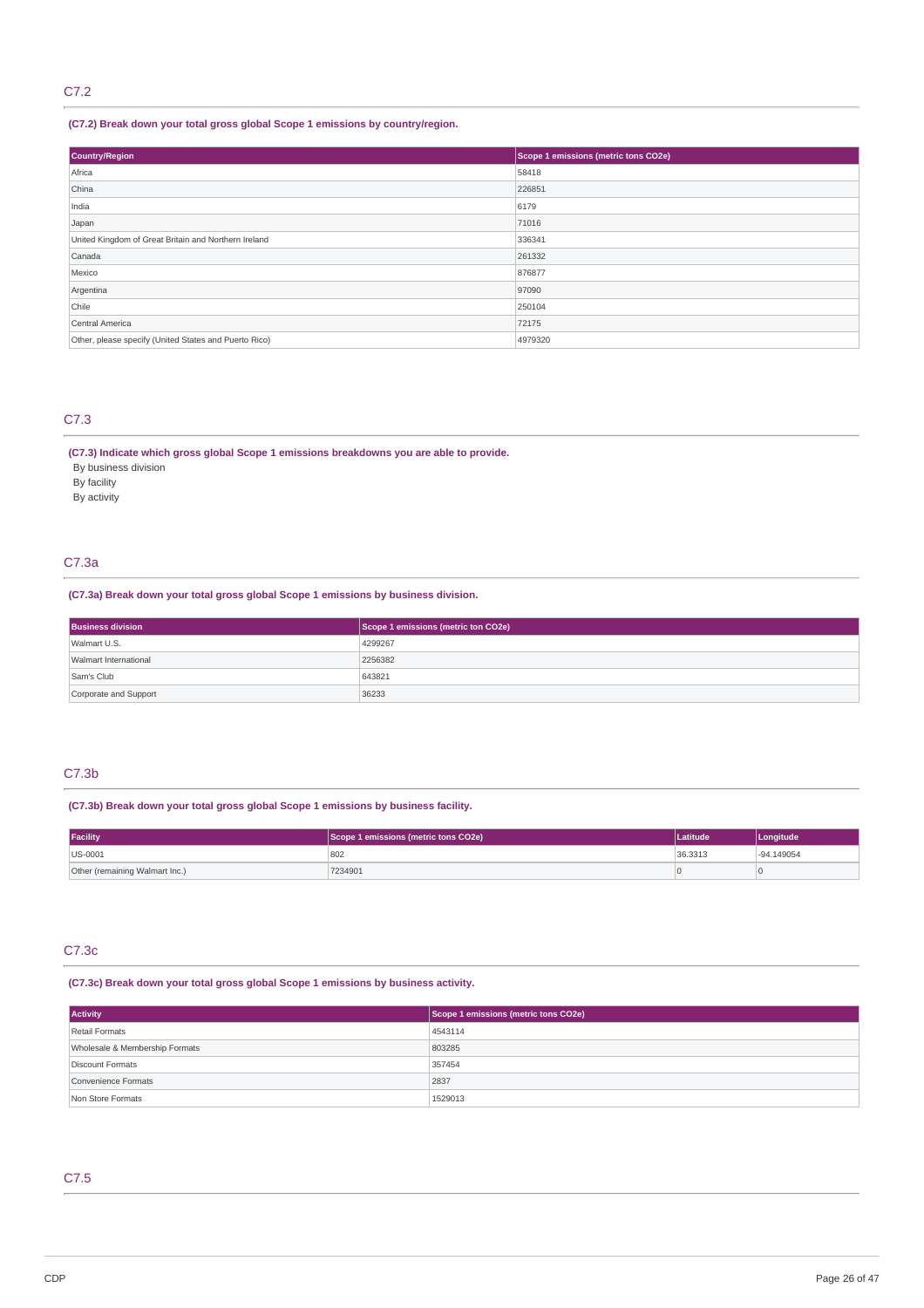## C7.2

## **(C7.2) Break down your total gross global Scope 1 emissions by country/region.**

| Country/Region                                        | Scope 1 emissions (metric tons CO2e) |  |
|-------------------------------------------------------|--------------------------------------|--|
| Africa                                                | 58418                                |  |
| China                                                 | 226851                               |  |
| India                                                 | 6179                                 |  |
| Japan                                                 | 71016                                |  |
| United Kingdom of Great Britain and Northern Ireland  | 336341                               |  |
| Canada                                                | 261332                               |  |
| Mexico                                                | 876877                               |  |
| Argentina                                             | 97090                                |  |
| Chile                                                 | 250104                               |  |
| Central America                                       | 72175                                |  |
| Other, please specify (United States and Puerto Rico) | 4979320                              |  |

## C7.3

### **(C7.3) Indicate which gross global Scope 1 emissions breakdowns you are able to provide.**

- By business division
- By facility
- By activity

### C7.3a

### **(C7.3a) Break down your total gross global Scope 1 emissions by business division.**

| <b>Business division</b> | Scope 1 emissions (metric ton CO2e) |
|--------------------------|-------------------------------------|
| Walmart U.S.             | 4299267                             |
| Walmart International    | 2256382                             |
| Sam's Club               | 643821                              |
| Corporate and Support    | 36233                               |

## C7.3b

### **(C7.3b) Break down your total gross global Scope 1 emissions by business facility.**

| Facility                       | Scope 1 emissions (metric tons CO2e) | Latitude <sup>1</sup> | Longitude    |
|--------------------------------|--------------------------------------|-----------------------|--------------|
| US-0001                        | 802                                  | 36.3313               | $-94.149054$ |
| Other (remaining Walmart Inc.) | 7234901                              |                       |              |

## C7.3c

### **(C7.3c) Break down your total gross global Scope 1 emissions by business activity.**

| <b>Activity</b>                | Scope 1 emissions (metric tons CO2e) |  |
|--------------------------------|--------------------------------------|--|
| Retail Formats                 | 4543114                              |  |
| Wholesale & Membership Formats | 803285                               |  |
| Discount Formats               | 357454                               |  |
| Convenience Formats            | 2837                                 |  |
| Non Store Formats              | 1529013                              |  |

## C7.5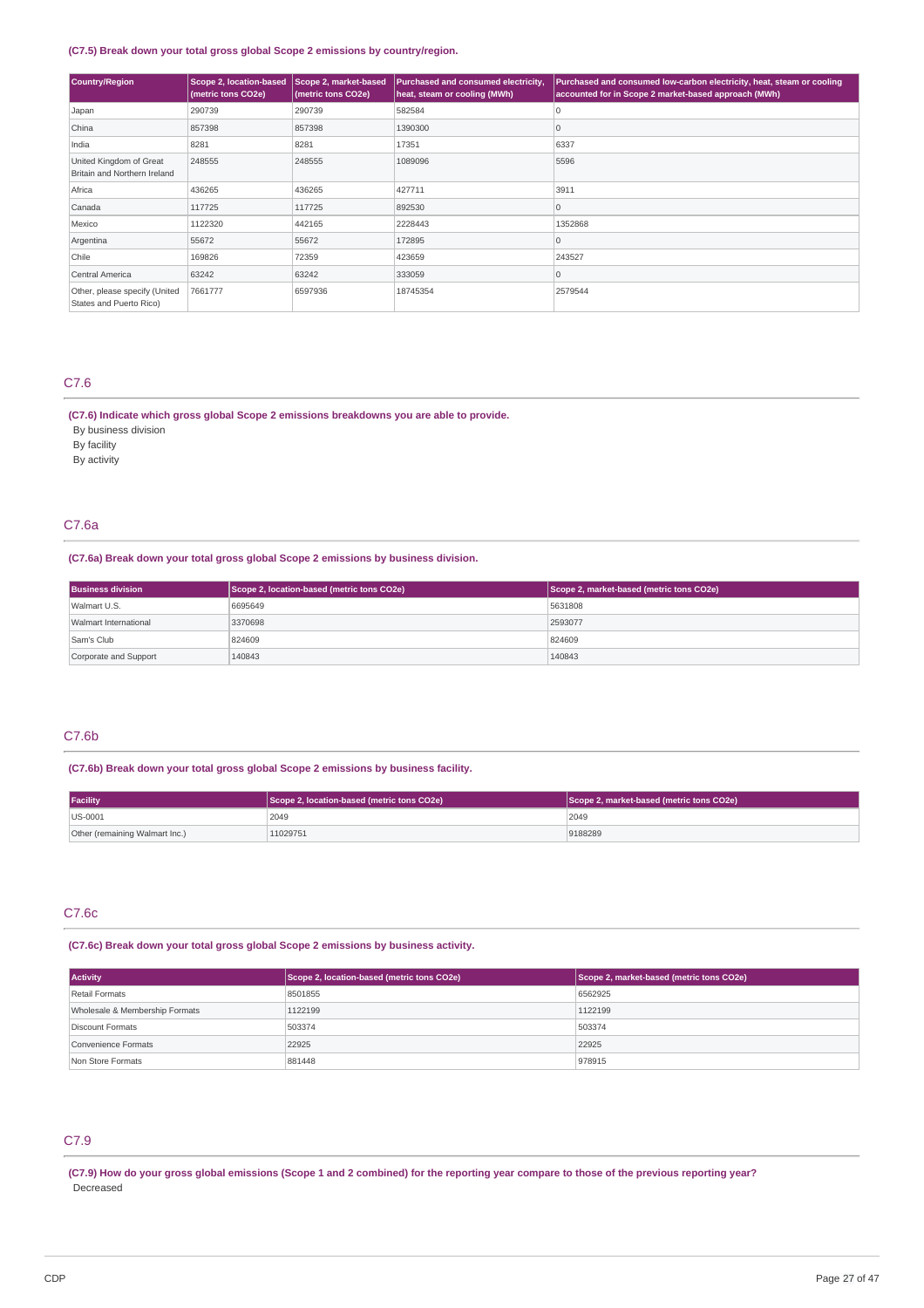### **(C7.5) Break down your total gross global Scope 2 emissions by country/region.**

| Country/Region                                           | <b>Scope 2, location-based</b><br>(metric tons CO2e) | Scope 2, market-based<br>(metric tons CO2e) | Purchased and consumed electricity,<br>heat, steam or cooling (MWh) | Purchased and consumed low-carbon electricity, heat, steam or cooling<br>accounted for in Scope 2 market-based approach (MWh) |
|----------------------------------------------------------|------------------------------------------------------|---------------------------------------------|---------------------------------------------------------------------|-------------------------------------------------------------------------------------------------------------------------------|
| Japan                                                    | 290739                                               | 290739                                      | 582584                                                              | ۱O                                                                                                                            |
| China                                                    | 857398                                               | 857398                                      | 1390300                                                             | 0                                                                                                                             |
| India                                                    | 8281                                                 | 8281                                        | 17351                                                               | 6337                                                                                                                          |
| United Kingdom of Great<br>Britain and Northern Ireland  | 248555                                               | 248555                                      | 1089096                                                             | 5596                                                                                                                          |
| Africa                                                   | 436265                                               | 436265                                      | 427711                                                              | 3911                                                                                                                          |
| Canada                                                   | 117725                                               | 117725                                      | 892530                                                              | $\Omega$                                                                                                                      |
| Mexico                                                   | 1122320                                              | 442165                                      | 2228443                                                             | 1352868                                                                                                                       |
| Argentina                                                | 55672                                                | 55672                                       | 172895                                                              | $\overline{0}$                                                                                                                |
| Chile                                                    | 169826                                               | 72359                                       | 423659                                                              | 243527                                                                                                                        |
| Central America                                          | 63242                                                | 63242                                       | 333059                                                              | 10                                                                                                                            |
| Other, please specify (United<br>States and Puerto Rico) | 7661777                                              | 6597936                                     | 18745354                                                            | 2579544                                                                                                                       |

### C7.6

## **(C7.6) Indicate which gross global Scope 2 emissions breakdowns you are able to provide.**

By business division By facility

By activity

### C7.6a

#### **(C7.6a) Break down your total gross global Scope 2 emissions by business division.**

| <b>Business division</b>     | Scope 2, location-based (metric tons CO2e) | Scope 2, market-based (metric tons CO2e) |
|------------------------------|--------------------------------------------|------------------------------------------|
| Walmart U.S.                 | 6695649                                    | 5631808                                  |
| <b>Walmart International</b> | 3370698                                    | 2593077                                  |
| Sam's Club                   | 824609                                     | 824609                                   |
| Corporate and Support        | 140843                                     | 140843                                   |

### C7.6b

### **(C7.6b) Break down your total gross global Scope 2 emissions by business facility.**

| <b>Facility</b>                | Scope 2, location-based (metric tons CO2e) | Scope 2, market-based (metric tons CO2e) |
|--------------------------------|--------------------------------------------|------------------------------------------|
| $ US-0001$                     | 2049                                       | 2049                                     |
| Other (remaining Walmart Inc.) | 11029751                                   | 9188289                                  |

## C7.6c

### **(C7.6c) Break down your total gross global Scope 2 emissions by business activity.**

| <b>Activity</b>                | Scope 2, location-based (metric tons CO2e) | Scope 2, market-based (metric tons CO2e) |
|--------------------------------|--------------------------------------------|------------------------------------------|
| Retail Formats                 | 8501855                                    | 6562925                                  |
| Wholesale & Membership Formats | 1122199                                    | 1122199                                  |
| Discount Formats               | 503374                                     | 503374                                   |
| Convenience Formats            | 22925                                      | 22925                                    |
| Non Store Formats              | 881448                                     | 978915                                   |

## C7.9

(C7.9) How do your gross global emissions (Scope 1 and 2 combined) for the reporting year compare to those of the previous reporting year? Decreased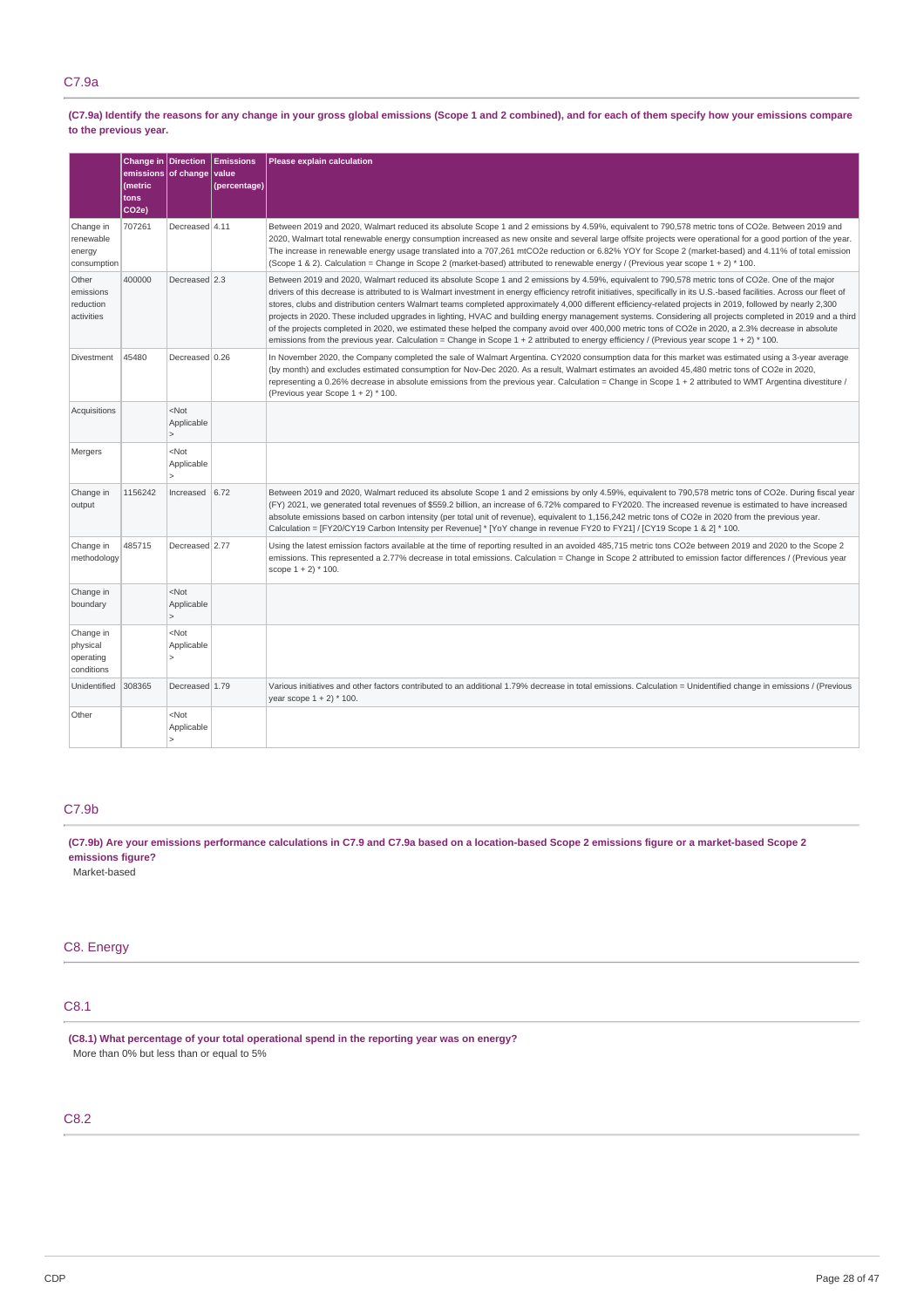### C7.9a

(C7.9a) Identify the reasons for any change in your gross global emissions (Scope 1 and 2 combined), and for each of them specify how your emissions compare **to the previous year.**

|                                                  | Change in Direction<br>(metric<br>tons<br>CO <sub>2e</sub> ) | emissions of change                   | <b>Emissions</b><br>value<br>(percentage) | Please explain calculation                                                                                                                                                                                                                                                                                                                                                                                                                                                                                                                                                                                                                                                                                                                                                                                                                                                                                                                                            |
|--------------------------------------------------|--------------------------------------------------------------|---------------------------------------|-------------------------------------------|-----------------------------------------------------------------------------------------------------------------------------------------------------------------------------------------------------------------------------------------------------------------------------------------------------------------------------------------------------------------------------------------------------------------------------------------------------------------------------------------------------------------------------------------------------------------------------------------------------------------------------------------------------------------------------------------------------------------------------------------------------------------------------------------------------------------------------------------------------------------------------------------------------------------------------------------------------------------------|
| Change in<br>renewable<br>energy<br>consumption  | 707261                                                       | Decreased 4.11                        |                                           | Between 2019 and 2020, Walmart reduced its absolute Scope 1 and 2 emissions by 4.59%, equivalent to 790,578 metric tons of CO2e. Between 2019 and<br>2020, Walmart total renewable energy consumption increased as new onsite and several large offsite projects were operational for a good portion of the year.<br>The increase in renewable energy usage translated into a 707,261 mtCO2e reduction or 6.82% YOY for Scope 2 (market-based) and 4.11% of total emission<br>(Scope 1 & 2). Calculation = Change in Scope 2 (market-based) attributed to renewable energy / (Previous year scope 1 + 2) * 100.                                                                                                                                                                                                                                                                                                                                                       |
| Other<br>emissions<br>reduction<br>activities    | 400000                                                       | Decreased 2.3                         |                                           | Between 2019 and 2020, Walmart reduced its absolute Scope 1 and 2 emissions by 4.59%, equivalent to 790,578 metric tons of CO2e. One of the major<br>drivers of this decrease is attributed to is Walmart investment in energy efficiency retrofit initiatives, specifically in its U.S.-based facilities. Across our fleet of<br>stores, clubs and distribution centers Walmart teams completed approximately 4,000 different efficiency-related projects in 2019, followed by nearly 2,300<br>projects in 2020. These included upgrades in lighting, HVAC and building energy management systems. Considering all projects completed in 2019 and a third<br>of the projects completed in 2020, we estimated these helped the company avoid over 400,000 metric tons of CO2e in 2020, a 2.3% decrease in absolute<br>emissions from the previous year. Calculation = Change in Scope $1 + 2$ attributed to energy efficiency / (Previous year scope $1 + 2$ ) * 100. |
| Divestment                                       | 45480                                                        | Decreased 0.26                        |                                           | In November 2020, the Company completed the sale of Walmart Argentina. CY2020 consumption data for this market was estimated using a 3-year average<br>(by month) and excludes estimated consumption for Nov-Dec 2020. As a result, Walmart estimates an avoided 45,480 metric tons of CO2e in 2020,<br>representing a 0.26% decrease in absolute emissions from the previous year. Calculation = Change in Scope $1 + 2$ attributed to WMT Argentina divestiture /<br>(Previous year Scope 1 + 2) * 100.                                                                                                                                                                                                                                                                                                                                                                                                                                                             |
| Acquisitions                                     |                                                              | $<$ Not<br>Applicable<br>$\mathbf{r}$ |                                           |                                                                                                                                                                                                                                                                                                                                                                                                                                                                                                                                                                                                                                                                                                                                                                                                                                                                                                                                                                       |
| Mergers                                          |                                                              | $<$ Not<br>Applicable                 |                                           |                                                                                                                                                                                                                                                                                                                                                                                                                                                                                                                                                                                                                                                                                                                                                                                                                                                                                                                                                                       |
| Change in<br>output                              | 1156242                                                      | Increased $6.72$                      |                                           | Between 2019 and 2020, Walmart reduced its absolute Scope 1 and 2 emissions by only 4.59%, equivalent to 790,578 metric tons of CO2e. During fiscal year<br>(FY) 2021, we generated total revenues of \$559.2 billion, an increase of 6.72% compared to FY2020. The increased revenue is estimated to have increased<br>absolute emissions based on carbon intensity (per total unit of revenue), equivalent to 1,156,242 metric tons of CO2e in 2020 from the previous year.<br>Calculation = [FY20/CY19 Carbon Intensity per Revenue] * [YoY change in revenue FY20 to FY21] / [CY19 Scope 1 & 2] * 100.                                                                                                                                                                                                                                                                                                                                                            |
| Change in<br>methodology                         | 485715                                                       | Decreased 2.77                        |                                           | Using the latest emission factors available at the time of reporting resulted in an avoided 485,715 metric tons CO2e between 2019 and 2020 to the Scope 2<br>emissions. This represented a 2.77% decrease in total emissions. Calculation = Change in Scope 2 attributed to emission factor differences / (Previous year<br>scope $1 + 2$ * 100.                                                                                                                                                                                                                                                                                                                                                                                                                                                                                                                                                                                                                      |
| Change in<br>boundary                            |                                                              | $<$ Not<br>Applicable<br>$\mathbf{r}$ |                                           |                                                                                                                                                                                                                                                                                                                                                                                                                                                                                                                                                                                                                                                                                                                                                                                                                                                                                                                                                                       |
| Change in<br>physical<br>operating<br>conditions |                                                              | $<$ Not<br>Applicable<br>$\mathbf{r}$ |                                           |                                                                                                                                                                                                                                                                                                                                                                                                                                                                                                                                                                                                                                                                                                                                                                                                                                                                                                                                                                       |
| Unidentified                                     | 308365                                                       | Decreased 1.79                        |                                           | Various initiatives and other factors contributed to an additional 1.79% decrease in total emissions. Calculation = Unidentified change in emissions / (Previous<br>year scope $1 + 2$ * 100.                                                                                                                                                                                                                                                                                                                                                                                                                                                                                                                                                                                                                                                                                                                                                                         |
| Other                                            |                                                              | $<$ Not<br>Applicable                 |                                           |                                                                                                                                                                                                                                                                                                                                                                                                                                                                                                                                                                                                                                                                                                                                                                                                                                                                                                                                                                       |

## C7.9b

(C7.9b) Are your emissions performance calculations in C7.9 and C7.9a based on a location-based Scope 2 emissions figure or a market-based Scope 2 **emissions figure?**

Market-based

## C8. Energy

### C8.1

**(C8.1) What percentage of your total operational spend in the reporting year was on energy?** More than 0% but less than or equal to 5%

## C8.2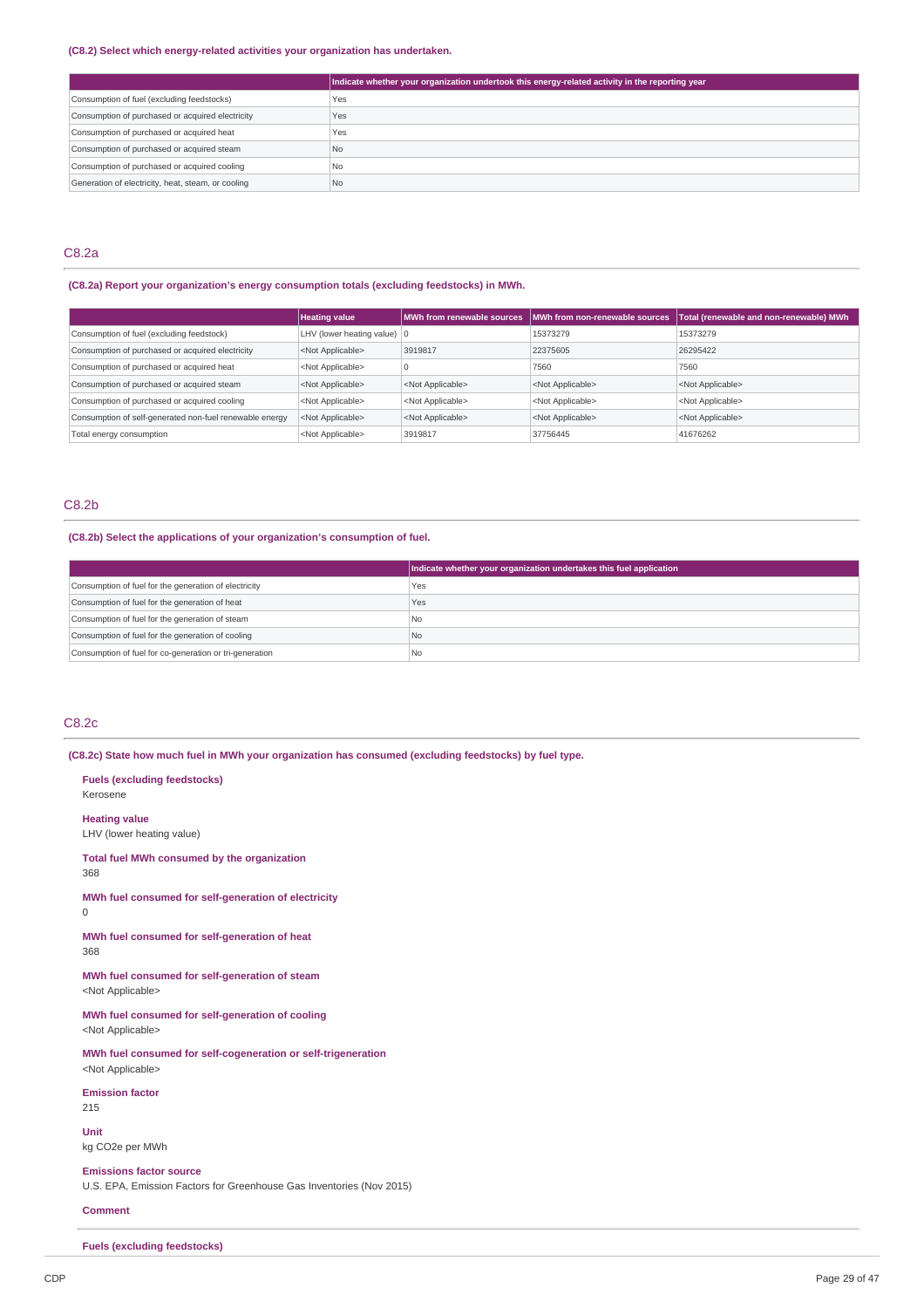#### **(C8.2) Select which energy-related activities your organization has undertaken.**

|                                                    | Indicate whether your organization undertook this energy-related activity in the reporting year |
|----------------------------------------------------|-------------------------------------------------------------------------------------------------|
| Consumption of fuel (excluding feedstocks)         | Yes                                                                                             |
| Consumption of purchased or acquired electricity   | Yes                                                                                             |
| Consumption of purchased or acquired heat          | Yes                                                                                             |
| Consumption of purchased or acquired steam         | N <sub>o</sub>                                                                                  |
| Consumption of purchased or acquired cooling       | N <sub>o</sub>                                                                                  |
| Generation of electricity, heat, steam, or cooling | N <sub>o</sub>                                                                                  |

### C8.2a

### **(C8.2a) Report your organization's energy consumption totals (excluding feedstocks) in MWh.**

|                                                         | <b>Heating value</b>                  |                           | MWh from renewable sources   MWh from non-renewable sources | Total (renewable and non-renewable) MWh |
|---------------------------------------------------------|---------------------------------------|---------------------------|-------------------------------------------------------------|-----------------------------------------|
| Consumption of fuel (excluding feedstock)               | LHV (lower heating value) $ 0\rangle$ |                           | 15373279                                                    | 15373279                                |
| Consumption of purchased or acquired electricity        | <not applicable=""></not>             | 3919817                   | 22375605                                                    | 26295422                                |
| Consumption of purchased or acquired heat               | <not applicable=""></not>             |                           | 7560                                                        | 7560                                    |
| Consumption of purchased or acquired steam              | <not applicable=""></not>             | <not applicable=""></not> | <not applicable=""></not>                                   | <not applicable=""></not>               |
| Consumption of purchased or acquired cooling            | <not applicable=""></not>             | <not applicable=""></not> | <not applicable=""></not>                                   | <not applicable=""></not>               |
| Consumption of self-generated non-fuel renewable energy | <not applicable=""></not>             | <not applicable=""></not> | <not applicable=""></not>                                   | <not applicable=""></not>               |
| Total energy consumption                                | <not applicable=""></not>             | 3919817                   | 37756445                                                    | 41676262                                |

### C8.2b

### **(C8.2b) Select the applications of your organization's consumption of fuel.**

|                                                         | Indicate whether your organization undertakes this fuel application |
|---------------------------------------------------------|---------------------------------------------------------------------|
| Consumption of fuel for the generation of electricity   | Yes                                                                 |
| Consumption of fuel for the generation of heat          | Yes                                                                 |
| Consumption of fuel for the generation of steam         | I No                                                                |
| Consumption of fuel for the generation of cooling       | l No                                                                |
| Consumption of fuel for co-generation or tri-generation | l No                                                                |

### C8.2c

**(C8.2c) State how much fuel in MWh your organization has consumed (excluding feedstocks) by fuel type.**

**Fuels (excluding feedstocks)** Kerosene **Heating value** LHV (lower heating value) **Total fuel MWh consumed by the organization** 368 **MWh fuel consumed for self-generation of electricity** 0 **MWh fuel consumed for self-generation of heat** 368 **MWh fuel consumed for self-generation of steam** <Not Applicable> **MWh fuel consumed for self-generation of cooling** <Not Applicable> **MWh fuel consumed for self-cogeneration or self-trigeneration** <Not Applicable> **Emission factor** 215 **Unit** kg CO2e per MWh **Emissions factor source** U.S. EPA, Emission Factors for Greenhouse Gas Inventories (Nov 2015) **Comment**

**Fuels (excluding feedstocks)**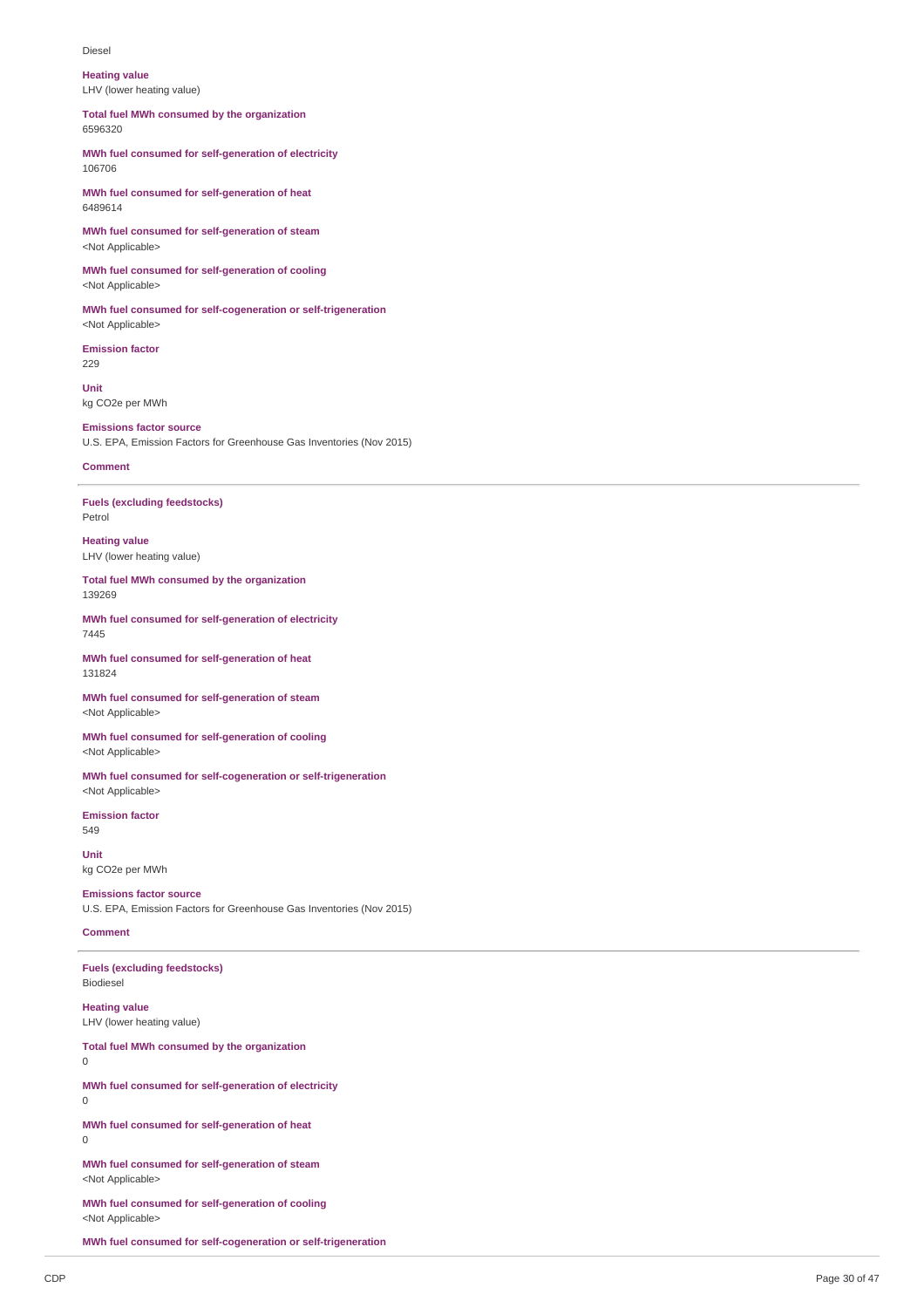Diesel

**Heating value** LHV (lower heating value)

**Total fuel MWh consumed by the organization** 6596320

**MWh fuel consumed for self-generation of electricity** 106706

**MWh fuel consumed for self-generation of heat** 6489614

**MWh fuel consumed for self-generation of steam** <Not Applicable>

**MWh fuel consumed for self-generation of cooling** <Not Applicable>

**MWh fuel consumed for self-cogeneration or self-trigeneration** <Not Applicable>

**Emission factor** 229

**Unit** kg CO2e per MWh

**Emissions factor source**

U.S. EPA, Emission Factors for Greenhouse Gas Inventories (Nov 2015)

### **Comment**

**Fuels (excluding feedstocks)** Petrol

**Heating value** LHV (lower heating value)

**Total fuel MWh consumed by the organization** 139269

**MWh fuel consumed for self-generation of electricity** 7445

**MWh fuel consumed for self-generation of heat** 131824

**MWh fuel consumed for self-generation of steam** <Not Applicable>

**MWh fuel consumed for self-generation of cooling** <Not Applicable>

**MWh fuel consumed for self-cogeneration or self-trigeneration** <Not Applicable>

**Emission factor** 549

**Unit** kg CO2e per MWh

**Emissions factor source** U.S. EPA, Emission Factors for Greenhouse Gas Inventories (Nov 2015)

### **Comment**

**Fuels (excluding feedstocks)** Biodiesel

**Heating value** LHV (lower heating value)

**Total fuel MWh consumed by the organization**

0

**MWh fuel consumed for self-generation of electricity**  $\Omega$ 

**MWh fuel consumed for self-generation of heat**  $\Omega$ 

**MWh fuel consumed for self-generation of steam** <Not Applicable>

**MWh fuel consumed for self-generation of cooling** <Not Applicable>

**MWh fuel consumed for self-cogeneration or self-trigeneration**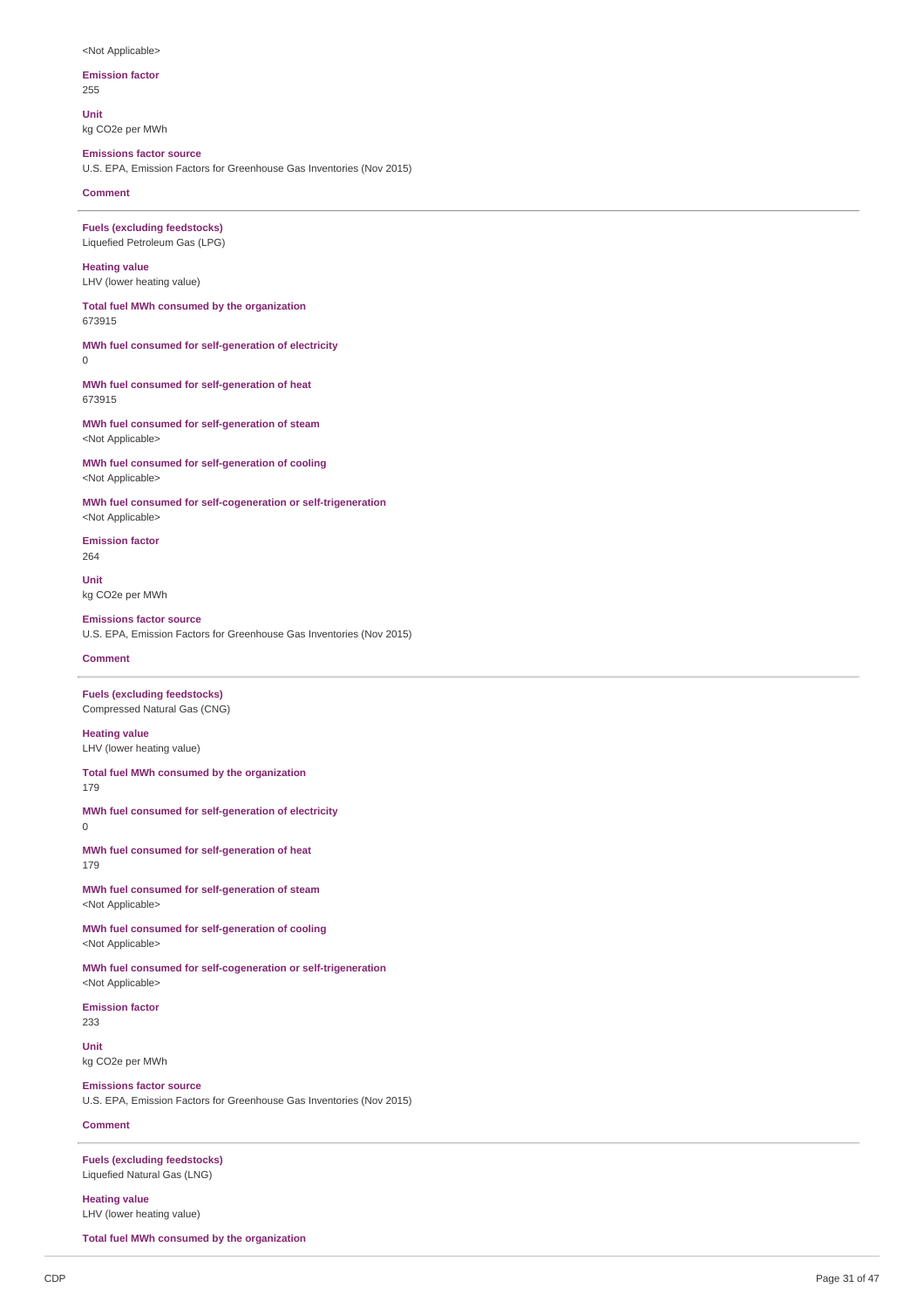#### <Not Applicable>

# **Emission factor**

255

**Unit** kg CO2e per MWh

### **Emissions factor source**

U.S. EPA, Emission Factors for Greenhouse Gas Inventories (Nov 2015)

#### **Comment**

**Fuels (excluding feedstocks)** Liquefied Petroleum Gas (LPG)

## **Heating value**

LHV (lower heating value)

**Total fuel MWh consumed by the organization** 673915

## **MWh fuel consumed for self-generation of electricity**

0

**MWh fuel consumed for self-generation of heat** 673915

**MWh fuel consumed for self-generation of steam** <Not Applicable>

**MWh fuel consumed for self-generation of cooling** <Not Applicable>

**MWh fuel consumed for self-cogeneration or self-trigeneration** <Not Applicable>

**Emission factor** 264

**Unit** kg CO2e per MWh

#### **Emissions factor source**

U.S. EPA, Emission Factors for Greenhouse Gas Inventories (Nov 2015)

#### **Comment**

#### **Fuels (excluding feedstocks)** Compressed Natural Gas (CNG)

**Heating value** LHV (lower heating value)

**Total fuel MWh consumed by the organization**

179

**MWh fuel consumed for self-generation of electricity** 0

**MWh fuel consumed for self-generation of heat** 179

**MWh fuel consumed for self-generation of steam** <Not Applicable>

**MWh fuel consumed for self-generation of cooling** <Not Applicable>

**MWh fuel consumed for self-cogeneration or self-trigeneration** <Not Applicable>

**Emission factor** 233

**Unit** kg CO2e per MWh

**Emissions factor source**

U.S. EPA, Emission Factors for Greenhouse Gas Inventories (Nov 2015)

## **Comment**

**Fuels (excluding feedstocks)** Liquefied Natural Gas (LNG)

**Heating value** LHV (lower heating value)

**Total fuel MWh consumed by the organization**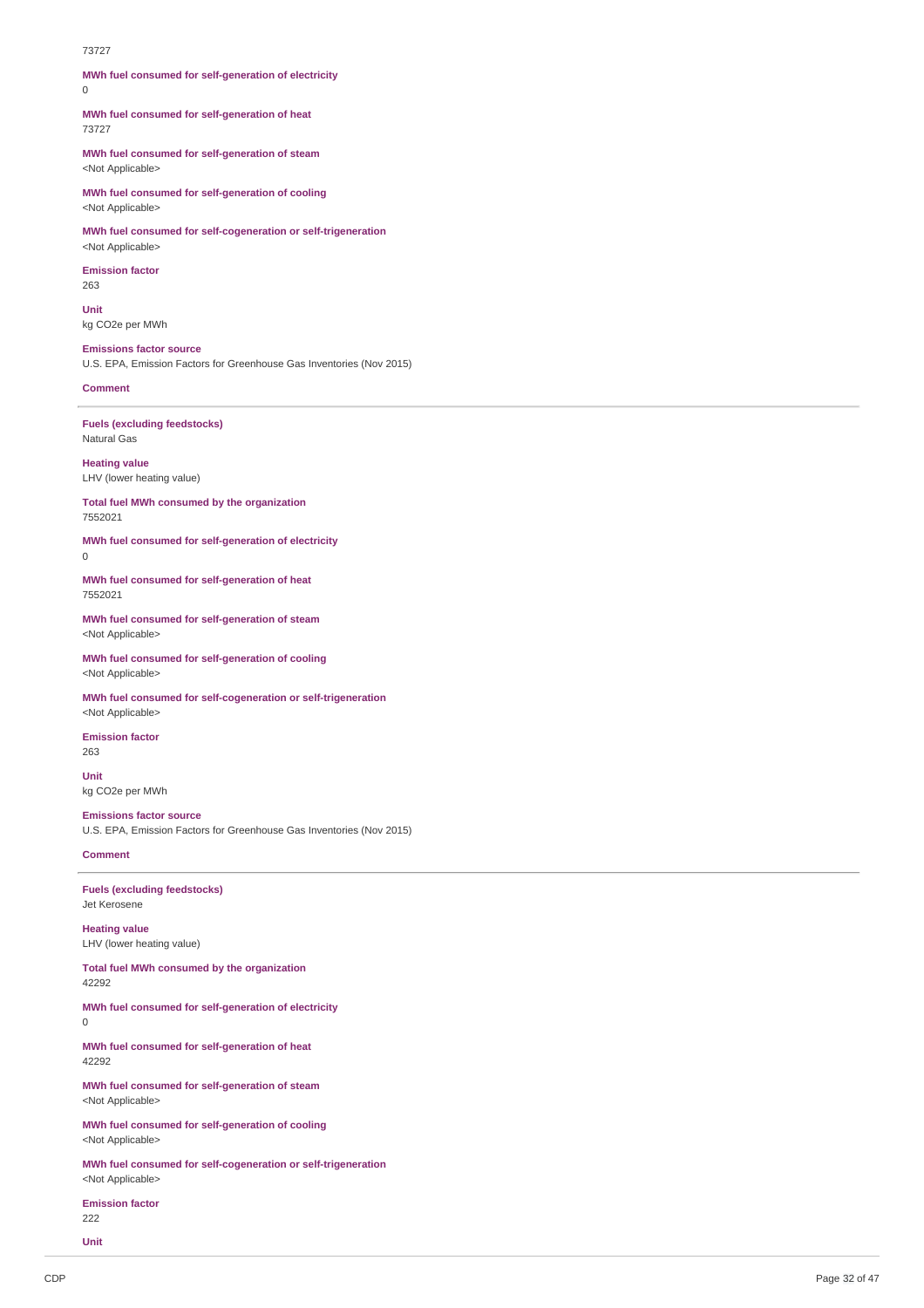#### 73727

**MWh fuel consumed for self-generation of electricity**  $\Omega$ 

**MWh fuel consumed for self-generation of heat** 73727

**MWh fuel consumed for self-generation of steam** <Not Applicable>

**MWh fuel consumed for self-generation of cooling** <Not Applicable>

**MWh fuel consumed for self-cogeneration or self-trigeneration** <Not Applicable>

**Emission factor** 263

**Unit** kg CO2e per MWh

**Emissions factor source** U.S. EPA, Emission Factors for Greenhouse Gas Inventories (Nov 2015)

### **Comment**

0

**Fuels (excluding feedstocks)** Natural Gas

**Heating value** LHV (lower heating value)

**Total fuel MWh consumed by the organization** 7552021

**MWh fuel consumed for self-generation of electricity**

**MWh fuel consumed for self-generation of heat** 7552021

**MWh fuel consumed for self-generation of steam** <Not Applicable>

**MWh fuel consumed for self-generation of cooling** <Not Applicable>

**MWh fuel consumed for self-cogeneration or self-trigeneration** <Not Applicable>

**Emission factor** 263

**Unit** kg CO2e per MWh

**Emissions factor source** U.S. EPA, Emission Factors for Greenhouse Gas Inventories (Nov 2015)

#### **Comment**

**Fuels (excluding feedstocks)** Jet Kerosene

**Heating value** LHV (lower heating value)

**Total fuel MWh consumed by the organization** 42292

**MWh fuel consumed for self-generation of electricity**

 $\theta$ 

**MWh fuel consumed for self-generation of heat** 42292

**MWh fuel consumed for self-generation of steam** <Not Applicable>

**MWh fuel consumed for self-generation of cooling** <Not Applicable>

**MWh fuel consumed for self-cogeneration or self-trigeneration** <Not Applicable>

**Emission factor** 222

**Unit**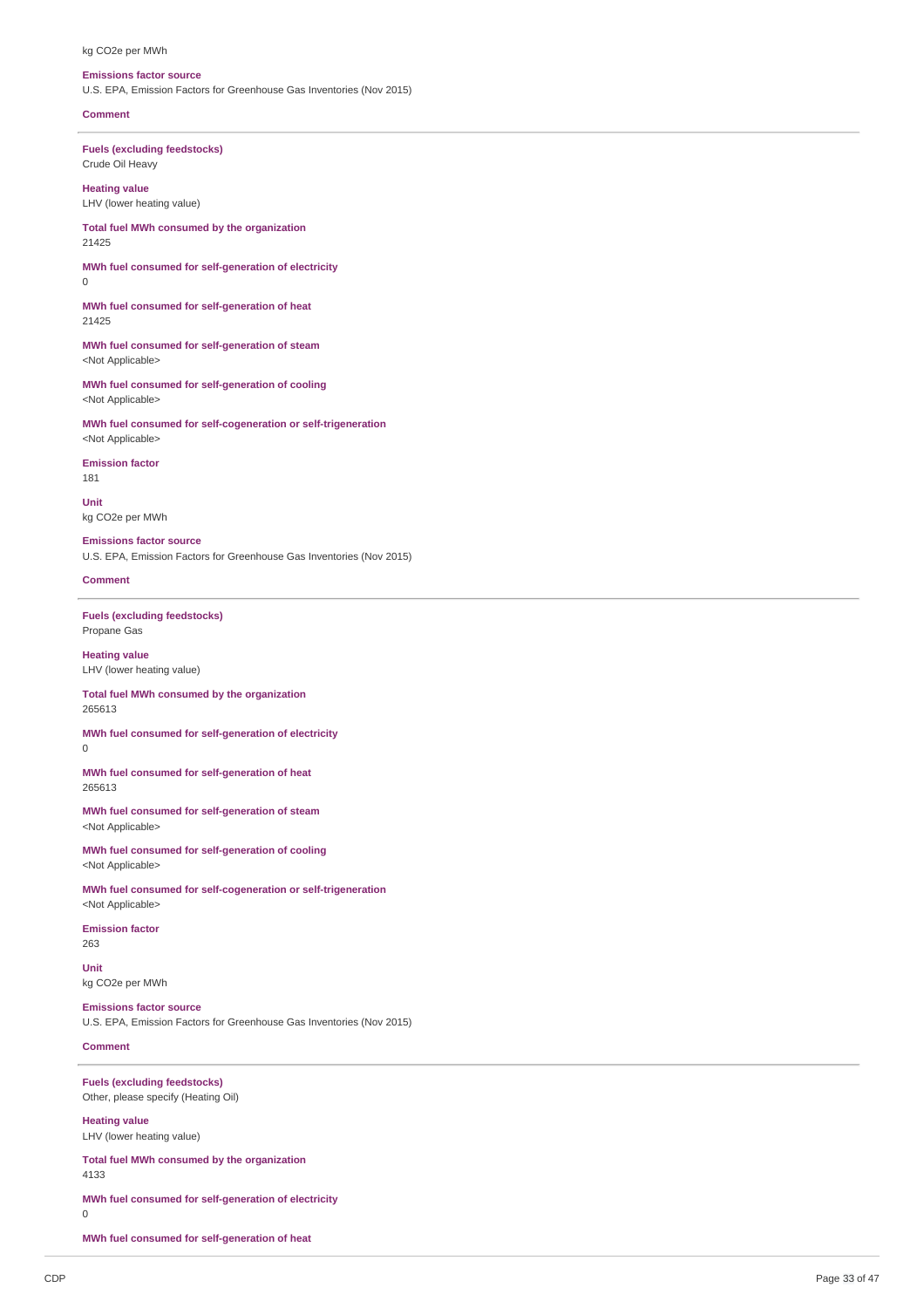#### kg CO2e per MWh

#### **Emissions factor source**

U.S. EPA, Emission Factors for Greenhouse Gas Inventories (Nov 2015)

#### **Comment**

**Fuels (excluding feedstocks)** Crude Oil Heavy

**Heating value** LHV (lower heating value)

**Total fuel MWh consumed by the organization** 21425

**MWh fuel consumed for self-generation of electricity**  $\Omega$ 

**MWh fuel consumed for self-generation of heat** 21425

**MWh fuel consumed for self-generation of steam** <Not Applicable>

**MWh fuel consumed for self-generation of cooling** <Not Applicable>

**MWh fuel consumed for self-cogeneration or self-trigeneration** <Not Applicable>

**Emission factor** 181

**Unit** kg CO2e per MWh

**Emissions factor source** U.S. EPA, Emission Factors for Greenhouse Gas Inventories (Nov 2015)

#### **Comment**

0

**Fuels (excluding feedstocks)** Propane Gas

**Heating value** LHV (lower heating value)

**Total fuel MWh consumed by the organization** 265613

**MWh fuel consumed for self-generation of electricity**

**MWh fuel consumed for self-generation of heat** 265613

**MWh fuel consumed for self-generation of steam** <Not Applicable>

**MWh fuel consumed for self-generation of cooling** <Not Applicable>

**MWh fuel consumed for self-cogeneration or self-trigeneration** <Not Applicable>

**Emission factor** 263

**Unit** kg CO2e per MWh

**Emissions factor source** U.S. EPA, Emission Factors for Greenhouse Gas Inventories (Nov 2015)

### **Comment**

**Fuels (excluding feedstocks)** Other, please specify (Heating Oil)

**Heating value** LHV (lower heating value)

**Total fuel MWh consumed by the organization** 4133

**MWh fuel consumed for self-generation of electricity**

**MWh fuel consumed for self-generation of heat**

0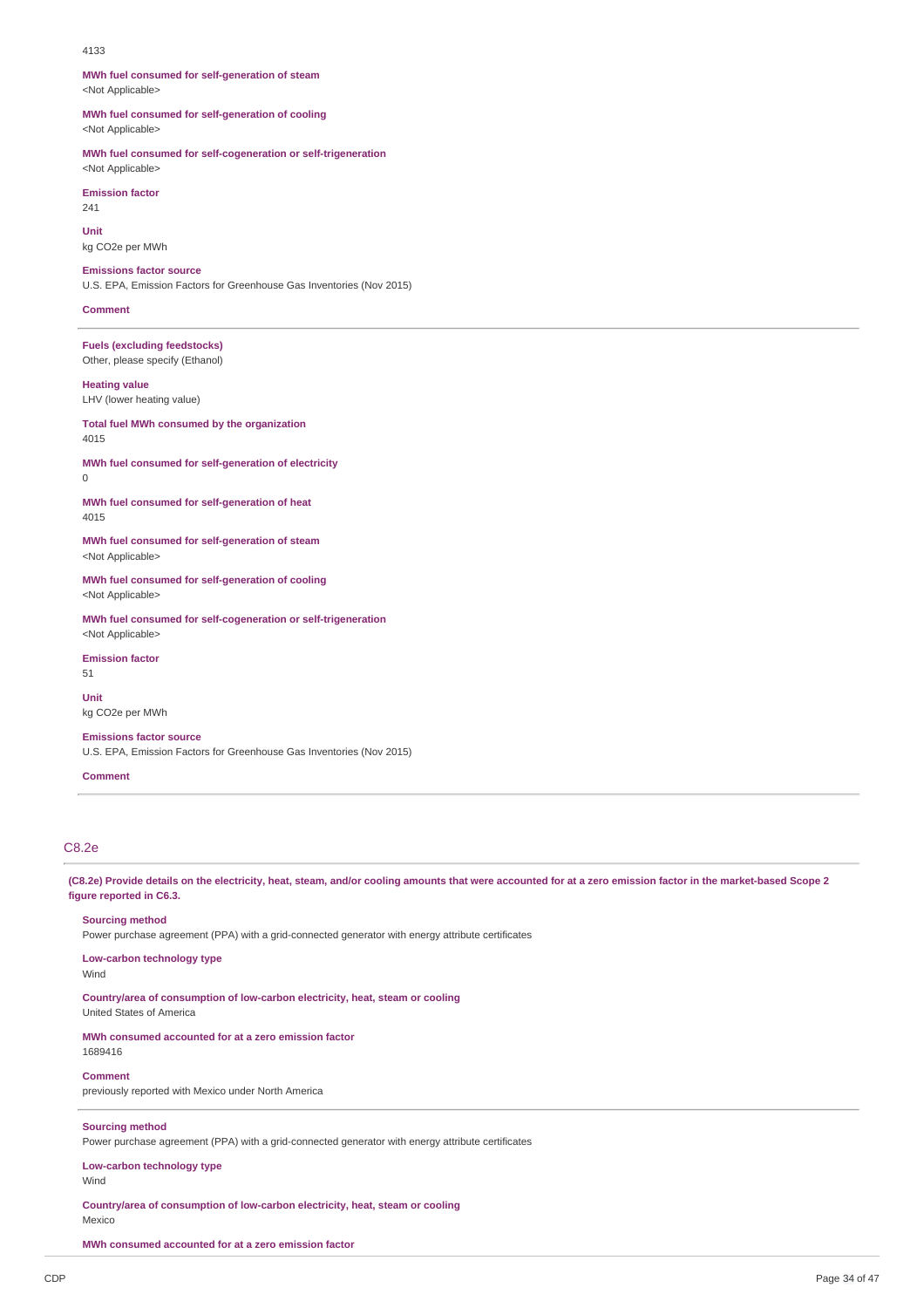#### 4133

**MWh fuel consumed for self-generation of steam** <Not Applicable>

**MWh fuel consumed for self-generation of cooling** <Not Applicable>

**MWh fuel consumed for self-cogeneration or self-trigeneration**

<Not Applicable> **Emission factor**  $211$ 

**Unit** kg CO2e per MWh

**Emissions factor source** U.S. EPA, Emission Factors for Greenhouse Gas Inventories (Nov 2015)

#### **Comment**

**Fuels (excluding feedstocks)** Other, please specify (Ethanol)

### **Heating value**

 $\Omega$ 

LHV (lower heating value)

#### **Total fuel MWh consumed by the organization** 4015

**MWh fuel consumed for self-generation of electricity**

**MWh fuel consumed for self-generation of heat** 4015

**MWh fuel consumed for self-generation of steam** <Not Applicable>

**MWh fuel consumed for self-generation of cooling** <Not Applicable>

**MWh fuel consumed for self-cogeneration or self-trigeneration** <Not Applicable>

### **Emission factor**

51 **Unit** kg CO2e per MWh

**Emissions factor source**

U.S. EPA, Emission Factors for Greenhouse Gas Inventories (Nov 2015)

### **Comment**

## C8.2e

(C8.2e) Provide details on the electricity, heat, steam, and/or cooling amounts that were accounted for at a zero emission factor in the market-based Scope 2 **figure reported in C6.3.**

#### **Sourcing method**

Power purchase agreement (PPA) with a grid-connected generator with energy attribute certificates

#### **Low-carbon technology type** Wind

**Country/area of consumption of low-carbon electricity, heat, steam or cooling** United States of America

#### **MWh consumed accounted for at a zero emission factor**

**Comment**

previously reported with Mexico under North America

### **Sourcing method**

Power purchase agreement (PPA) with a grid-connected generator with energy attribute certificates

### **Low-carbon technology type**

Wind

1689416

**Country/area of consumption of low-carbon electricity, heat, steam or cooling** Mexico

**MWh consumed accounted for at a zero emission factor**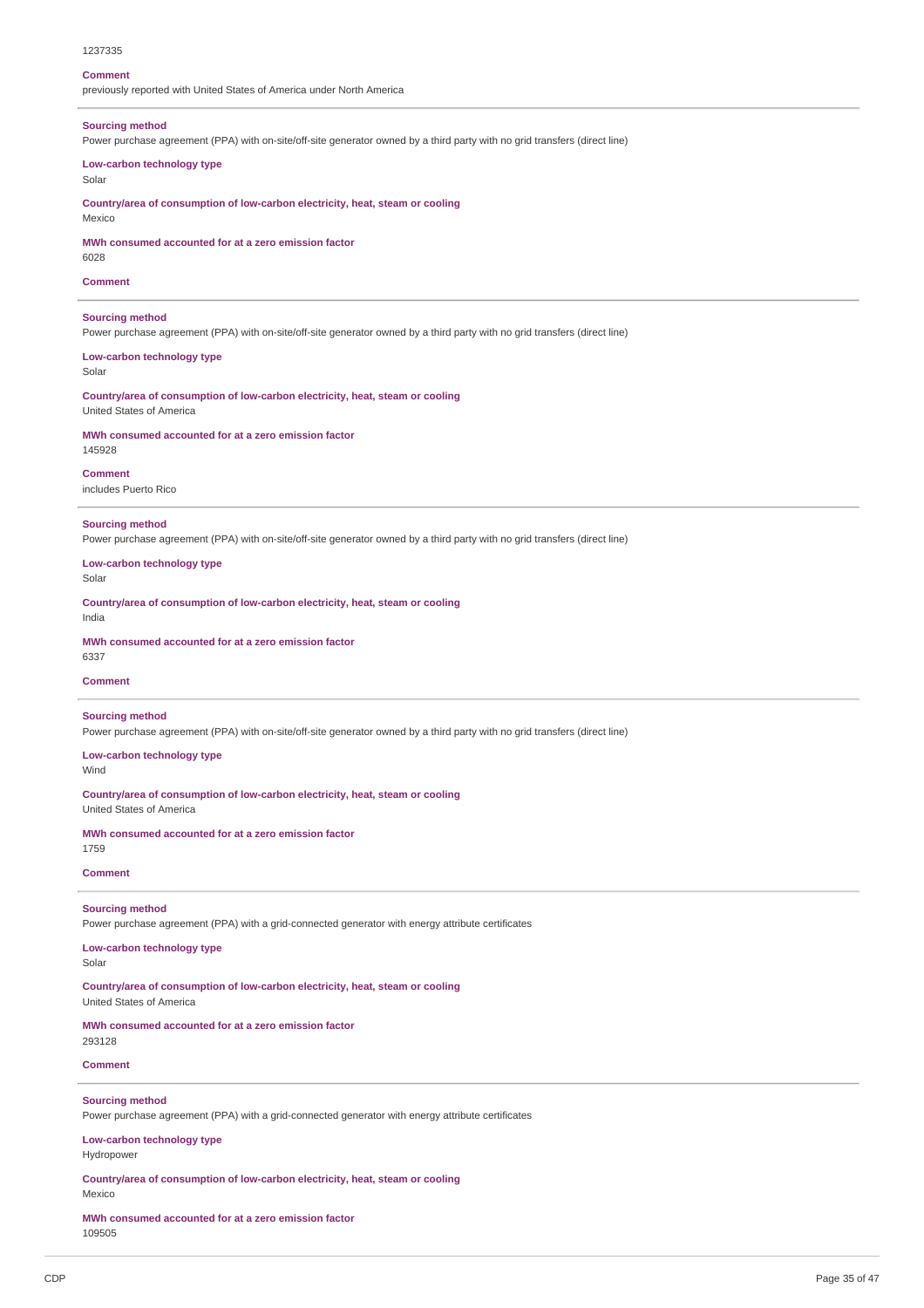#### 1237335

#### **Comment**

previously reported with United States of America under North America

#### **Sourcing method**

Power purchase agreement (PPA) with on-site/off-site generator owned by a third party with no grid transfers (direct line)

#### **Low-carbon technology type**

Solar

**Country/area of consumption of low-carbon electricity, heat, steam or cooling**

# Mexico

**MWh consumed accounted for at a zero emission factor**

6028

### **Comment**

**Sourcing method**

Power purchase agreement (PPA) with on-site/off-site generator owned by a third party with no grid transfers (direct line)

**Low-carbon technology type**

Solar

**Country/area of consumption of low-carbon electricity, heat, steam or cooling** United States of America

#### **MWh consumed accounted for at a zero emission factor**

145928

#### **Comment**

includes Puerto Rico

### **Sourcing method**

Power purchase agreement (PPA) with on-site/off-site generator owned by a third party with no grid transfers (direct line)

**Low-carbon technology type**

Solar

**Country/area of consumption of low-carbon electricity, heat, steam or cooling** India

# **MWh consumed accounted for at a zero emission factor**

6337

#### **Comment**

#### **Sourcing method**

Power purchase agreement (PPA) with on-site/off-site generator owned by a third party with no grid transfers (direct line)

**Low-carbon technology type**

United States of America

Wind

#### **Country/area of consumption of low-carbon electricity, heat, steam or cooling**

**MWh consumed accounted for at a zero emission factor**

1759

### **Comment**

## **Sourcing method**

Power purchase agreement (PPA) with a grid-connected generator with energy attribute certificates

## **Low-carbon technology type**

Solar

**Country/area of consumption of low-carbon electricity, heat, steam or cooling** United States of America

**MWh consumed accounted for at a zero emission factor** 293128

#### **Comment**

### **Sourcing method**

Power purchase agreement (PPA) with a grid-connected generator with energy attribute certificates

### **Low-carbon technology type**

Hydropower

**Country/area of consumption of low-carbon electricity, heat, steam or cooling** Mexico

**MWh consumed accounted for at a zero emission factor** 109505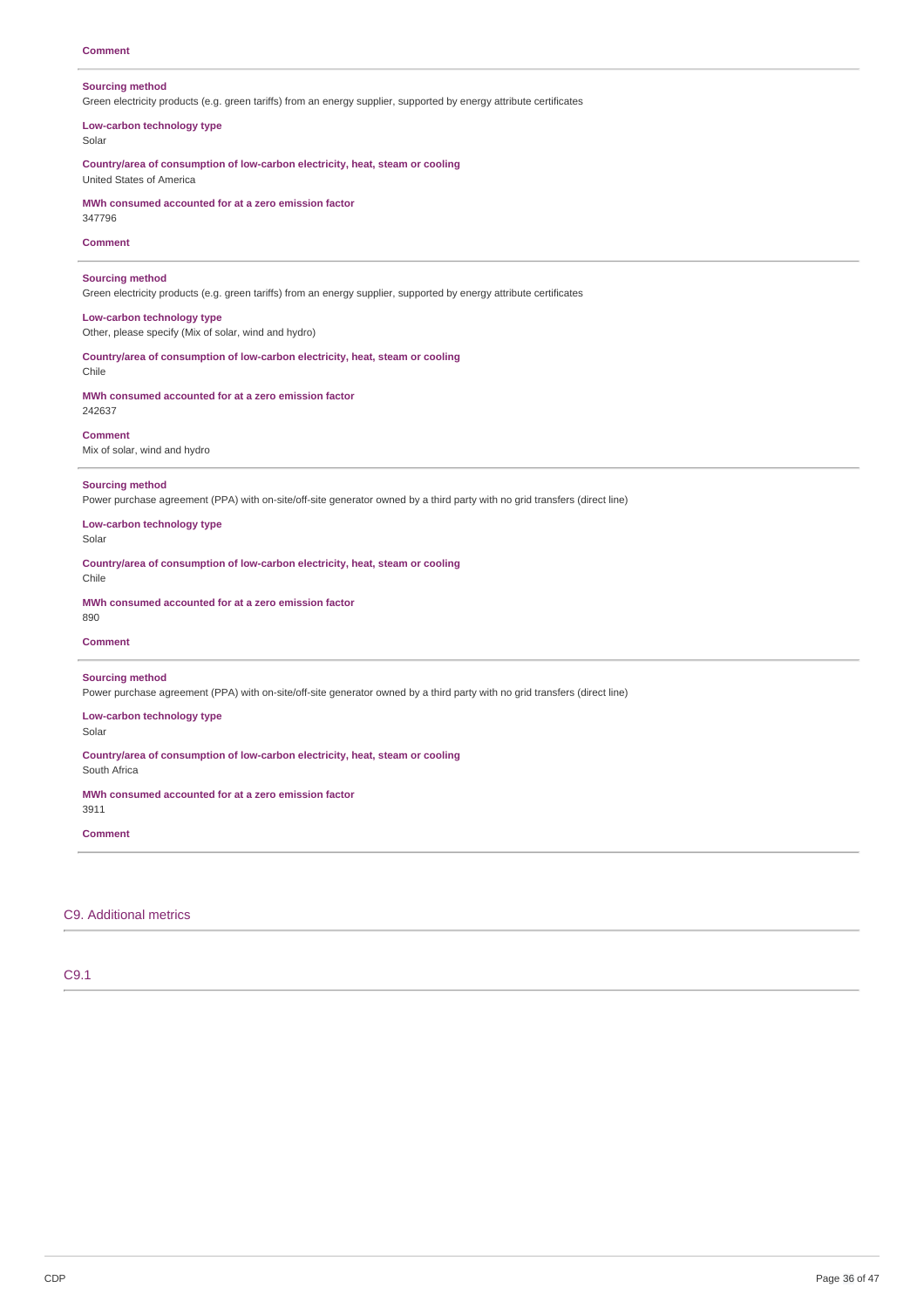#### **Sourcing method**

Green electricity products (e.g. green tariffs) from an energy supplier, supported by energy attribute certificates

### **Low-carbon technology type**

Solar

**Country/area of consumption of low-carbon electricity, heat, steam or cooling** United States of America

**MWh consumed accounted for at a zero emission factor**

347796

### **Comment**

### **Sourcing method**

Green electricity products (e.g. green tariffs) from an energy supplier, supported by energy attribute certificates

**Low-carbon technology type** Other, please specify (Mix of solar, wind and hydro)

**Country/area of consumption of low-carbon electricity, heat, steam or cooling** Chile

**MWh consumed accounted for at a zero emission factor** 242637

### **Comment**

Mix of solar, wind and hydro

### **Sourcing method**

Power purchase agreement (PPA) with on-site/off-site generator owned by a third party with no grid transfers (direct line)

#### **Low-carbon technology type** Solar

**Country/area of consumption of low-carbon electricity, heat, steam or cooling** Chile

**MWh consumed accounted for at a zero emission factor**

# **Comment**

890

### **Sourcing method**

Power purchase agreement (PPA) with on-site/off-site generator owned by a third party with no grid transfers (direct line)

## **Low-carbon technology type**

Solar

**Country/area of consumption of low-carbon electricity, heat, steam or cooling**

South Africa

### **MWh consumed accounted for at a zero emission factor**

### 3911

**Comment**

### C9. Additional metrics

## C9.1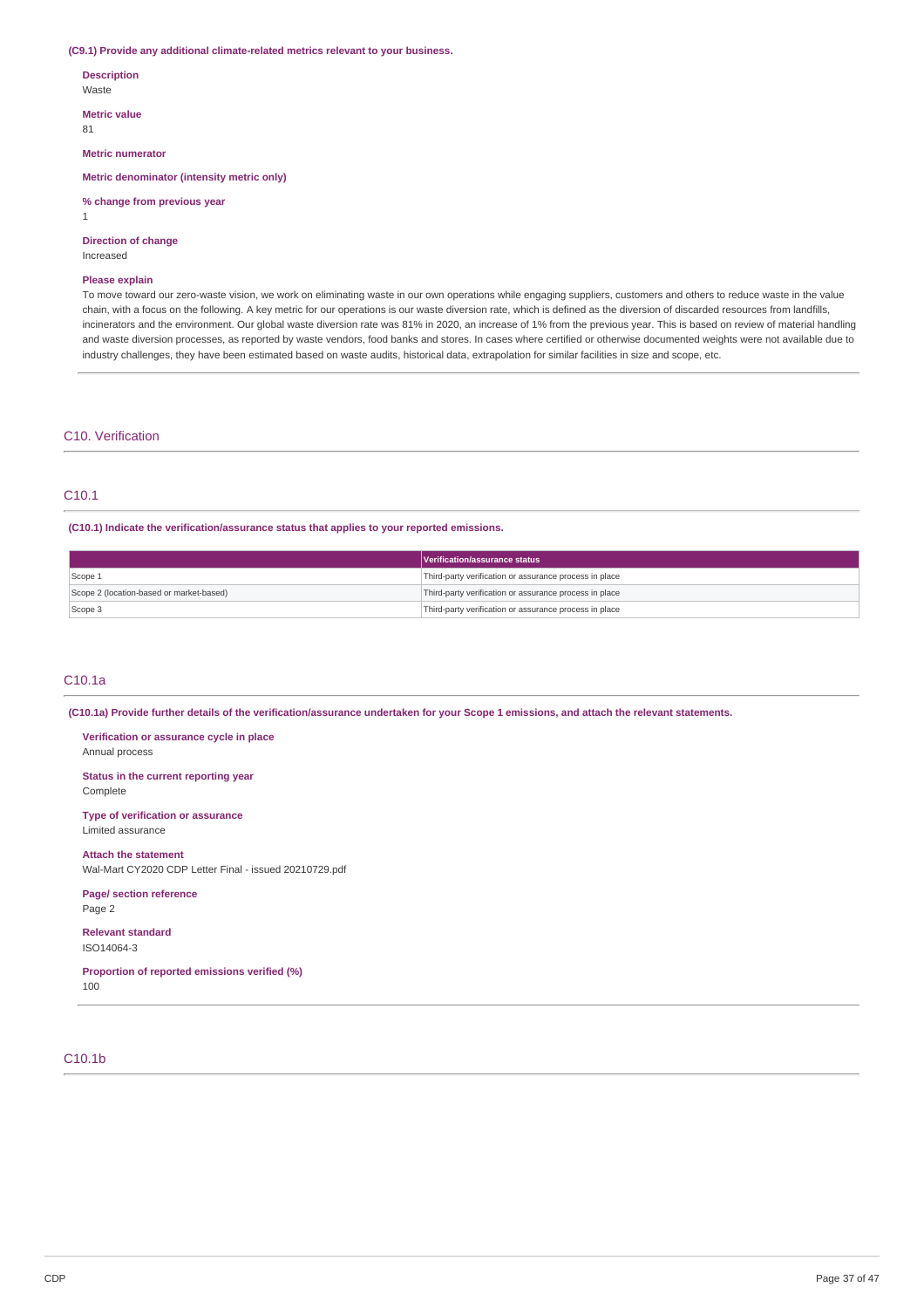#### **(C9.1) Provide any additional climate-related metrics relevant to your business.**

**Description** Waste

**Metric value** 81

1

**Metric numerator**

**Metric denominator (intensity metric only)**

### **% change from previous year**

**Direction of change**

#### Increased

#### **Please explain**

To move toward our zero-waste vision, we work on eliminating waste in our own operations while engaging suppliers, customers and others to reduce waste in the value chain, with a focus on the following. A key metric for our operations is our waste diversion rate, which is defined as the diversion of discarded resources from landfills, incinerators and the environment. Our global waste diversion rate was 81% in 2020, an increase of 1% from the previous year. This is based on review of material handling and waste diversion processes, as reported by waste vendors, food banks and stores. In cases where certified or otherwise documented weights were not available due to industry challenges, they have been estimated based on waste audits, historical data, extrapolation for similar facilities in size and scope, etc.

### C10. Verification

## C10.1

**(C10.1) Indicate the verification/assurance status that applies to your reported emissions.**

|                                          | <b>Nerification/assurance status</b>                   |
|------------------------------------------|--------------------------------------------------------|
| Scope 1                                  | Third-party verification or assurance process in place |
| Scope 2 (location-based or market-based) | Third-party verification or assurance process in place |
| Scope 3                                  | Third-party verification or assurance process in place |

#### C10.1a

(C10.1a) Provide further details of the verification/assurance undertaken for your Scope 1 emissions, and attach the relevant statements.

**Verification or assurance cycle in place** Annual process

**Status in the current reporting year** Complete

**Type of verification or assurance** Limited assurance

**Attach the statement** Wal-Mart CY2020 CDP Letter Final - issued 20210729.pdf

## **Page/ section reference**

Page 2

**Relevant standard** ISO14064-3

**Proportion of reported emissions verified (%)** 100

### C10.1b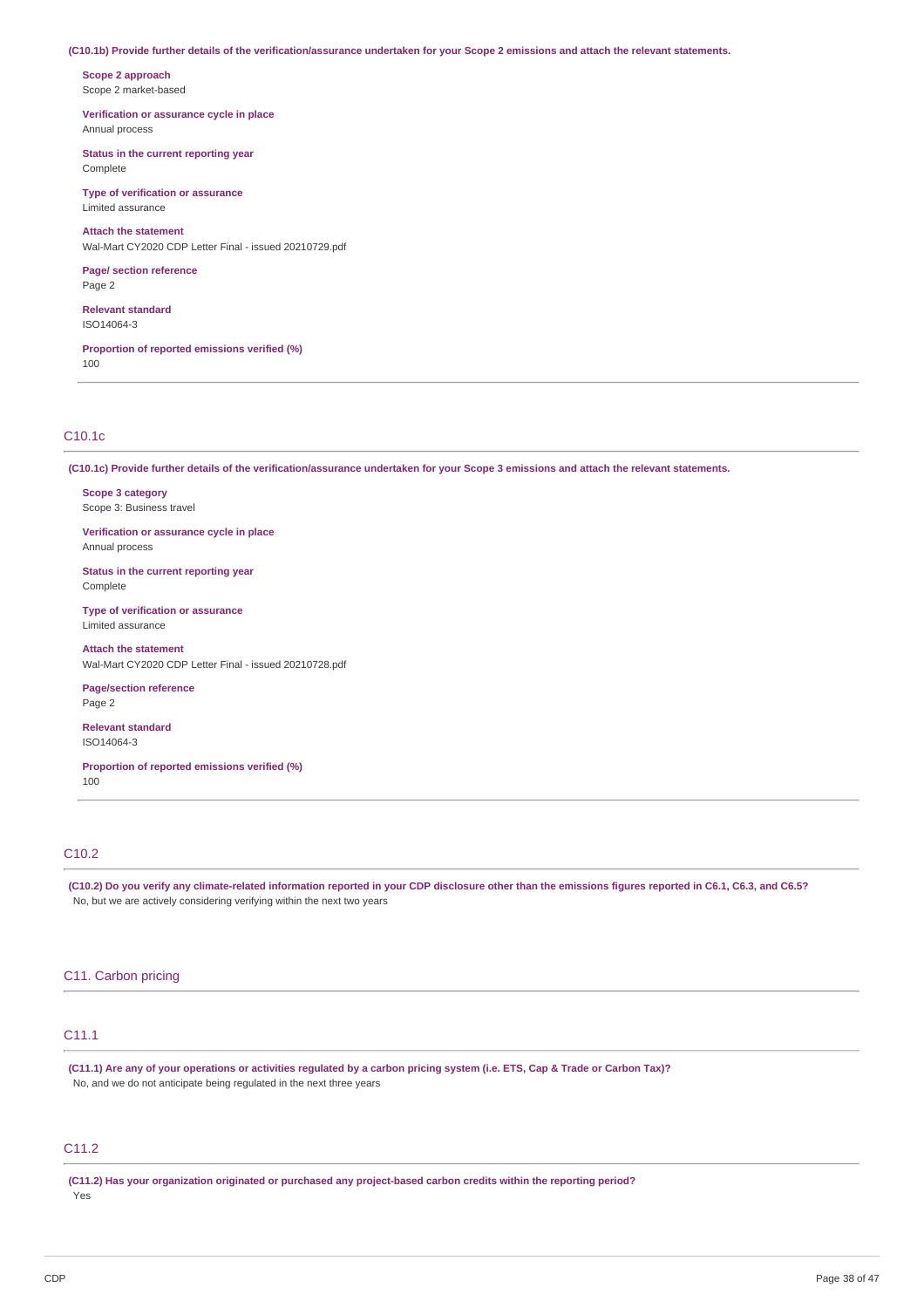#### (C10.1b) Provide further details of the verification/assurance undertaken for your Scope 2 emissions and attach the relevant statements.

**Scope 2 approach** Scope 2 market-based

**Verification or assurance cycle in place** Annual process

**Status in the current reporting year** Complete

**Type of verification or assurance** Limited assurance

**Attach the statement** Wal-Mart CY2020 CDP Letter Final - issued 20210729.pdf

**Page/ section reference** Page 2

**Relevant standard** ISO14064-3

**Proportion of reported emissions verified (%)** 100

### C10.1c

(C10.1c) Provide further details of the verification/assurance undertaken for your Scope 3 emissions and attach the relevant statements.

**Scope 3 category** Scope 3: Business travel

**Verification or assurance cycle in place** Annual process

**Status in the current reporting year** Complete

**Type of verification or assurance** Limited assurance

**Attach the statement** Wal-Mart CY2020 CDP Letter Final - issued 20210728.pdf

**Page/section reference** Page 2

**Relevant standard** ISO14064-3

**Proportion of reported emissions verified (%)** 100

#### C10.2

(C10.2) Do you verify any climate-related information reported in your CDP disclosure other than the emissions figures reported in C6.1, C6.3, and C6.5? No, but we are actively considering verifying within the next two years

### C11. Carbon pricing

## C11.1

(C11.1) Are any of your operations or activities regulated by a carbon pricing system (i.e. ETS, Cap & Trade or Carbon Tax)? No, and we do not anticipate being regulated in the next three years

## C11.2

**(C11.2) Has your organization originated or purchased any project-based carbon credits within the reporting period?** Yes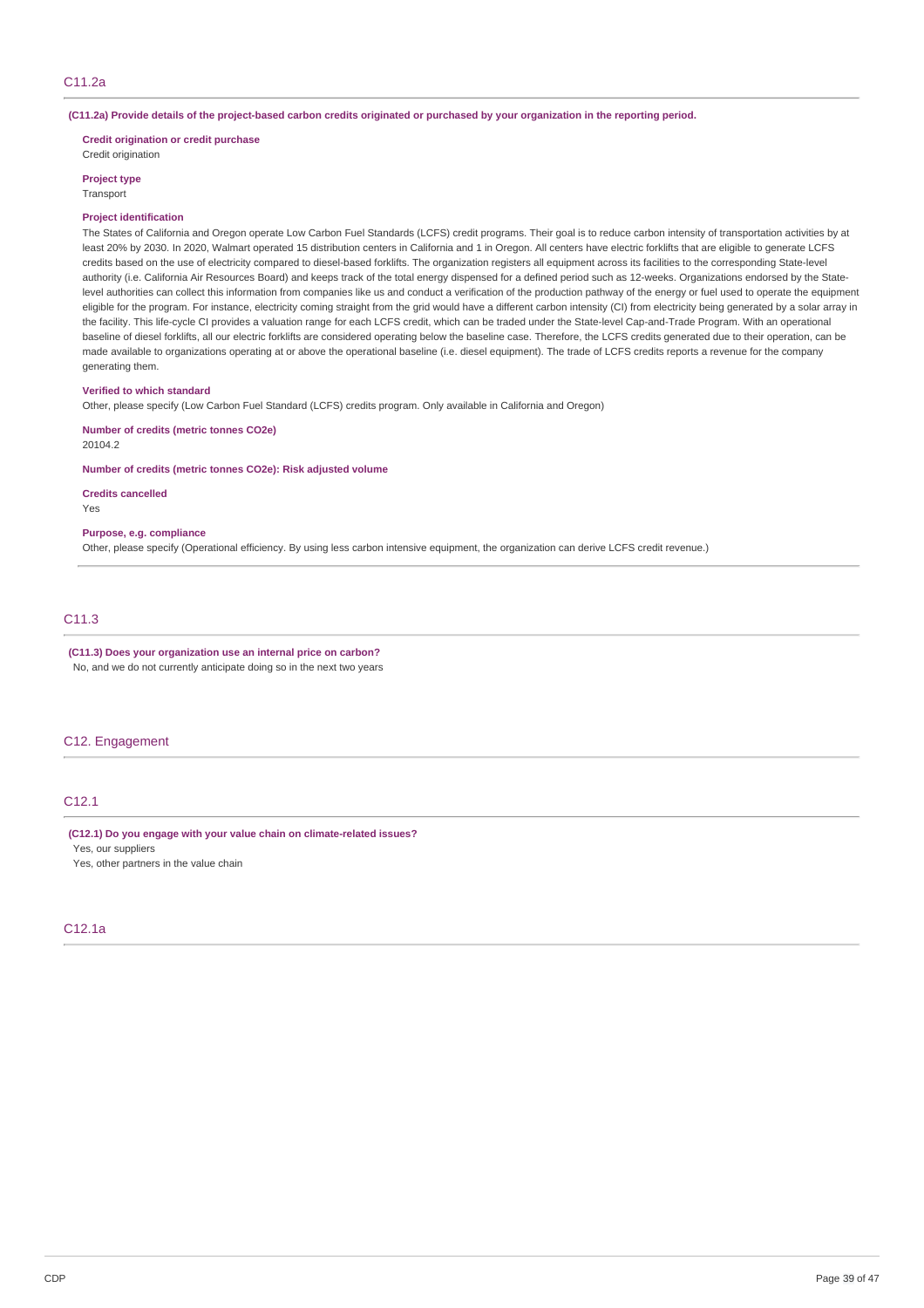(C11.2a) Provide details of the project-based carbon credits originated or purchased by your organization in the reporting period.

**Credit origination or credit purchase**

Credit origination

#### **Project type**

**Transport** 

#### **Project identification**

The States of California and Oregon operate Low Carbon Fuel Standards (LCFS) credit programs. Their goal is to reduce carbon intensity of transportation activities by at least 20% by 2030. In 2020, Walmart operated 15 distribution centers in California and 1 in Oregon. All centers have electric forklifts that are eligible to generate LCFS credits based on the use of electricity compared to diesel-based forklifts. The organization registers all equipment across its facilities to the corresponding State-level authority (i.e. California Air Resources Board) and keeps track of the total energy dispensed for a defined period such as 12-weeks. Organizations endorsed by the Statelevel authorities can collect this information from companies like us and conduct a verification of the production pathway of the energy or fuel used to operate the equipment eligible for the program. For instance, electricity coming straight from the grid would have a different carbon intensity (CI) from electricity being generated by a solar array in the facility. This life-cycle CI provides a valuation range for each LCFS credit, which can be traded under the State-level Cap-and-Trade Program. With an operational baseline of diesel forklifts, all our electric forklifts are considered operating below the baseline case. Therefore, the LCFS credits generated due to their operation, can be made available to organizations operating at or above the operational baseline (i.e. diesel equipment). The trade of LCFS credits reports a revenue for the company generating them.

#### **Verified to which standard**

Other, please specify (Low Carbon Fuel Standard (LCFS) credits program. Only available in California and Oregon)

**Number of credits (metric tonnes CO2e)** 20104.2

**Number of credits (metric tonnes CO2e): Risk adjusted volume**

#### **Credits cancelled**

Yes

### **Purpose, e.g. compliance**

Other, please specify (Operational efficiency. By using less carbon intensive equipment, the organization can derive LCFS credit revenue.)

## C11.3

## **(C11.3) Does your organization use an internal price on carbon?**

No, and we do not currently anticipate doing so in the next two years

### C12. Engagement

### C12.1

### **(C12.1) Do you engage with your value chain on climate-related issues?**

Yes, our suppliers

Yes, other partners in the value chain

## C12.1a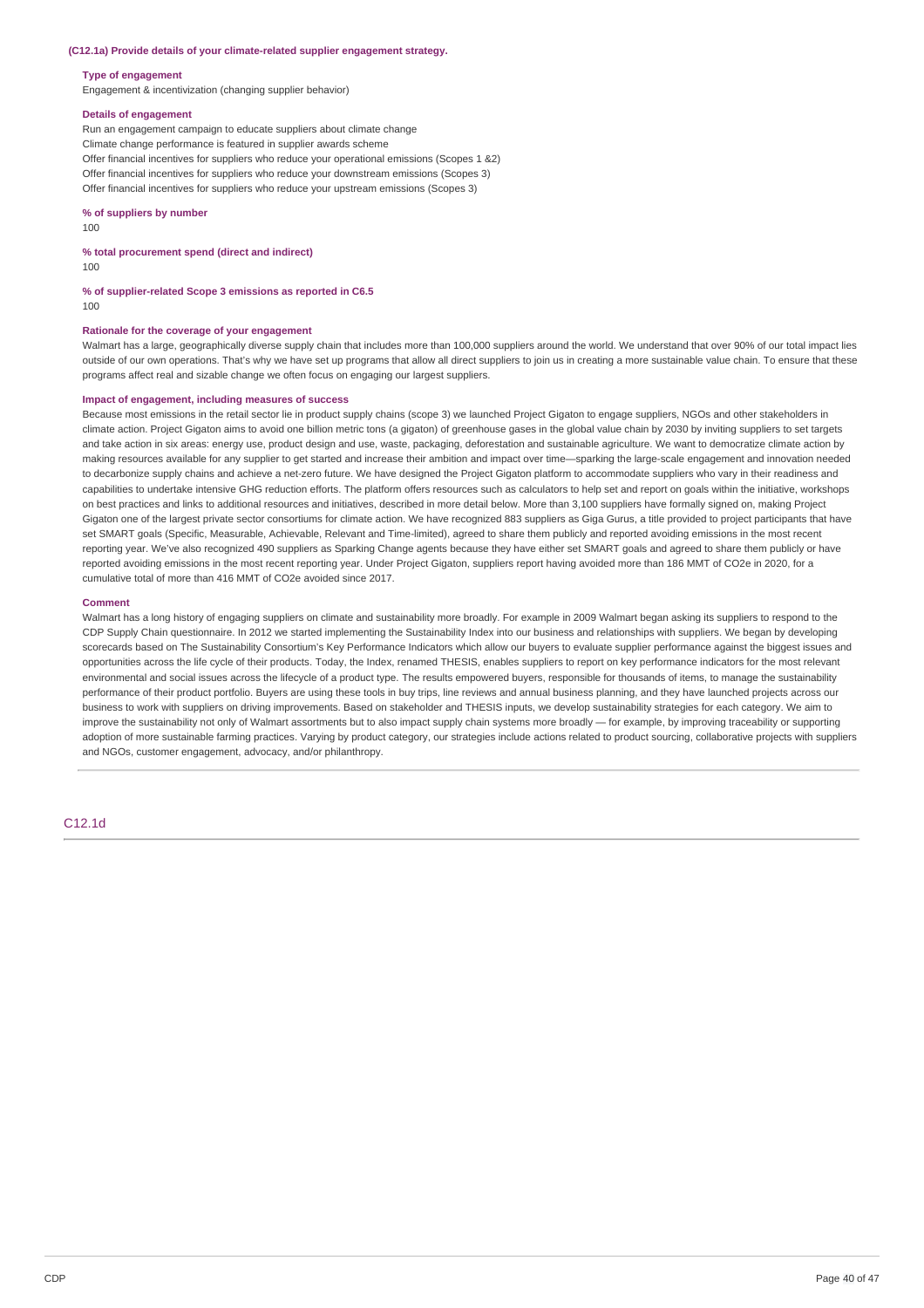#### **(C12.1a) Provide details of your climate-related supplier engagement strategy.**

#### **Type of engagement**

Engagement & incentivization (changing supplier behavior)

#### **Details of engagement**

Run an engagement campaign to educate suppliers about climate change Climate change performance is featured in supplier awards scheme Offer financial incentives for suppliers who reduce your operational emissions (Scopes 1 &2) Offer financial incentives for suppliers who reduce your downstream emissions (Scopes 3) Offer financial incentives for suppliers who reduce your upstream emissions (Scopes 3)

#### **% of suppliers by number**

100

#### **% total procurement spend (direct and indirect)**

100

**% of supplier-related Scope 3 emissions as reported in C6.5** 100

#### **Rationale for the coverage of your engagement**

Walmart has a large, geographically diverse supply chain that includes more than 100,000 suppliers around the world. We understand that over 90% of our total impact lies outside of our own operations. That's why we have set up programs that allow all direct suppliers to join us in creating a more sustainable value chain. To ensure that these programs affect real and sizable change we often focus on engaging our largest suppliers.

### **Impact of engagement, including measures of success**

Because most emissions in the retail sector lie in product supply chains (scope 3) we launched Project Gigaton to engage suppliers, NGOs and other stakeholders in climate action. Project Gigaton aims to avoid one billion metric tons (a gigaton) of greenhouse gases in the global value chain by 2030 by inviting suppliers to set targets and take action in six areas: energy use, product design and use, waste, packaging, deforestation and sustainable agriculture. We want to democratize climate action by making resources available for any supplier to get started and increase their ambition and impact over time—sparking the large-scale engagement and innovation needed to decarbonize supply chains and achieve a net-zero future. We have designed the Project Gigaton platform to accommodate suppliers who vary in their readiness and capabilities to undertake intensive GHG reduction efforts. The platform offers resources such as calculators to help set and report on goals within the initiative, workshops on best practices and links to additional resources and initiatives, described in more detail below. More than 3,100 suppliers have formally signed on, making Project Gigaton one of the largest private sector consortiums for climate action. We have recognized 883 suppliers as Giga Gurus, a title provided to project participants that have set SMART goals (Specific, Measurable, Achievable, Relevant and Time-limited), agreed to share them publicly and reported avoiding emissions in the most recent reporting year. We've also recognized 490 suppliers as Sparking Change agents because they have either set SMART goals and agreed to share them publicly or have reported avoiding emissions in the most recent reporting year. Under Project Gigaton, suppliers report having avoided more than 186 MMT of CO2e in 2020, for a cumulative total of more than 416 MMT of CO2e avoided since 2017.

#### **Comment**

Walmart has a long history of engaging suppliers on climate and sustainability more broadly. For example in 2009 Walmart began asking its suppliers to respond to the CDP Supply Chain questionnaire. In 2012 we started implementing the Sustainability Index into our business and relationships with suppliers. We began by developing scorecards based on The Sustainability Consortium's Key Performance Indicators which allow our buyers to evaluate supplier performance against the biggest issues and opportunities across the life cycle of their products. Today, the Index, renamed THESIS, enables suppliers to report on key performance indicators for the most relevant environmental and social issues across the lifecycle of a product type. The results empowered buyers, responsible for thousands of items, to manage the sustainability performance of their product portfolio. Buyers are using these tools in buy trips, line reviews and annual business planning, and they have launched projects across our business to work with suppliers on driving improvements. Based on stakeholder and THESIS inputs, we develop sustainability strategies for each category. We aim to improve the sustainability not only of Walmart assortments but to also impact supply chain systems more broadly — for example, by improving traceability or supporting adoption of more sustainable farming practices. Varying by product category, our strategies include actions related to product sourcing, collaborative projects with suppliers and NGOs, customer engagement, advocacy, and/or philanthropy.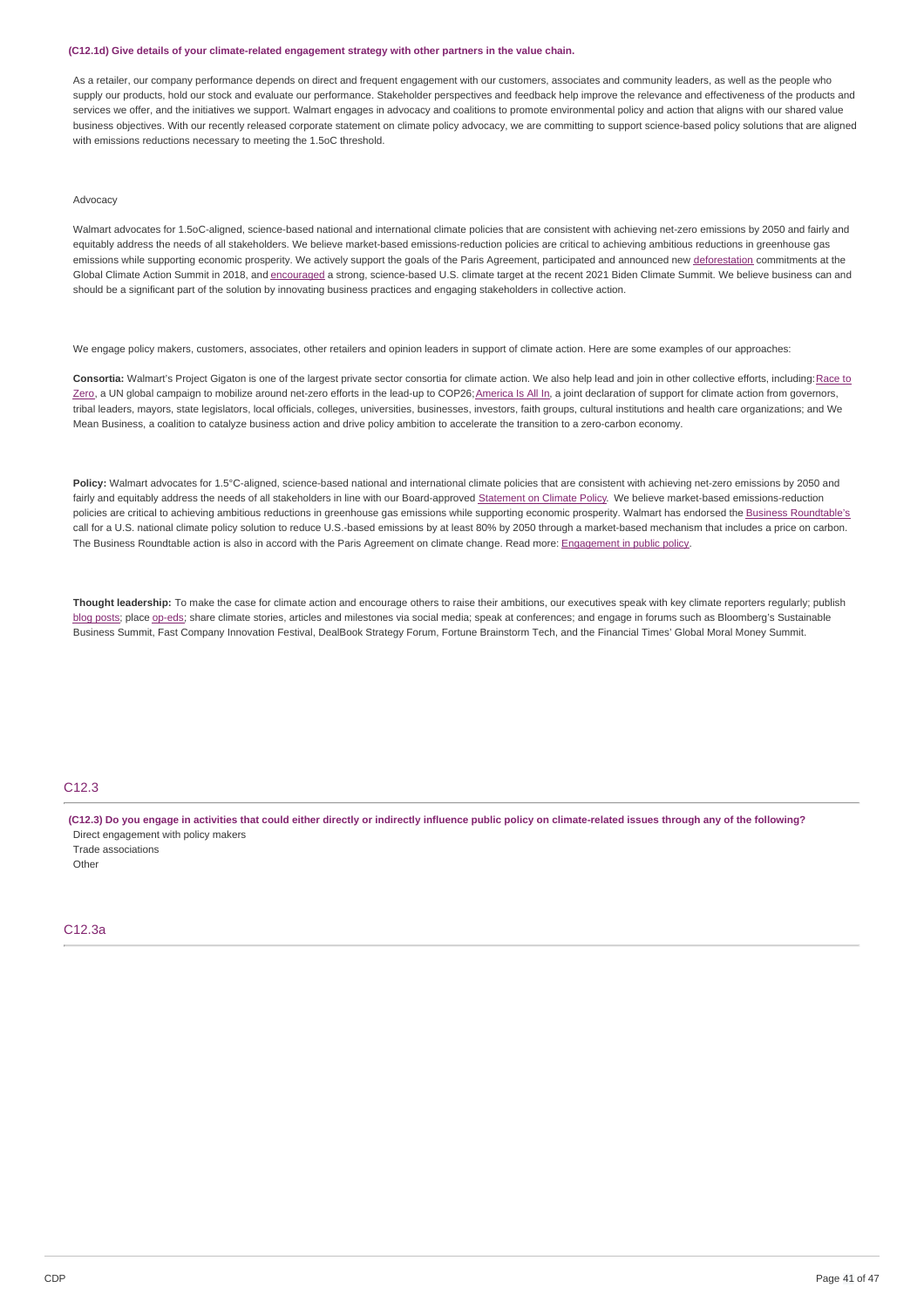#### **(C12.1d) Give details of your climate-related engagement strategy with other partners in the value chain.**

As a retailer, our company performance depends on direct and frequent engagement with our customers, associates and community leaders, as well as the people who supply our products, hold our stock and evaluate our performance. Stakeholder perspectives and feedback help improve the relevance and effectiveness of the products and services we offer, and the initiatives we support. Walmart engages in advocacy and coalitions to promote environmental policy and action that aligns with our shared value business objectives. With our recently released corporate statement on climate policy advocacy, we are committing to support science-based policy solutions that are aligned with emissions reductions necessary to meeting the 1.5oC threshold.

### Advocacy

Walmart advocates for 1.5oC-aligned, science-based national and international climate policies that are consistent with achieving net-zero emissions by 2050 and fairly and equitably address the needs of all stakeholders. We believe market-based emissions-reduction policies are critical to achieving ambitious reductions in greenhouse gas emissions while supporting economic prosperity. We actively support the goals of the Paris Agreement, participated and announced new [deforestation](https://corporate.walmart.com/newsroom/2018/09/13/unilever-and-walmart-announce-forest-sustainability-initiatives-at-the-global-climate-action-summit) commitments at the Global Climate Action Summit in 2018, and [encouraged](https://www.ceres.org/news-center/press-releases/411-businesses-and-investors-support-us-federal-climate-target-open) a strong, science-based U.S. climate target at the recent 2021 Biden Climate Summit. We believe business can and should be a significant part of the solution by innovating business practices and engaging stakeholders in collective action.

We engage policy makers, customers, associates, other retailers and opinion leaders in support of climate action. Here are some examples of our approaches:

Consortia: Walmart's Project Gigaton is one of the largest private sector consortia for climate action. We also help lead and join in other collective efforts, including: Race to Zero, a UN global campaign to mobilize around net-zero efforts in the lead-up to COP26; America Is All In, a joint declaration of support for climate action from governors, tribal leaders, mayors, state legislators, local officials, colleges, universities, businesses, investors, faith groups, cultural institutions and health care organizations; and We Mean Business, a coalition to catalyze business action and drive policy ambition to accelerate the transition to a zero-carbon economy.

Policy: Walmart advocates for 1.5°C-aligned, science-based national and international climate policies that are consistent with achieving net-zero emissions by 2050 and fairly and equitably address the needs of all stakeholders in line with our Board-approved [Statement](https://corporate.walmart.com/policies#climate-policy) on Climate Policy. We believe market-based emissions-reduction policies are critical to achieving ambitious reductions in greenhouse gas emissions while supporting economic prosperity. Walmart has endorsed the Business [Roundtable's](https://www.businessroundtable.org/climate) call for a U.S. national climate policy solution to reduce U.S.-based emissions by at least 80% by 2050 through a market-based mechanism that includes a price on carbon. The Business Roundtable action is also in accord with the Paris Agreement on climate change. Read more: [Engagement](https://corporate.walmart.com/esgreport/esg-issues/engagement-in-public-policy) in public policy.

**Thought leadership:** To make the case for climate action and encourage others to raise their ambitions, our executives speak with key climate reporters regularly; publish blog [posts](https://corporate.walmart.com/newsroom/company-news?q=climate); place [op-eds](https://www.nytimes.com/2019/11/06/opinion/climate-change-walmart-paris.html); share climate stories, articles and milestones via social media; speak at conferences; and engage in forums such as Bloomberg's Sustainable Business Summit, Fast Company Innovation Festival, DealBook Strategy Forum, Fortune Brainstorm Tech, and the Financial Times' Global Moral Money Summit.

#### C<sub>12</sub>.3

(C12.3) Do you engage in activities that could either directly or indirectly influence public policy on climate-related issues through any of the following? Direct engagement with policy makers Trade associations

**Other** 

### C12.3a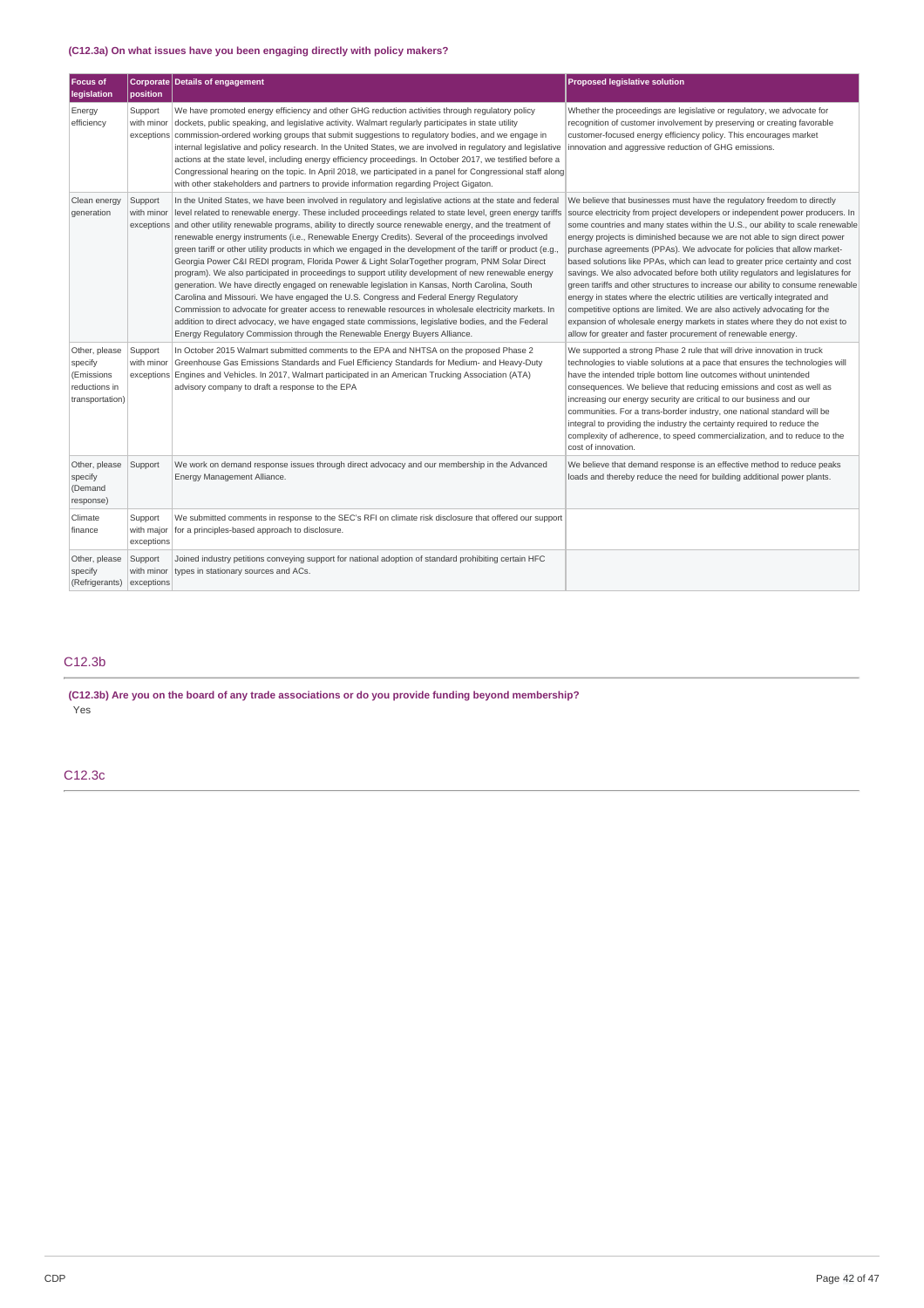## **(C12.3a) On what issues have you been engaging directly with policy makers?**

| <b>Focus of</b><br>legislation                                             | position                            | Corporate Details of engagement                                                                                                                                                                                                                                                                                                                                                                                                                                                                                                                                                                                                                                                                                                                                                                                                                                                                                                                                                                                                                                                                                                                                                                                                                                         | <b>Proposed legislative solution</b>                                                                                                                                                                                                                                                                                                                                                                                                                                                                                                                                                                                                                                                                                                                                                                                                                                                                                                                                |
|----------------------------------------------------------------------------|-------------------------------------|-------------------------------------------------------------------------------------------------------------------------------------------------------------------------------------------------------------------------------------------------------------------------------------------------------------------------------------------------------------------------------------------------------------------------------------------------------------------------------------------------------------------------------------------------------------------------------------------------------------------------------------------------------------------------------------------------------------------------------------------------------------------------------------------------------------------------------------------------------------------------------------------------------------------------------------------------------------------------------------------------------------------------------------------------------------------------------------------------------------------------------------------------------------------------------------------------------------------------------------------------------------------------|---------------------------------------------------------------------------------------------------------------------------------------------------------------------------------------------------------------------------------------------------------------------------------------------------------------------------------------------------------------------------------------------------------------------------------------------------------------------------------------------------------------------------------------------------------------------------------------------------------------------------------------------------------------------------------------------------------------------------------------------------------------------------------------------------------------------------------------------------------------------------------------------------------------------------------------------------------------------|
| Energy<br>efficiency                                                       | Support<br>with minor               | We have promoted energy efficiency and other GHG reduction activities through regulatory policy<br>dockets, public speaking, and legislative activity. Walmart regularly participates in state utility<br>exceptions commission-ordered working groups that submit suggestions to regulatory bodies, and we engage in<br>internal legislative and policy research. In the United States, we are involved in regulatory and legislative<br>actions at the state level, including energy efficiency proceedings. In October 2017, we testified before a<br>Congressional hearing on the topic. In April 2018, we participated in a panel for Congressional staff along<br>with other stakeholders and partners to provide information regarding Project Gigaton.                                                                                                                                                                                                                                                                                                                                                                                                                                                                                                          | Whether the proceedings are legislative or regulatory, we advocate for<br>recognition of customer involvement by preserving or creating favorable<br>customer-focused energy efficiency policy. This encourages market<br>innovation and aggressive reduction of GHG emissions.                                                                                                                                                                                                                                                                                                                                                                                                                                                                                                                                                                                                                                                                                     |
| Clean energy<br>qeneration                                                 | Support<br>with minor               | In the United States, we have been involved in regulatory and legislative actions at the state and federal<br>level related to renewable energy. These included proceedings related to state level, green energy tariffs<br>exceptions and other utility renewable programs, ability to directly source renewable energy, and the treatment of<br>renewable energy instruments (i.e., Renewable Energy Credits). Several of the proceedings involved<br>green tariff or other utility products in which we engaged in the development of the tariff or product (e.g.<br>Georgia Power C&I REDI program, Florida Power & Light SolarTogether program, PNM Solar Direct<br>program). We also participated in proceedings to support utility development of new renewable energy<br>generation. We have directly engaged on renewable legislation in Kansas, North Carolina, South<br>Carolina and Missouri. We have engaged the U.S. Congress and Federal Energy Regulatory<br>Commission to advocate for greater access to renewable resources in wholesale electricity markets. In<br>addition to direct advocacy, we have engaged state commissions, legislative bodies, and the Federal<br>Energy Regulatory Commission through the Renewable Energy Buyers Alliance. | We believe that businesses must have the regulatory freedom to directly<br>source electricity from project developers or independent power producers. In<br>some countries and many states within the U.S., our ability to scale renewable<br>energy projects is diminished because we are not able to sign direct power<br>purchase agreements (PPAs). We advocate for policies that allow market-<br>based solutions like PPAs, which can lead to greater price certainty and cost<br>savings. We also advocated before both utility regulators and legislatures for<br>green tariffs and other structures to increase our ability to consume renewable<br>energy in states where the electric utilities are vertically integrated and<br>competitive options are limited. We are also actively advocating for the<br>expansion of wholesale energy markets in states where they do not exist to<br>allow for greater and faster procurement of renewable energy. |
| Other, please<br>specify<br>(Emissions<br>reductions in<br>transportation) | Support<br>with minor               | In October 2015 Walmart submitted comments to the EPA and NHTSA on the proposed Phase 2<br>Greenhouse Gas Emissions Standards and Fuel Efficiency Standards for Medium- and Heavy-Duty<br>exceptions Engines and Vehicles. In 2017, Walmart participated in an American Trucking Association (ATA)<br>advisory company to draft a response to the EPA                                                                                                                                                                                                                                                                                                                                                                                                                                                                                                                                                                                                                                                                                                                                                                                                                                                                                                                   | We supported a strong Phase 2 rule that will drive innovation in truck<br>technologies to viable solutions at a pace that ensures the technologies will<br>have the intended triple bottom line outcomes without unintended<br>consequences. We believe that reducing emissions and cost as well as<br>increasing our energy security are critical to our business and our<br>communities. For a trans-border industry, one national standard will be<br>integral to providing the industry the certainty required to reduce the<br>complexity of adherence, to speed commercialization, and to reduce to the<br>cost of innovation.                                                                                                                                                                                                                                                                                                                                |
| Other, please<br>specify<br>(Demand<br>response)                           | Support                             | We work on demand response issues through direct advocacy and our membership in the Advanced<br>Energy Management Alliance.                                                                                                                                                                                                                                                                                                                                                                                                                                                                                                                                                                                                                                                                                                                                                                                                                                                                                                                                                                                                                                                                                                                                             | We believe that demand response is an effective method to reduce peaks<br>loads and thereby reduce the need for building additional power plants.                                                                                                                                                                                                                                                                                                                                                                                                                                                                                                                                                                                                                                                                                                                                                                                                                   |
| Climate<br>finance                                                         | Support<br>with major<br>exceptions | We submitted comments in response to the SEC's RFI on climate risk disclosure that offered our support<br>for a principles-based approach to disclosure.                                                                                                                                                                                                                                                                                                                                                                                                                                                                                                                                                                                                                                                                                                                                                                                                                                                                                                                                                                                                                                                                                                                |                                                                                                                                                                                                                                                                                                                                                                                                                                                                                                                                                                                                                                                                                                                                                                                                                                                                                                                                                                     |
| Other, please<br>specify<br>(Refrigerants)                                 | Support<br>with minor<br>exceptions | Joined industry petitions conveying support for national adoption of standard prohibiting certain HFC<br>types in stationary sources and ACs.                                                                                                                                                                                                                                                                                                                                                                                                                                                                                                                                                                                                                                                                                                                                                                                                                                                                                                                                                                                                                                                                                                                           |                                                                                                                                                                                                                                                                                                                                                                                                                                                                                                                                                                                                                                                                                                                                                                                                                                                                                                                                                                     |

### C12.3b

**(C12.3b) Are you on the board of any trade associations or do you provide funding beyond membership?** Yes

C12.3c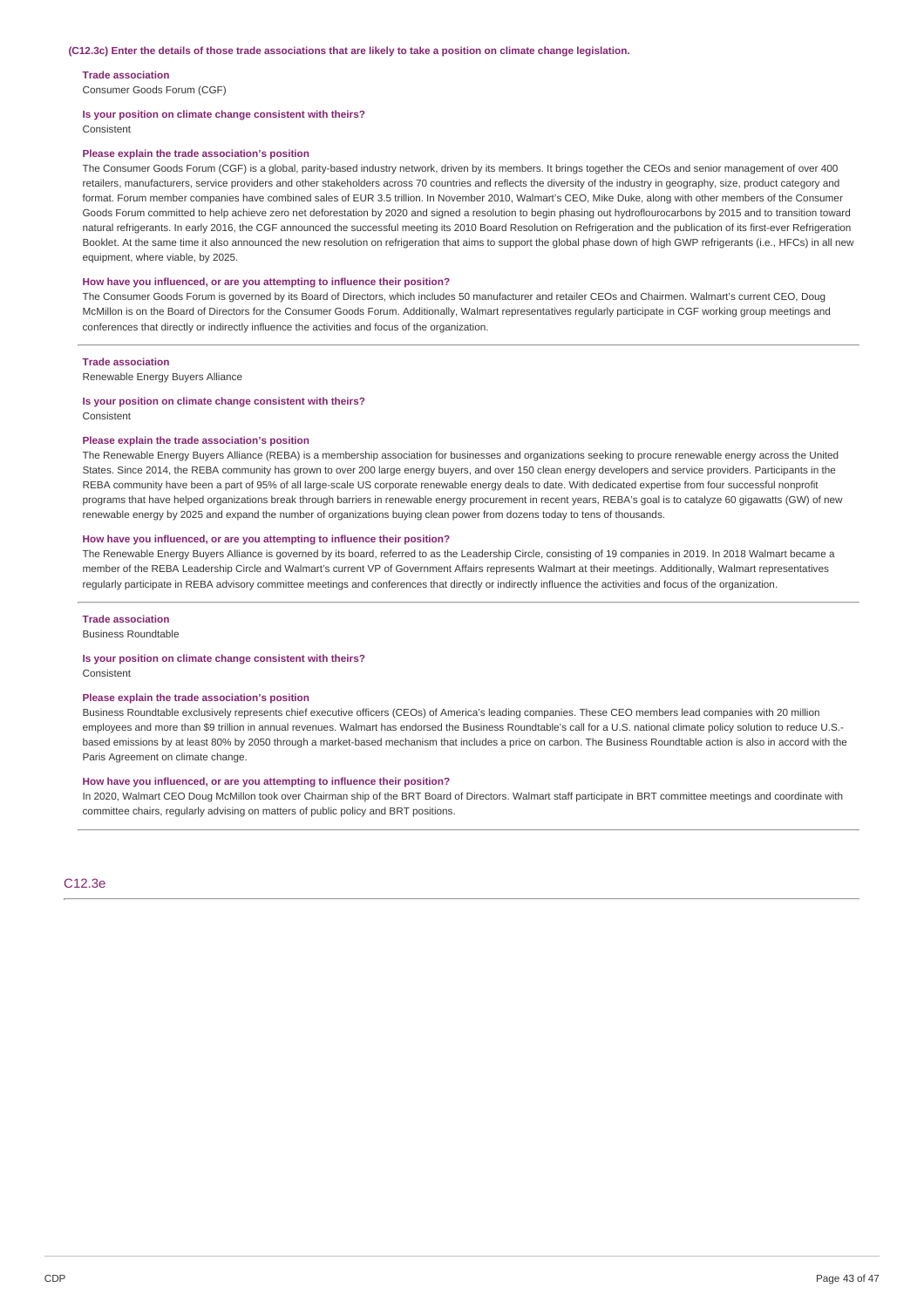#### **Trade association**

Consumer Goods Forum (CGF)

#### **Is your position on climate change consistent with theirs?**

Consistent

#### **Please explain the trade association's position**

The Consumer Goods Forum (CGF) is a global, parity-based industry network, driven by its members. It brings together the CEOs and senior management of over 400 retailers, manufacturers, service providers and other stakeholders across 70 countries and reflects the diversity of the industry in geography, size, product category and format. Forum member companies have combined sales of EUR 3.5 trillion. In November 2010, Walmart's CEO, Mike Duke, along with other members of the Consumer Goods Forum committed to help achieve zero net deforestation by 2020 and signed a resolution to begin phasing out hydroflourocarbons by 2015 and to transition toward natural refrigerants. In early 2016, the CGF announced the successful meeting its 2010 Board Resolution on Refrigeration and the publication of its first-ever Refrigeration Booklet. At the same time it also announced the new resolution on refrigeration that aims to support the global phase down of high GWP refrigerants (i.e., HFCs) in all new equipment, where viable, by 2025.

#### **How have you influenced, or are you attempting to influence their position?**

The Consumer Goods Forum is governed by its Board of Directors, which includes 50 manufacturer and retailer CEOs and Chairmen. Walmart's current CEO, Doug McMillon is on the Board of Directors for the Consumer Goods Forum. Additionally, Walmart representatives regularly participate in CGF working group meetings and conferences that directly or indirectly influence the activities and focus of the organization.

#### **Trade association**

Renewable Energy Buyers Alliance

#### **Is your position on climate change consistent with theirs?** Consistent

#### **Please explain the trade association's position**

The Renewable Energy Buyers Alliance (REBA) is a membership association for businesses and organizations seeking to procure renewable energy across the United States. Since 2014, the REBA community has grown to over 200 large energy buyers, and over 150 clean energy developers and service providers. Participants in the REBA community have been a part of 95% of all large-scale US corporate renewable energy deals to date. With dedicated expertise from four successful nonprofit programs that have helped organizations break through barriers in renewable energy procurement in recent years, REBA's goal is to catalyze 60 gigawatts (GW) of new renewable energy by 2025 and expand the number of organizations buying clean power from dozens today to tens of thousands.

#### **How have you influenced, or are you attempting to influence their position?**

The Renewable Energy Buyers Alliance is governed by its board, referred to as the Leadership Circle, consisting of 19 companies in 2019. In 2018 Walmart became a member of the REBA Leadership Circle and Walmart's current VP of Government Affairs represents Walmart at their meetings. Additionally, Walmart representatives regularly participate in REBA advisory committee meetings and conferences that directly or indirectly influence the activities and focus of the organization.

### **Trade association**

Business Roundtable

## **Is your position on climate change consistent with theirs?**

Consistent

#### **Please explain the trade association's position**

Business Roundtable exclusively represents chief executive officers (CEOs) of America's leading companies. These CEO members lead companies with 20 million employees and more than \$9 trillion in annual revenues. Walmart has endorsed the Business Roundtable's call for a U.S. national climate policy solution to reduce U.S.based emissions by at least 80% by 2050 through a market-based mechanism that includes a price on carbon. The Business Roundtable action is also in accord with the Paris Agreement on climate change.

#### **How have you influenced, or are you attempting to influence their position?**

In 2020, Walmart CEO Doug McMillon took over Chairman ship of the BRT Board of Directors. Walmart staff participate in BRT committee meetings and coordinate with committee chairs, regularly advising on matters of public policy and BRT positions.

 $C12.3e$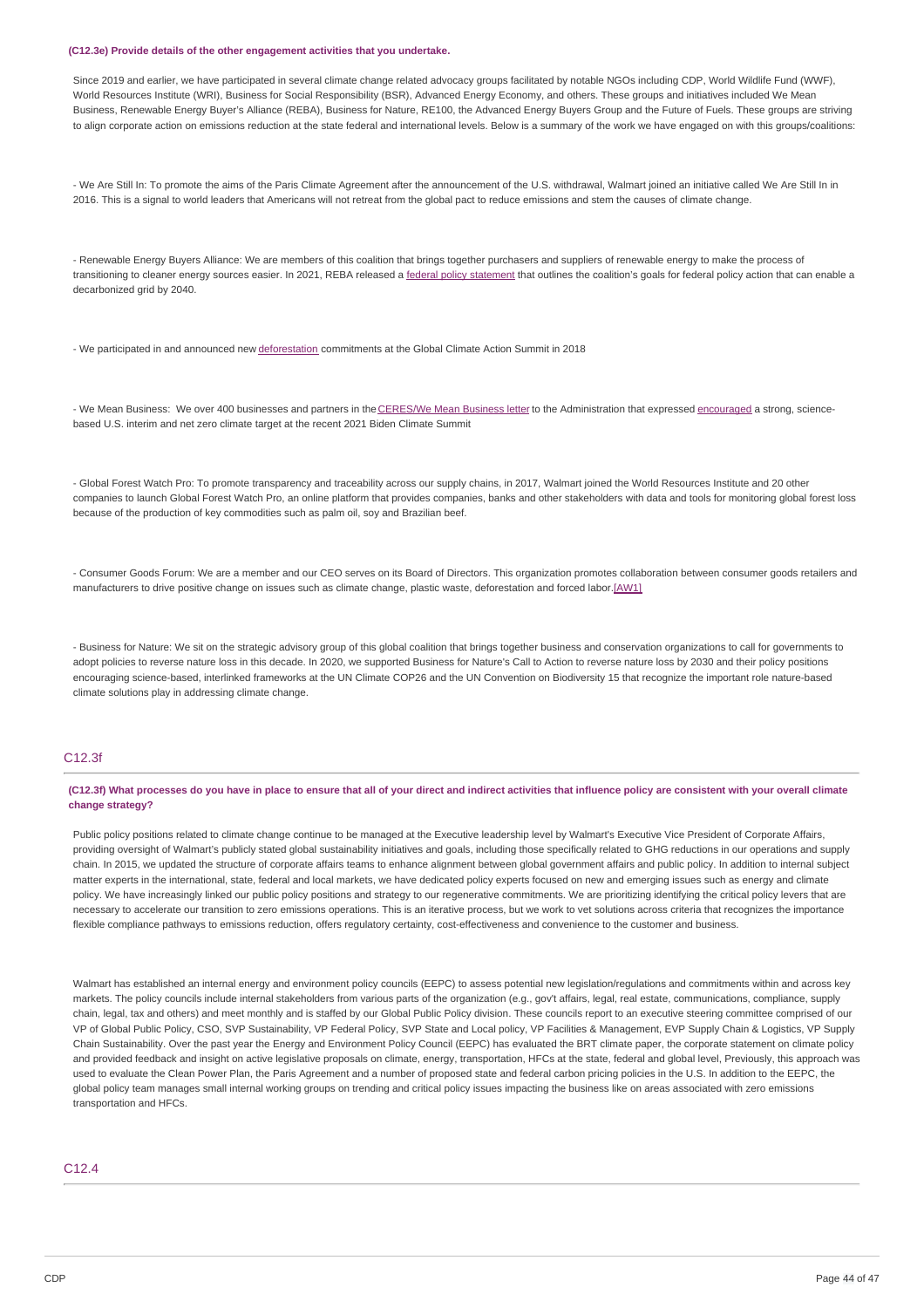#### **(C12.3e) Provide details of the other engagement activities that you undertake.**

Since 2019 and earlier, we have participated in several climate change related advocacy groups facilitated by notable NGOs including CDP, World Wildlife Fund (WWF). World Resources Institute (WRI), Business for Social Responsibility (BSR), Advanced Energy Economy, and others. These groups and initiatives included We Mean Business, Renewable Energy Buyer's Alliance (REBA), Business for Nature, RE100, the Advanced Energy Buyers Group and the Future of Fuels. These groups are striving to align corporate action on emissions reduction at the state federal and international levels. Below is a summary of the work we have engaged on with this groups/coalitions:

- We Are Still In: To promote the aims of the Paris Climate Agreement after the announcement of the U.S. withdrawal, Walmart joined an initiative called We Are Still In in 2016. This is a signal to world leaders that Americans will not retreat from the global pact to reduce emissions and stem the causes of climate change.

- Renewable Energy Buyers Alliance: We are members of this coalition that brings together purchasers and suppliers of renewable energy to make the process of transitioning to cleaner energy sources easier. In 2021, REBA released a federal policy [statement](https://rebuyers.org/blog/americas-largest-energy-buyers-call-on-federal-government-to-transition-to-zero-carbon-energy/#:~:text=The%20Energy%20Buyer%20Federal%20Clean,most%20importantly%252C%20carbon%252Dfree.) that outlines the coalition's goals for federal policy action that can enable a decarbonized grid by 2040.

- We participated in and announced new [deforestation](https://corporate.walmart.com/newsroom/2018/09/13/unilever-and-walmart-announce-forest-sustainability-initiatives-at-the-global-climate-action-summit) commitments at the Global Climate Action Summit in 2018

- We Mean Business: We over 400 businesses and partners in the [CERES/We](https://www.ceres.org/news-center/press-releases/411-businesses-and-investors-support-us-federal-climate-target-open) Mean Business letter to the Administration that expressed [encouraged](https://www.ceres.org/news-center/press-releases/411-businesses-and-investors-support-us-federal-climate-target-open) a strong, sciencebased U.S. interim and net zero climate target at the recent 2021 Biden Climate Summit

- Global Forest Watch Pro: To promote transparency and traceability across our supply chains, in 2017, Walmart joined the World Resources Institute and 20 other companies to launch Global Forest Watch Pro, an online platform that provides companies, banks and other stakeholders with data and tools for monitoring global forest loss because of the production of key commodities such as palm oil, soy and Brazilian beef.

- Consumer Goods Forum: We are a member and our CEO serves on its Board of Directors. This organization promotes collaboration between consumer goods retailers and manufacturers to drive positive change on issues such as climate change, plastic waste, deforestation and forced labor[.\[AW1\]](https://cdp.credit360.com/surveys/2021/dbbr64mv/141779#_msocom_1)

- Business for Nature: We sit on the strategic advisory group of this global coalition that brings together business and conservation organizations to call for governments to adopt policies to reverse nature loss in this decade. In 2020, we supported Business for Nature's Call to Action to reverse nature loss by 2030 and their policy positions encouraging science-based, interlinked frameworks at the UN Climate COP26 and the UN Convention on Biodiversity 15 that recognize the important role nature-based climate solutions play in addressing climate change.

### C12.3f

(C12.3f) What processes do you have in place to ensure that all of your direct and indirect activities that influence policy are consistent with your overall climate **change strategy?**

Public policy positions related to climate change continue to be managed at the Executive leadership level by Walmart's Executive Vice President of Corporate Affairs, providing oversight of Walmart's publicly stated global sustainability initiatives and goals, including those specifically related to GHG reductions in our operations and supply chain. In 2015, we updated the structure of corporate affairs teams to enhance alignment between global government affairs and public policy. In addition to internal subject matter experts in the international, state, federal and local markets, we have dedicated policy experts focused on new and emerging issues such as energy and climate policy. We have increasingly linked our public policy positions and strategy to our regenerative commitments. We are prioritizing identifying the critical policy levers that are necessary to accelerate our transition to zero emissions operations. This is an iterative process, but we work to vet solutions across criteria that recognizes the importance flexible compliance pathways to emissions reduction, offers regulatory certainty, cost-effectiveness and convenience to the customer and business

Walmart has established an internal energy and environment policy councils (EEPC) to assess potential new legislation/regulations and commitments within and across key markets. The policy councils include internal stakeholders from various parts of the organization (e.g., gov't affairs, legal, real estate, communications, compliance, supply chain, legal, tax and others) and meet monthly and is staffed by our Global Public Policy division. These councils report to an executive steering committee comprised of our VP of Global Public Policy, CSO, SVP Sustainability, VP Federal Policy, SVP State and Local policy, VP Facilities & Management, EVP Supply Chain & Logistics, VP Supply Chain Sustainability. Over the past year the Energy and Environment Policy Council (EEPC) has evaluated the BRT climate paper, the corporate statement on climate policy and provided feedback and insight on active legislative proposals on climate, energy, transportation, HFCs at the state, federal and global level, Previously, this approach was used to evaluate the Clean Power Plan, the Paris Agreement and a number of proposed state and federal carbon pricing policies in the U.S. In addition to the EEPC, the global policy team manages small internal working groups on trending and critical policy issues impacting the business like on areas associated with zero emissions transportation and HFCs.

### C12.4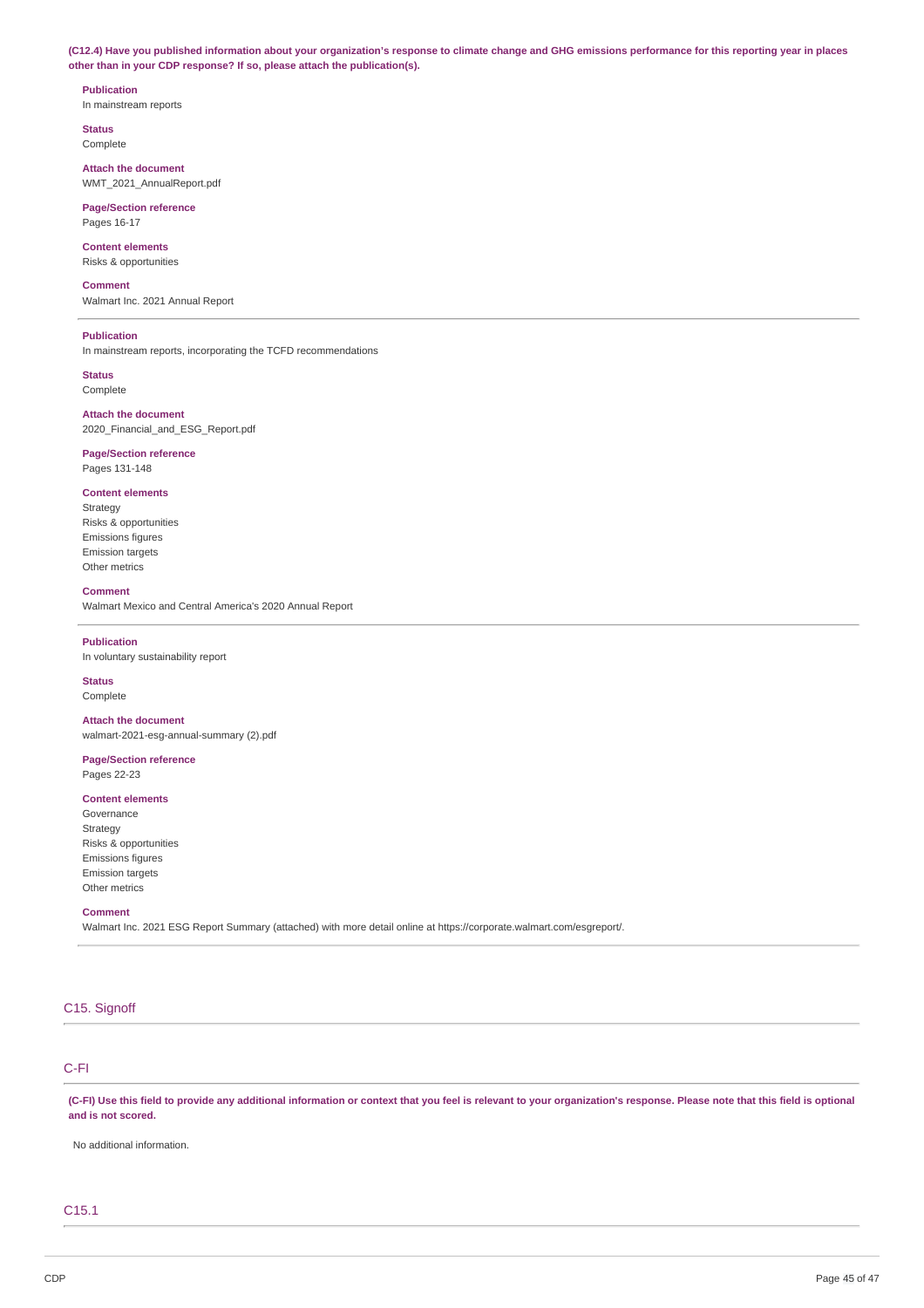(C12.4) Have you published information about your organization's response to climate change and GHG emissions performance for this reporting year in places **other than in your CDP response? If so, please attach the publication(s).**

**Publication** In mainstream reports

**Status** Complete

**Attach the document** WMT\_2021\_AnnualReport.pdf

**Page/Section reference** Pages 16-17

## **Content elements**

Risks & opportunities

#### **Comment**

Walmart Inc. 2021 Annual Report

## **Publication**

In mainstream reports, incorporating the TCFD recommendations

### **Status**

**Complete** 

### **Attach the document** 2020\_Financial\_and\_ESG\_Report.pdf

## **Page/Section reference**

Pages 131-148

### **Content elements**

Strategy Risks & opportunities Emissions figures Emission targets Other metrics

#### **Comment**

Walmart Mexico and Central America's 2020 Annual Report

### **Publication**

In voluntary sustainability report

#### **Status** Complete

**Attach the document** walmart-2021-esg-annual-summary (2).pdf

### **Page/Section reference** Pages 22-23

### **Content elements**

Governance Strategy Risks & opportunities Emissions figures Emission targets Other metrics

### **Comment**

Walmart Inc. 2021 ESG Report Summary (attached) with more detail online at https://corporate.walmart.com/esgreport/.

## C15. Signoff

### C-FI

(C-FI) Use this field to provide any additional information or context that you feel is relevant to your organization's response. Please note that this field is optional **and is not scored.**

No additional information.

### C15.1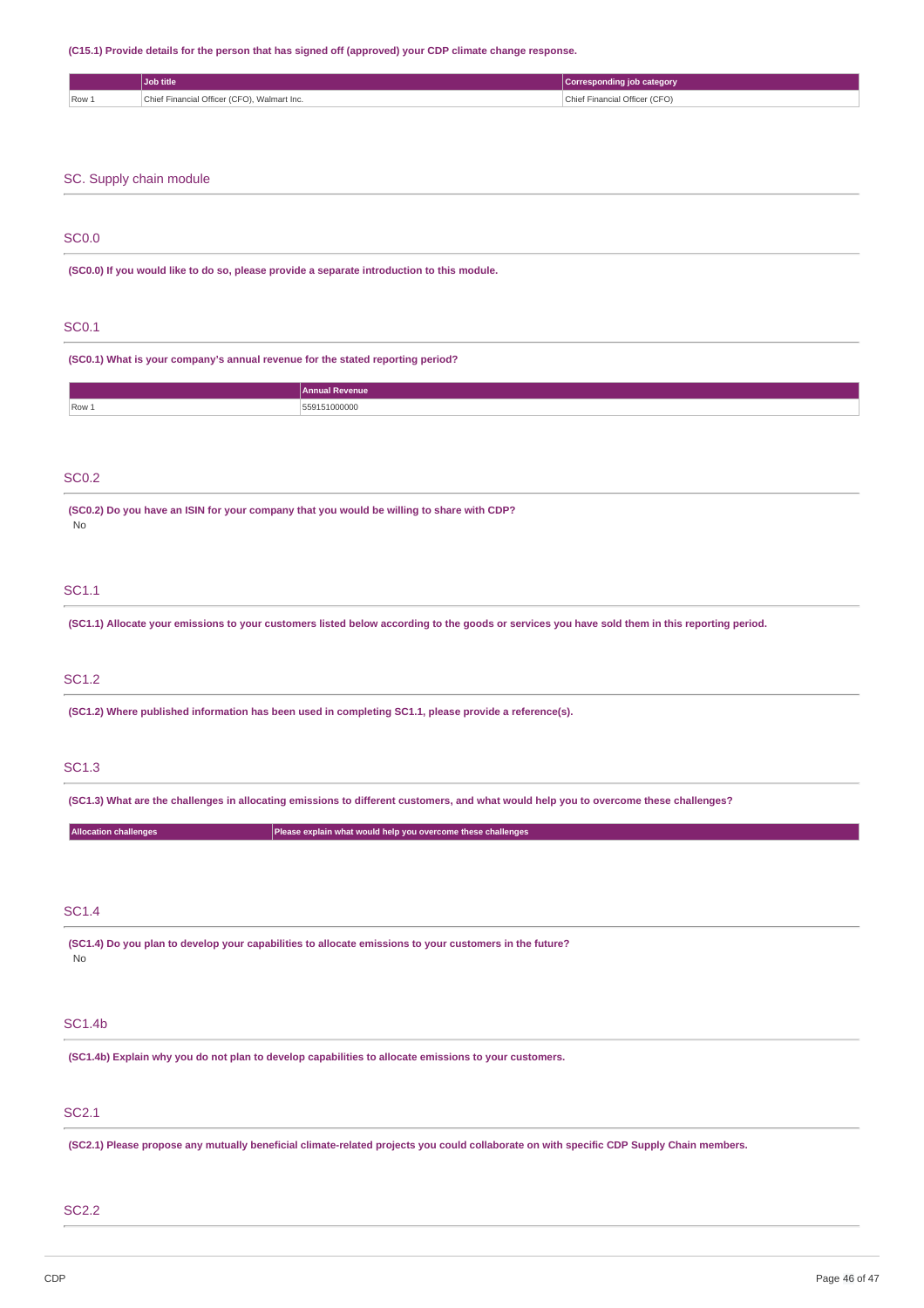### **(C15.1) Provide details for the person that has signed off (approved) your CDP climate change response.**

|                              | Job title                                                                                               |                                                              | <b>Corresponding job category</b>                                                                                                              |
|------------------------------|---------------------------------------------------------------------------------------------------------|--------------------------------------------------------------|------------------------------------------------------------------------------------------------------------------------------------------------|
| Row 1                        | Chief Financial Officer (CFO), Walmart Inc.                                                             |                                                              | Chief Financial Officer (CFO)                                                                                                                  |
|                              |                                                                                                         |                                                              |                                                                                                                                                |
|                              |                                                                                                         |                                                              |                                                                                                                                                |
|                              |                                                                                                         |                                                              |                                                                                                                                                |
|                              | SC. Supply chain module                                                                                 |                                                              |                                                                                                                                                |
|                              |                                                                                                         |                                                              |                                                                                                                                                |
|                              |                                                                                                         |                                                              |                                                                                                                                                |
| <b>SC0.0</b>                 |                                                                                                         |                                                              |                                                                                                                                                |
|                              | (SC0.0) If you would like to do so, please provide a separate introduction to this module.              |                                                              |                                                                                                                                                |
|                              |                                                                                                         |                                                              |                                                                                                                                                |
|                              |                                                                                                         |                                                              |                                                                                                                                                |
| <b>SC0.1</b>                 |                                                                                                         |                                                              |                                                                                                                                                |
|                              | (SC0.1) What is your company's annual revenue for the stated reporting period?                          |                                                              |                                                                                                                                                |
|                              |                                                                                                         |                                                              |                                                                                                                                                |
|                              |                                                                                                         | <b>Annual Revenue</b>                                        |                                                                                                                                                |
| Row 1                        |                                                                                                         | 559151000000                                                 |                                                                                                                                                |
|                              |                                                                                                         |                                                              |                                                                                                                                                |
|                              |                                                                                                         |                                                              |                                                                                                                                                |
| <b>SC0.2</b>                 |                                                                                                         |                                                              |                                                                                                                                                |
|                              | (SC0.2) Do you have an ISIN for your company that you would be willing to share with CDP?               |                                                              |                                                                                                                                                |
| No                           |                                                                                                         |                                                              |                                                                                                                                                |
|                              |                                                                                                         |                                                              |                                                                                                                                                |
|                              |                                                                                                         |                                                              |                                                                                                                                                |
| SC1.1                        |                                                                                                         |                                                              |                                                                                                                                                |
|                              |                                                                                                         |                                                              |                                                                                                                                                |
|                              |                                                                                                         |                                                              | (SC1.1) Allocate your emissions to your customers listed below according to the goods or services you have sold them in this reporting period. |
|                              |                                                                                                         |                                                              |                                                                                                                                                |
| <b>SC1.2</b>                 |                                                                                                         |                                                              |                                                                                                                                                |
|                              |                                                                                                         |                                                              |                                                                                                                                                |
|                              | (SC1.2) Where published information has been used in completing SC1.1, please provide a reference(s).   |                                                              |                                                                                                                                                |
|                              |                                                                                                         |                                                              |                                                                                                                                                |
| <b>SC1.3</b>                 |                                                                                                         |                                                              |                                                                                                                                                |
|                              |                                                                                                         |                                                              |                                                                                                                                                |
|                              |                                                                                                         |                                                              | (SC1.3) What are the challenges in allocating emissions to different customers, and what would help you to overcome these challenges?          |
| <b>Allocation challenges</b> |                                                                                                         | Please explain what would help you overcome these challenges |                                                                                                                                                |
|                              |                                                                                                         |                                                              |                                                                                                                                                |
|                              |                                                                                                         |                                                              |                                                                                                                                                |
|                              |                                                                                                         |                                                              |                                                                                                                                                |
| <b>SC1.4</b>                 |                                                                                                         |                                                              |                                                                                                                                                |
|                              | (SC1.4) Do you plan to develop your capabilities to allocate emissions to your customers in the future? |                                                              |                                                                                                                                                |
| No                           |                                                                                                         |                                                              |                                                                                                                                                |
|                              |                                                                                                         |                                                              |                                                                                                                                                |
|                              |                                                                                                         |                                                              |                                                                                                                                                |
| <b>SC1.4b</b>                |                                                                                                         |                                                              |                                                                                                                                                |
|                              | (SC1.4b) Explain why you do not plan to develop capabilities to allocate emissions to your customers.   |                                                              |                                                                                                                                                |
|                              |                                                                                                         |                                                              |                                                                                                                                                |
|                              |                                                                                                         |                                                              |                                                                                                                                                |
| <b>SC2.1</b>                 |                                                                                                         |                                                              |                                                                                                                                                |
|                              |                                                                                                         |                                                              |                                                                                                                                                |
|                              |                                                                                                         |                                                              | (SC2.1) Please propose any mutually beneficial climate-related projects you could collaborate on with specific CDP Supply Chain members.       |

## SC2.2